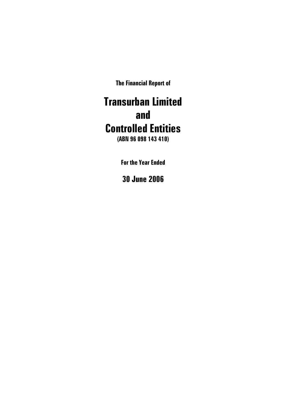**The Financial Report of** 

# **Transurban Limited and Controlled Entities**

**(ABN 96 098 143 410)** 

**For the Year Ended** 

**30 June 2006**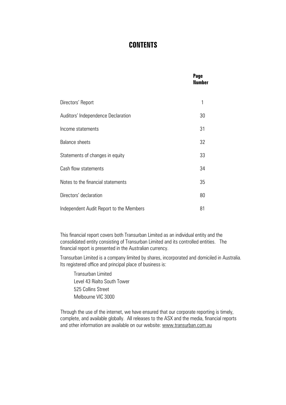# **CONTENTS**

|                                         | Page<br><b>Number</b> |
|-----------------------------------------|-----------------------|
| Directors' Report                       | 1                     |
| Auditors' Independence Declaration      | 30                    |
| Income statements                       | 31                    |
| <b>Balance sheets</b>                   | 32                    |
| Statements of changes in equity         | 33                    |
| Cash flow statements                    | 34                    |
| Notes to the financial statements       | 35                    |
| Directors' declaration                  | 80                    |
| Independent Audit Report to the Members | 81                    |

This financial report covers both Transurban Limited as an individual entity and the consolidated entity consisting of Transurban Limited and its controlled entities. The financial report is presented in the Australian currency.

Transurban Limited is a company limited by shares, incorporated and domiciled in Australia. Its registered office and principal place of business is:

Transurban Limited Level 43 Rialto South Tower 525 Collins Street Melbourne VIC 3000

 Through the use of the internet, we have ensured that our corporate reporting is timely, complete, and available globally. All releases to the ASX and the media, financial reports and other information are available on our website: [www.transurban.com.au](http://www.transurban.com.au/)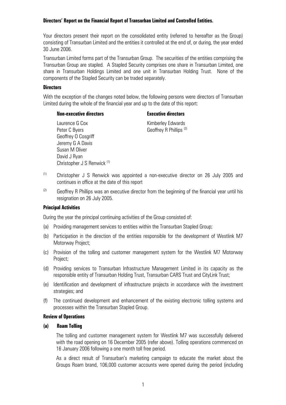Your directors present their report on the consolidated entity (referred to hereafter as the Group) consisting of Transurban Limited and the entities it controlled at the end of, or during, the year ended 30 June 2006.

Transurban Limited forms part of the Transurban Group. The securities of the entities comprising the Transurban Group are stapled. A Stapled Security comprises one share in Transurban Limited, one share in Transurban Holdings Limited and one unit in Transurban Holding Trust. None of the components of the Stapled Security can be traded separately.

#### **Directors**

With the exception of the changes noted below, the following persons were directors of Transurban Limited during the whole of the financial year and up to the date of this report:

#### **Non-executive directors Executive directors**

Laurence G Cox Kimberley Edwards Peter C Byers Geoffrey R Phillips (2) Geoffrey O Cosariff Jeremy G A Davis Susan M Oliver David J Ryan Christopher J S Renwick (1)

- (1) Christopher J S Renwick was appointed a non-executive director on 26 July 2005 and continues in office at the date of this report
- $(2)$  Geoffrey R Phillips was an executive director from the beginning of the financial year until his resignation on 26 July 2005.

#### **Principal Activities**

During the year the principal continuing activities of the Group consisted of:

- (a) Providing management services to entities within the Transurban Stapled Group;
- (b) Participation in the direction of the entities responsible for the development of Westlink M7 Motorway Project;
- (c) Provision of the tolling and customer management system for the Westlink M7 Motorway Project;
- (d) Providing services to Transurban Infrastructure Management Limited in its capacity as the responsible entity of Transurban Holding Trust, Transurban CARS Trust and CityLink Trust;
- (e) Identification and development of infrastructure projects in accordance with the investment strategies; and
- (f) The continued development and enhancement of the existing electronic tolling systems and processes within the Transurban Stapled Group.

#### **Review of Operations**

# **(a) Roam Tolling**

The tolling and customer management system for Westlink M7 was successfully delivered with the road opening on 16 December 2005 (refer above). Tolling operations commenced on 16 January 2006 following a one month toll free period.

As a direct result of Transurban's marketing campaign to educate the market about the Groups Roam brand, 106,000 customer accounts were opened during the period (including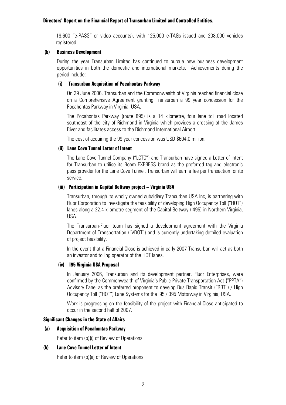19,600 "e-PASS" or video accounts), with 125,000 e-TAGs issued and 208,000 vehicles registered.

#### **(b) Business Development**

During the year Transurban Limited has continued to pursue new business development opportunities in both the domestic and international markets. Achievements during the period include:

#### **(i) Transurban Acquisition of Pocahontas Parkway**

On 29 June 2006, Transurban and the Commonwealth of Virginia reached financial close on a Comprehensive Agreement granting Transurban a 99 year concession for the Pocahontas Parkway in Virginia, USA.

The Pocahontas Parkway (route 895) is a 14 kilometre, four lane toll road located southeast of the city of Richmond in Virginia which provides a crossing of the James River and facilitates access to the Richmond International Airport.

The cost of acquiring the 99 year concession was USD \$604.0 million.

# **(ii) Lane Cove Tunnel Letter of Intent**

The Lane Cove Tunnel Company ("LCTC") and Transurban have signed a Letter of Intent for Transurban to utilise its Roam EXPRESS brand as the preferred tag and electronic pass provider for the Lane Cove Tunnel. Transurban will earn a fee per transaction for its service.

#### **(iii) Participation in Capital Beltway project – Virginia USA**

Transurban, through its wholly owned subsidiary Transurban USA Inc, is partnering with Fluor Corporation to investigate the feasibility of developing High Occupancy Toll ("HOT") lanes along a 22.4 kilometre segment of the Capital Beltway (I495) in Northern Virginia, USA.

The Transurban-Fluor team has signed a development agreement with the Virginia Department of Transportation ("VDOT") and is currently undertaking detailed evaluation of project feasibility.

In the event that a Financial Close is achieved in early 2007 Transurban will act as both an investor and tolling operator of the HOT lanes.

#### **(iv) I95 Virginia USA Proposal**

In January 2006, Transurban and its development partner, Fluor Enterprises, were confirmed by the Commonwealth of Virginia's Public Private Transportation Act ("PPTA") Advisory Panel as the preferred proponent to develop Bus Rapid Transit ("BRT") / High Occupancy Toll ("HOT") Lane Systems for the I95 / 395 Motorway in Virginia, USA.

Work is progressing on the feasibility of the project with Financial Close anticipated to occur in the second half of 2007.

#### **Significant Changes in the State of Affairs**

#### **(a) Acquisition of Pocahontas Parkway**

Refer to item (b)(i) of Review of Operations

# **(b) Lane Cove Tunnel Letter of Intent**

Refer to item (b)(ii) of Review of Operations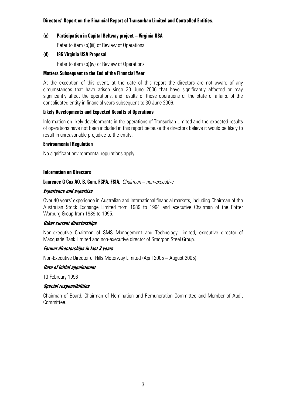# **(c) Participation in Capital Beltway project – Virginia USA**

Refer to item (b)(iii) of Review of Operations

#### **(d) I95 Virginia USA Proposal**

Refer to item (b)(iv) of Review of Operations

#### **Matters Subsequent to the End of the Financial Year**

At the exception of this event, at the date of this report the directors are not aware of any circumstances that have arisen since 30 June 2006 that have significantly affected or may significantly affect the operations, and results of those operations or the state of affairs, of the consolidated entity in financial years subsequent to 30 June 2006.

#### **Likely Developments and Expected Results of Operations**

Information on likely developments in the operations of Transurban Limited and the expected results of operations have not been included in this report because the directors believe it would be likely to result in unreasonable prejudice to the entity.

#### **Environmental Regulation**

No significant environmental regulations apply.

#### **Information on Directors**

#### **Laurence G Cox AO, B. Com, FCPA, FSIA.** *Chairman – non-executive*

# **Experience and expertise**

Over 40 years' experience in Australian and International financial markets, including Chairman of the Australian Stock Exchange Limited from 1989 to 1994 and executive Chairman of the Potter Warburg Group from 1989 to 1995.

# **Other current directorships**

Non-executive Chairman of SMS Management and Technology Limited, executive director of Macquarie Bank Limited and non-executive director of Smorgon Steel Group.

# **Former directorships in last 3 years**

Non-Executive Director of Hills Motorway Limited (April 2005 – August 2005).

# **Date of initial appointment**

13 February 1996

#### **Special responsibilities**

Chairman of Board, Chairman of Nomination and Remuneration Committee and Member of Audit Committee.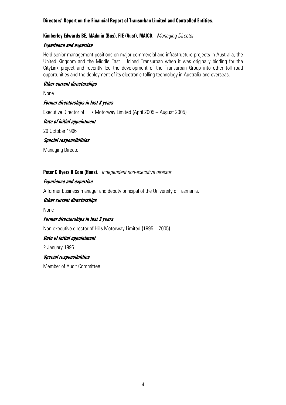# **Kimberley Edwards BE, MAdmin (Bus), FIE (Aust), MAICD.** *Managing Director*

#### **Experience and expertise**

Held senior management positions on major commercial and infrastructure projects in Australia, the United Kingdom and the Middle East. Joined Transurban when it was originally bidding for the CityLink project and recently led the development of the Transurban Group into other toll road opportunities and the deployment of its electronic tolling technology in Australia and overseas.

#### **Other current directorships**

None

#### **Former directorships in last 3 years**

Executive Director of Hills Motorway Limited (April 2005 – August 2005)

**Date of initial appointment** 

29 October 1996

**Special responsibilities** 

Managing Director

#### **Peter C Byers B Com (Hons).** *Independent non-executive director*

# **Experience and expertise**

A former business manager and deputy principal of the University of Tasmania.

#### **Other current directorships**

None

#### **Former directorships in last 3 years**

Non-executive director of Hills Motorway Limited (1995 – 2005).

#### **Date of initial appointment**

2 January 1996

#### **Special responsibilities**

Member of Audit Committee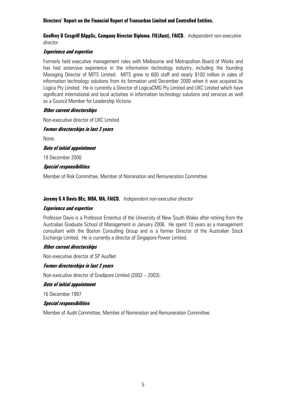**Geoffrey O Cosgriff BAppSc, Company Director Diploma. FIE(Aust), FAICD.** *Independent non-executive director* 

#### **Experience and expertise**

Formerly held executive management roles with Melbourne and Metropolitan Board of Works and has had extensive experience in the information technology industry, including the founding Managing Director of MITS Limited. MITS grew to 600 staff and nearly \$100 million in sales of information technology solutions from its formation until December 2000 when it was acquired by Logica Pty Limited. He is currently a Director of LogicaCMG Pty Limited and UXC Limited which have significant international and local activities in information technology solutions and services as well as a Council Member for Leadership Victoria.

# **Other current directorships**

Non-executive director of UXC Limited

# **Former directorships in last 3 years**

None.

#### **Date of initial appointment**

19 December 2000

# **Special responsibilities**

Member of Risk Committee, Member of Nomination and Remuneration Committee.

#### **Jeremy G A Davis BEc, MBA, MA, FAICD.** *Independent non-executive director*

#### **Experience and expertise**

Professor Davis is a Professor Emeritus of the University of New South Wales after retiring from the Australian Graduate School of Management in January 2006. He spent 10 years as a management consultant with the Boston Consulting Group and is a former Director of the Australian Stock Exchange Limited. He is currently a director of Singapore Power Limited.

#### **Other current directorships**

Non-executive director of SP AusNet

#### **Former directorships in last 3 years**

Non-executive director of Gradipore Limited (2002 – 2003).

#### **Date of initial appointment**

16 December 1997

#### **Special responsibilities**

Member of Audit Committee, Member of Nomination and Remuneration Committee.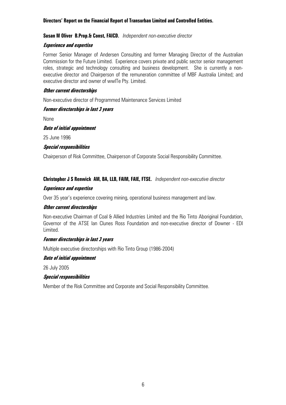#### **Susan M Oliver B.Prop.& Const, FAICD.** *Independent non-executive director*

#### **Experience and expertise**

Former Senior Manager of Andersen Consulting and former Managing Director of the Australian Commission for the Future Limited. Experience covers private and public sector senior management roles, strategic and technology consulting and business development. She is currently a nonexecutive director and Chairperson of the remuneration committee of MBF Australia Limited; and executive director and owner of wwITe Pty. Limited.

#### **Other current directorships**

Non-executive director of Programmed Maintenance Services Limited

# **Former directorships in last 3 years**

None

#### **Date of initial appointment**

25 June 1996

#### **Special responsibilities**

Chairperson of Risk Committee, Chairperson of Corporate Social Responsibility Committee.

#### **Christopher J S Renwick AM, BA, LLB, FAIM, FAIE, FTSE.** *Independent non-executive director*

#### **Experience and expertise**

Over 35 year's experience covering mining, operational business management and law.

# **Other current directorships**

Non-executive Chairman of Coal & Allied Industries Limited and the Rio Tinto Aboriginal Foundation, Governor of the ATSE Ian Clunes Ross Foundation and non-executive director of Downer - EDI Limited.

# **Former directorships in last 3 years**

Multiple executive directorships with Rio Tinto Group (1986-2004)

# **Date of initial appointment**

26 July 2005

# **Special responsibilities**

Member of the Risk Committee and Corporate and Social Responsibility Committee.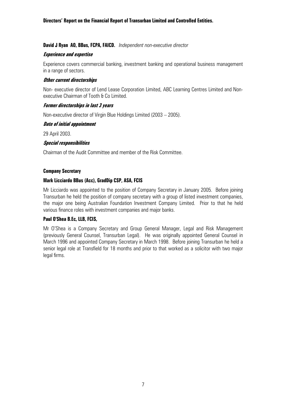# **David J Ryan AO, BBus, FCPA, FAICD.** *Independent non-executive director*

# **Experience and expertise**

Experience covers commercial banking, investment banking and operational business management in a range of sectors.

#### **Other current directorships**

Non- executive director of Lend Lease Corporation Limited, ABC Learning Centres Limited and Nonexecutive Chairman of Tooth & Co Limited.

# **Former directorships in last 3 years**

Non-executive director of Virgin Blue Holdings Limited (2003 – 2005).

# **Date of initial appointment**

29 April 2003.

# **Special responsibilities**

Chairman of the Audit Committee and member of the Risk Committee.

# **Company Secretary**

# **Mark Licciardo BBus (Acc), GradDip CSP, ASA, FCIS**

Mr Licciardo was appointed to the position of Company Secretary in January 2005. Before joining Transurban he held the position of company secretary with a group of listed investment companies, the major one being Australian Foundation Investment Company Limited. Prior to that he held various finance roles with investment companies and major banks.

# **Paul O'Shea B.Ec, LLB, FCIS,**

Mr O'Shea is a Company Secretary and Group General Manager, Legal and Risk Management (previously General Counsel, Transurban Legal). He was originally appointed General Counsel in March 1996 and appointed Company Secretary in March 1998. Before joining Transurban he held a senior legal role at Transfield for 18 months and prior to that worked as a solicitor with two major legal firms.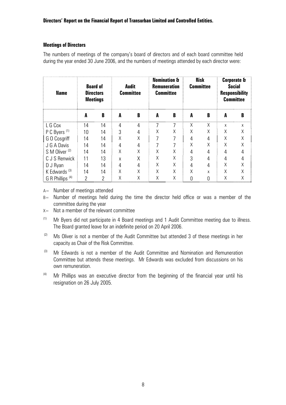# **Meetings of Directors**

The numbers of meetings of the company's board of directors and of each board committee held during the year ended 30 June 2006, and the numbers of meetings attended by each director were:

| <b>Name</b>                 |    | <b>Board of</b><br><b>Directors</b><br><b>Meetings</b> |   | <b>Audit</b><br><b>Committee</b> |   | <b>Nomination &amp;</b><br><b>Remuneration</b><br><b>Committee</b> |   | <b>Risk</b><br><b>Committee</b> |   | <b>Corporate &amp;</b><br><b>Social</b><br><b>Responsibility</b><br><b>Committee</b> |
|-----------------------------|----|--------------------------------------------------------|---|----------------------------------|---|--------------------------------------------------------------------|---|---------------------------------|---|--------------------------------------------------------------------------------------|
|                             | A  | B                                                      | A | B                                | A | B                                                                  | A | B                               | A | B                                                                                    |
| L G Cox                     | 14 | 14                                                     | 4 | 4                                | 7 | 7                                                                  | Χ | X                               | X | X                                                                                    |
| P C Byers <sup>(1)</sup>    | 10 | 14                                                     | 3 | 4                                | Χ | Χ                                                                  | Χ | X                               | X | X                                                                                    |
| G O Cosgriff                | 14 | 14                                                     | Χ | X                                | 7 | 7                                                                  | 4 | 4                               | Χ | X                                                                                    |
| J G A Davis                 | 14 | 14                                                     | 4 | 4                                | 7 | 7                                                                  | Χ | X                               | Χ | Χ                                                                                    |
| S M Oliver <sup>(2)</sup>   | 14 | 14                                                     | X | X                                | Χ | X                                                                  | 4 | 4                               | 4 | 4                                                                                    |
| C J S Renwick               | 11 | 13                                                     | X | X                                | χ | X                                                                  | 3 | 4                               | 4 | 4                                                                                    |
| D J Ryan                    | 14 | 14                                                     | 4 | 4                                | Χ | Χ                                                                  | 4 | 4                               | Χ | X                                                                                    |
| K Edwards <sup>(3)</sup>    | 14 | 14                                                     | X | X                                | Χ | Χ                                                                  | Χ | X                               | Χ | X                                                                                    |
| G R Phillips <sup>(4)</sup> | 2  | $\overline{2}$                                         | Χ | X                                | Χ | Χ                                                                  | 0 | $\overline{0}$                  | Χ | X                                                                                    |

A= Number of meetings attended

B= Number of meetings held during the time the director held office or was a member of the committee during the year

- $x=$  Not a member of the relevant committee
- $(1)$  Mr Byers did not participate in 4 Board meetings and 1 Audit Committee meeting due to illness. The Board granted leave for an indefinite period on 20 April 2006.
- $(2)$  Ms Oliver is not a member of the Audit Committee but attended 3 of these meetings in her capacity as Chair of the Risk Committee.
- $^{(3)}$  Mr Edwards is not a member of the Audit Committee and Nomination and Remuneration Committee but attends these meetings. Mr Edwards was excluded from discussions on his own remuneration.
- $(4)$  Mr Phillips was an executive director from the beginning of the financial year until his resignation on 26 July 2005.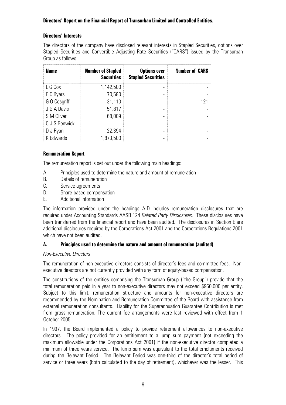# **Directors' Interests**

The directors of the company have disclosed relevant interests in Stapled Securities, options over Stapled Securities and Convertible Adjusting Rate Securities ("CARS") issued by the Transurban Group as follows:

| <b>Name</b>   | <b>Number of Stapled</b><br><b>Securities</b> | <b>Options over</b><br><b>Stapled Securities</b> | <b>Number of CARS</b> |
|---------------|-----------------------------------------------|--------------------------------------------------|-----------------------|
| L G Cox       | 1,142,500                                     |                                                  |                       |
| P C Byers     | 70,580                                        |                                                  |                       |
| G O Cosgriff  | 31,110                                        |                                                  | 121                   |
| J G A Davis   | 51,817                                        |                                                  |                       |
| S M Oliver    | 68,009                                        |                                                  |                       |
| C J S Renwick |                                               |                                                  |                       |
| D J Ryan      | 22,394                                        |                                                  |                       |
| K Edwards     | 1,873,500                                     |                                                  |                       |

# **Remuneration Report**

The remuneration report is set out under the following main headings:

- A. Principles used to determine the nature and amount of remuneration
- B. Details of remuneration
- C. Service agreements
- D. Share-based compensation
- E. Additional information

The information provided under the headings A-D includes remuneration disclosures that are required under Accounting Standards AASB 124 *Related Party Disclosures*. These disclosures have been transferred from the financial report and have been audited. The disclosures in Section E are additional disclosures required by the Corporations Act 2001 and the Corporations Regulations 2001 which have not been audited.

#### **A. Principles used to determine the nature and amount of remuneration (audited)**

#### *Non-Executive Directors*

The remuneration of non-executive directors consists of director's fees and committee fees. Nonexecutive directors are not currently provided with any form of equity-based compensation.

The constitutions of the entities comprising the Transurban Group ("the Group") provide that the total remuneration paid in a year to non-executive directors may not exceed \$950,000 per entity. Subject to this limit, remuneration structure and amounts for non-executive directors are recommended by the Nomination and Remuneration Committee of the Board with assistance from external remuneration consultants. Liability for the Superannuation Guarantee Contribution is met from gross remuneration. The current fee arrangements were last reviewed with effect from 1 October 2005.

In 1997, the Board implemented a policy to provide retirement allowances to non-executive directors. The policy provided for an entitlement to a lump sum payment (not exceeding the maximum allowable under the Corporations Act 2001) if the non-executive director completed a minimum of three years service. The lump sum was equivalent to the total emoluments received during the Relevant Period. The Relevant Period was one-third of the director's total period of service or three years (both calculated to the day of retirement), whichever was the lesser. This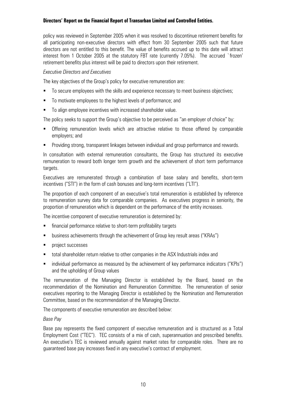policy was reviewed in September 2005 when it was resolved to discontinue retirement benefits for all participating non-executive directors with effect from 30 September 2005 such that future directors are not entitled to this benefit. The value of benefits accrued up to this date will attract interest from 1 October 2005 at the statutory FBT rate (currently 7.05%). The accrued `frozen' retirement benefits plus interest will be paid to directors upon their retirement.

#### *Executive Directors and Executives*

The key objectives of the Group's policy for executive remuneration are:

- To secure employees with the skills and experience necessary to meet business objectives;
- To motivate employees to the highest levels of performance; and
- To align employee incentives with increased shareholder value.

The policy seeks to support the Group's objective to be perceived as "an employer of choice" by:

- **•** Offering remuneration levels which are attractive relative to those offered by comparable employers; and
- **Providing strong, transparent linkages between individual and group performance and rewards.**

In consultation with external remuneration consultants, the Group has structured its executive remuneration to reward both longer term growth and the achievement of short term performance targets.

Executives are remunerated through a combination of base salary and benefits, short-term incentives ("STI") in the form of cash bonuses and long-term incentives ("LTI").

The proportion of each component of an executive's total remuneration is established by reference to remuneration survey data for comparable companies. As executives progress in seniority, the proportion of remuneration which is dependent on the performance of the entity increases.

The incentive component of executive remuneration is determined by:

- financial performance relative to short-term profitability targets
- business achievements through the achievement of Group key result areas ("KRAs")
- **project successes**
- total shareholder return relative to other companies in the ASX Industrials index and
- individual performance as measured by the achievement of key performance indicators ("KPIs") and the upholding of Group values

The remuneration of the Managing Director is established by the Board, based on the recommendation of the Nomination and Remuneration Committee. The remuneration of senior executives reporting to the Managing Director is established by the Nomination and Remuneration Committee, based on the recommendation of the Managing Director.

The components of executive remuneration are described below:

#### *Base Pay*

Base pay represents the fixed component of executive remuneration and is structured as a Total Employment Cost ("TEC"). TEC consists of a mix of cash, superannuation and prescribed benefits. An executive's TEC is reviewed annually against market rates for comparable roles. There are no guaranteed base pay increases fixed in any executive's contract of employment.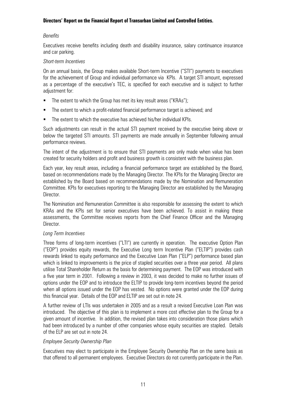# *Benefits*

Executives receive benefits including death and disability insurance, salary continuance insurance and car parking.

# *Short-term Incentives*

On an annual basis, the Group makes available Short-term Incentive ("STI") payments to executives for the achievement of Group and individual performance via KPIs. A target STI amount, expressed as a percentage of the executive's TEC, is specified for each executive and is subject to further adiustment for:

- The extent to which the Group has met its key result areas ("KRAs");
- The extent to which a profit-related financial performance target is achieved; and
- The extent to which the executive has achieved his/her individual KPIs.

Such adjustments can result in the actual STI payment received by the executive being above or below the targeted STI amounts. STI payments are made annually in September following annual performance reviews.

The intent of the adjustment is to ensure that STI payments are only made when value has been created for security holders and profit and business growth is consistent with the business plan.

Each year, key result areas, including a financial performance target are established by the Board, based on recommendations made by the Managing Director. The KPIs for the Managing Director are established by the Board based on recommendations made by the Nomination and Remuneration Committee. KPIs for executives reporting to the Managing Director are established by the Managing Director.

The Nomination and Remuneration Committee is also responsible for assessing the extent to which KRAs and the KPIs set for senior executives have been achieved. To assist in making these assessments, the Committee receives reports from the Chief Finance Officer and the Managing Director.

# *Long Term Incentives*

Three forms of long-term incentives ("LTI") are currently in operation. The executive Option Plan ("EOP") provides equity rewards, the Executive Long term Incentive Plan ("ELTIP") provides cash rewards linked to equity performance and the Executive Loan Plan ("ELP") performance based plan which is linked to improvements is the price of stapled securities over a three year period. All plans utilise Total Shareholder Return as the basis for determining payment. The EOP was introduced with a five year term in 2001. Following a review in 2003, it was decided to make no further issues of options under the EOP and to introduce the ELTIP to provide long-term incentives beyond the period when all options issued under the EOP has vested. No options were granted under the EOP during this financial year. Details of the EOP and ELTIP are set out in note 24.

A further review of LTIs was undertaken in 2005 and as a result a revised Executive Loan Plan was introduced. The objective of this plan is to implement a more cost effective plan to the Group for a given amount of incentive. In addition, the revised plan takes into consideration those plans which had been introduced by a number of other companies whose equity securities are stapled. Details of the ELP are set out in note 24.

# *Employee Security Ownership Plan*

Executives may elect to participate in the Employee Security Ownership Plan on the same basis as that offered to all permanent employees. Executive Directors do not currently participate in the Plan.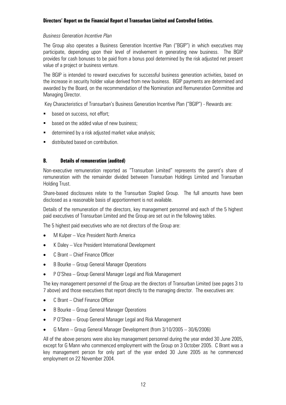# *Business Generation Incentive Plan*

The Group also operates a Business Generation Incentive Plan ("BGIP") in which executives may participate, depending upon their level of involvement in generating new business. The BGIP provides for cash bonuses to be paid from a bonus pool determined by the risk adjusted net present value of a project or business venture.

The BGIP is intended to reward executives for successful business generation activities, based on the increase in security holder value derived from new business. BGIP payments are determined and awarded by the Board, on the recommendation of the Nomination and Remuneration Committee and Managing Director.

Key Characteristics of Transurban's Business Generation Incentive Plan ("BGIP") - Rewards are:

- **based on success, not effort:**
- **based on the added value of new business:**
- **determined by a risk adjusted market value analysis;**
- **distributed based on contribution.**

# **B. Details of remuneration (audited)**

Non-executive remuneration reported as "Transurban Limited" represents the parent's share of remuneration with the remainder divided between Transurban Holdings Limited and Transurban Holding Trust.

Share-based disclosures relate to the Transurban Stapled Group. The full amounts have been disclosed as a reasonable basis of apportionment is not available.

Details of the remuneration of the directors, key management personnel and each of the 5 highest paid executives of Transurban Limited and the Group are set out in the following tables.

The 5 highest paid executives who are not directors of the Group are:

- M Kulper Vice President North America
- K Daley Vice President International Development
- C Brant Chief Finance Officer
- B Bourke Group General Manager Operations
- P O'Shea Group General Manager Legal and Risk Management

The key management personnel of the Group are the directors of Transurban Limited (see pages 3 to 7 above) and those executives that report directly to the managing director. The executives are:

- C Brant Chief Finance Officer
- B Bourke Group General Manager Operations
- P O'Shea Group General Manager Legal and Risk Management
- G Mann Group General Manager Development (from 3/10/2005 30/6/2006)

All of the above persons were also key management personnel during the year ended 30 June 2005, except for G Mann who commenced employment with the Group on 3 October 2005. C Brant was a key management person for only part of the year ended 30 June 2005 as he commenced employment on 22 November 2004.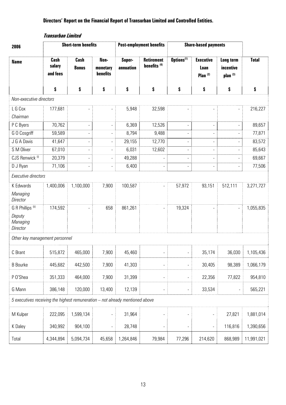| 2006                                                                          |                                   | <b>Short-term benefits</b> |                              |                     | <b>Post-employment benefits</b>              |                              | <b>Share-based payments</b>            |                                      |              |  |
|-------------------------------------------------------------------------------|-----------------------------------|----------------------------|------------------------------|---------------------|----------------------------------------------|------------------------------|----------------------------------------|--------------------------------------|--------------|--|
| <b>Name</b>                                                                   | <b>Cash</b><br>salary<br>and fees | Cash<br><b>Bonus</b>       | Non-<br>monetary<br>benefits | Super-<br>annuation | <b>Retirement</b><br>benefits <sup>(4)</sup> | Options <sup>(1)</sup>       | <b>Executive</b><br>Loan<br>Plan $(2)$ | Long term<br>incentive<br>plan $(3)$ | <b>Total</b> |  |
|                                                                               | \$                                | \$                         | \$                           | \$                  | \$                                           | \$                           | \$                                     | \$                                   | \$           |  |
| Non-executive directors                                                       |                                   |                            |                              |                     |                                              |                              |                                        |                                      |              |  |
| L G Cox<br>Chairman                                                           | 177,681                           |                            |                              | 5,948               | 32,598                                       | $\blacksquare$               | $\blacksquare$                         | $\blacksquare$                       | 216,227      |  |
| P C Byers                                                                     | 70,762                            |                            | $\ddot{\phantom{1}}$         | 6,369               | 12,526                                       | $\overline{a}$               | $\overline{a}$                         | $\frac{1}{2}$                        | 89,657       |  |
| G O Cosgriff                                                                  | 59,589                            |                            |                              | 8,794               | 9,488                                        |                              | $\overline{a}$                         | $\frac{1}{2}$                        | 77,871       |  |
| J G A Davis                                                                   | 41,647                            | ÷                          | $\overline{a}$               | 29,155              | 12,770                                       | ÷,                           | ÷,                                     | $\blacksquare$                       | 83,572       |  |
| S M Oliver                                                                    | 67,010                            |                            | $\blacksquare$               | 6,031               | 12,602                                       | $\overline{a}$               | $\overline{a}$                         | $\blacksquare$                       | 85,643       |  |
| CJS Renwick <sup>(i)</sup>                                                    | 20,379                            | $\overline{\phantom{0}}$   | $\overline{a}$               | 49,288              | $\overline{\phantom{0}}$                     | $\qquad \qquad \blacksquare$ | $\qquad \qquad \blacksquare$           | $\overline{\phantom{0}}$             | 69,667       |  |
| D J Ryan                                                                      | 71,106                            | ÷,                         | $\blacksquare$               | 6,400               | $\blacksquare$                               | ÷,                           | ÷,                                     | $\overline{a}$                       | 77,506       |  |
| <b>Executive directors</b>                                                    |                                   |                            |                              |                     |                                              |                              |                                        |                                      |              |  |
| K Edwards                                                                     | 1,400,006                         | 1,100,000                  | 7,900                        | 100,587             |                                              | 57,972                       | 93,151                                 | 512,111                              | 3,271,727    |  |
| Managing<br>Director                                                          |                                   |                            |                              |                     |                                              |                              |                                        |                                      |              |  |
| G R Phillips <sup>(ii)</sup><br>Deputy<br>Managing<br>Director                | 174,592                           | L.                         | 658                          | 861,261             | $\overline{a}$                               | 19,324                       | $\overline{a}$                         | $\blacksquare$                       | 1,055,835    |  |
| Other key management personnel                                                |                                   |                            |                              |                     |                                              |                              |                                        |                                      |              |  |
| C Brant                                                                       | 515,872                           | 465,000                    | 7,900                        | 45,460              |                                              |                              | 35,174                                 | 36,030                               | 1,105,436    |  |
| <b>B</b> Bourke                                                               | 445,682                           | 442,500                    | 7,900                        | 41,303              | $\qquad \qquad \blacksquare$                 | $\ddot{\phantom{1}}$         | 30,405                                 | 98,389                               | 1,066,179    |  |
| P O'Shea                                                                      | 351,333                           | 464,000                    | 7,900                        | 31,399              | $\overline{a}$                               |                              | 22,356                                 | 77,822                               | 954,810      |  |
| G Mann                                                                        | 386,148                           | 120,000                    | 13,400                       | 12,139              | $\blacksquare$                               | $\blacksquare$               | 33,534                                 | $\blacksquare$                       | 565,221      |  |
| 5 executives receiving the highest remuneration - not already mentioned above |                                   |                            |                              |                     |                                              |                              |                                        |                                      |              |  |
| M Kulper                                                                      | 222,095                           | 1,599,134                  |                              | 31,964              | $\overline{\phantom{a}}$                     |                              | $\blacksquare$                         | 27,821                               | 1,881,014    |  |
| K Daley                                                                       | 340,992                           | 904,100                    | $\Box$                       | 28,748              | $\overline{\phantom{a}}$                     | $\ddot{\phantom{0}}$         | $\overline{a}$                         | 116,816                              | 1,390,656    |  |
| Total                                                                         | 4,344,894                         | 5,094,734                  | 45,658                       | 1,264,846           | 79,984                                       | 77,296                       | 214,620                                | 868,989                              | 11,991,021   |  |

# **Transurban Limited**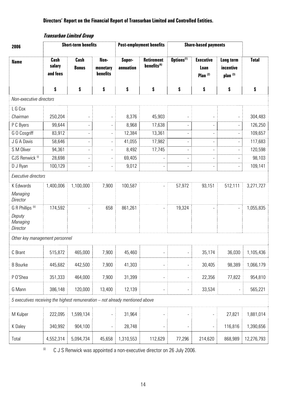| 2006                                                                          |                            | <b>Short-term benefits</b> |                              |                     | <b>Post-employment benefits</b>              |                          | <b>Share-based payments</b>            |                                               |              |  |
|-------------------------------------------------------------------------------|----------------------------|----------------------------|------------------------------|---------------------|----------------------------------------------|--------------------------|----------------------------------------|-----------------------------------------------|--------------|--|
| <b>Name</b>                                                                   | Cash<br>salary<br>and fees | Cash<br><b>Bonus</b>       | Non-<br>monetary<br>benefits | Super-<br>annuation | <b>Retirement</b><br>benefits <sup>(4)</sup> | Options <sup>(1)</sup>   | <b>Executive</b><br>Loan<br>Plan $(2)$ | Long term<br>incentive<br>plan <sup>(3)</sup> | <b>Total</b> |  |
|                                                                               | \$                         | \$                         | \$                           | \$                  | \$                                           | \$                       | \$                                     | \$                                            | \$           |  |
| Non-executive directors                                                       |                            |                            |                              |                     |                                              |                          |                                        |                                               |              |  |
| L G Cox                                                                       |                            |                            |                              |                     |                                              |                          |                                        |                                               |              |  |
| Chairman                                                                      | 250,204                    |                            |                              | 8,376               | 45,903                                       |                          |                                        | $\qquad \qquad \blacksquare$                  | 304,483      |  |
| P C Byers                                                                     | 99,644                     |                            | $\blacksquare$               | 8,968               | 17,638                                       |                          |                                        | $\overline{\phantom{0}}$                      | 126,250      |  |
| G O Cosgriff                                                                  | 83,912                     |                            | $\blacksquare$               | 12,384              | 13,361                                       | $\blacksquare$           | $\overline{a}$                         | $\frac{1}{2}$                                 | 109,657      |  |
| J G A Davis                                                                   | 58,646                     |                            |                              | 41,055              | 17,982                                       | $\overline{a}$           | ÷,                                     | $\frac{1}{2}$                                 | 117,683      |  |
| S M Oliver                                                                    | 94,361                     | ÷,                         | $\blacksquare$               | 8,492               | 17,745                                       | $\overline{a}$           | ÷,                                     | $\blacksquare$                                | 120,598      |  |
| CJS Renwick <sup>(i)</sup>                                                    | 28,698                     | $\overline{a}$             |                              | 69,405              |                                              | $\overline{a}$           | $\blacksquare$                         | $\qquad \qquad \blacksquare$                  | 98,103       |  |
| D J Ryan                                                                      | 100,129                    | $\blacksquare$             | $\blacksquare$               | 9,012               | $\overline{\phantom{0}}$                     | $\overline{a}$           | $\overline{a}$                         | $\blacksquare$                                | 109,141      |  |
| Executive directors                                                           |                            |                            |                              |                     |                                              |                          |                                        |                                               |              |  |
| K Edwards                                                                     | 1,400,006                  | 1,100,000                  | 7,900                        | 100,587             |                                              | 57,972                   | 93,151                                 | 512,111                                       | 3,271,727    |  |
| Managing<br>Director                                                          |                            |                            |                              |                     |                                              |                          |                                        |                                               |              |  |
| G R Phillips <sup>(ii)</sup>                                                  | 174,592                    |                            | 658                          | 861,261             | $\blacksquare$                               | 19,324                   |                                        | $\overline{\phantom{a}}$                      | 1,055,835    |  |
| Deputy<br>Managing<br>Director                                                |                            |                            |                              |                     |                                              |                          |                                        |                                               |              |  |
| Other key management personnel                                                |                            |                            |                              |                     |                                              |                          |                                        |                                               |              |  |
| C Brant                                                                       | 515,872                    | 465,000                    | 7,900                        | 45,460              |                                              | $\overline{\phantom{a}}$ | 35,174                                 | 36,030                                        | 1,105,436    |  |
| <b>B</b> Bourke                                                               | 445,682                    | 442,500                    | 7,900                        | 41,303              | $\overline{\phantom{a}}$                     | $\overline{a}$           | 30,405                                 | 98,389                                        | 1,066,179    |  |
| P O'Shea                                                                      | 351,333                    | 464,000                    | 7,900                        | 31,399              | -                                            |                          | 22,356                                 | 77,822                                        | 954,810      |  |
| G Mann                                                                        | 386,148                    | 120,000                    | 13,400                       | 12,139              | $\overline{a}$                               | $\blacksquare$           | 33,534                                 | $\blacksquare$                                | 565,221      |  |
| 5 executives receiving the highest remuneration - not already mentioned above |                            |                            |                              |                     |                                              |                          |                                        |                                               |              |  |
| M Kulper                                                                      | 222,095                    | 1,599,134                  |                              | 31,964              | $\overline{a}$                               |                          | $\blacksquare$                         | 27,821                                        | 1,881,014    |  |
| K Daley                                                                       | 340,992                    | 904,100                    | Ĭ.                           | 28,748              | $\overline{a}$                               | $\ddot{\phantom{1}}$     | $\blacksquare$                         | 116,816                                       | 1,390,656    |  |
| Total                                                                         | 4,552,314                  | 5,094,734                  | 45,658                       | 1,310,553           | 112,629                                      | 77,296                   | 214,620                                | 868,989                                       | 12,276,793   |  |

# **Transurban Limited Group**

 $(i)$  C J S Renwick was appointed a non-executive director on 26 July 2006.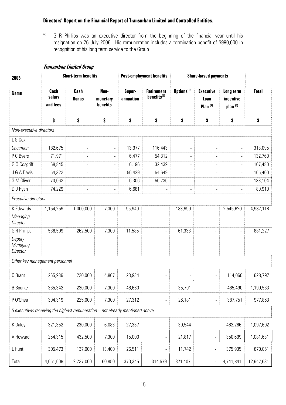$^{(ii)}$  G R Phillips was an executive director from the beginning of the financial year until his resignation on 26 July 2006. His remuneration includes a termination benefit of \$990,000 in recognition of his long term service to the Group

| 2005                                                                          |                            | <b>Short-term benefits</b>   |                                     |                     | <b>Post-employment benefits</b>              |                        |                                        | <b>Share-based payments</b>                   |              |  |  |
|-------------------------------------------------------------------------------|----------------------------|------------------------------|-------------------------------------|---------------------|----------------------------------------------|------------------------|----------------------------------------|-----------------------------------------------|--------------|--|--|
| <b>Name</b>                                                                   | Cash<br>salary<br>and fees | Cash<br><b>Bonus</b>         | Non-<br>monetary<br><b>benefits</b> | Super-<br>annuation | <b>Retirement</b><br>benefits <sup>(4)</sup> | Options <sup>(1)</sup> | <b>Executive</b><br>Loan<br>Plan $(2)$ | Long term<br>incentive<br>plan <sup>(3)</sup> | <b>Total</b> |  |  |
|                                                                               | \$                         | \$                           | \$                                  | \$                  | \$                                           | \$                     | \$                                     | \$                                            | \$           |  |  |
| Non-executive directors                                                       |                            |                              |                                     |                     |                                              |                        |                                        |                                               |              |  |  |
| L G Cox                                                                       |                            |                              |                                     |                     |                                              |                        |                                        |                                               |              |  |  |
| Chairman                                                                      | 182,675                    | $\qquad \qquad \blacksquare$ | $\overline{a}$                      | 13,977              | 116,443                                      |                        |                                        | $\frac{1}{2}$                                 | 313,095      |  |  |
| P C Byers                                                                     | 71,971                     | $\overline{\phantom{0}}$     |                                     | 6,477               | 54,312                                       |                        | $\overline{\phantom{0}}$               | $\blacksquare$                                | 132,760      |  |  |
| G O Cosgriff                                                                  | 68,845                     | $\overline{a}$               | $\overline{a}$                      | 6,196               | 32,439                                       |                        |                                        | $\blacksquare$                                | 107,480      |  |  |
| J G A Davis                                                                   | 54,322                     | $\overline{a}$               | $\overline{\phantom{a}}$            | 56,429              | 54,649                                       |                        | $\overline{a}$                         | $\overline{\phantom{0}}$                      | 165,400      |  |  |
| S M Oliver                                                                    | 70,062                     | $\overline{a}$               | $\overline{\phantom{a}}$            | 6,306               | 56,736                                       | ÷.                     | $\overline{a}$                         | $\blacksquare$                                | 133,104      |  |  |
| D J Ryan                                                                      | 74,229                     | $\frac{1}{2}$                | $\blacksquare$                      | 6,681               |                                              | $\blacksquare$         | $\overline{\phantom{a}}$               | $\blacksquare$                                | 80,910       |  |  |
| Executive directors                                                           |                            |                              |                                     |                     |                                              |                        |                                        |                                               |              |  |  |
| K Edwards                                                                     | 1,154,259                  | 1,000,000                    | 7,300                               | 95,940              | $\blacksquare$                               | 183,999                | $\overline{\phantom{a}}$               | 2,545,620                                     | 4,987,118    |  |  |
| Managing<br>Director                                                          |                            |                              |                                     |                     |                                              |                        |                                        |                                               |              |  |  |
| <b>G R Phillips</b>                                                           | 538,509                    | 262,500                      | 7,300                               | 11,585              |                                              | 61,333                 |                                        |                                               | 881,227      |  |  |
| Deputy<br>Managing<br>Director                                                |                            |                              |                                     |                     |                                              |                        |                                        |                                               |              |  |  |
| Other key management personnel                                                |                            |                              |                                     |                     |                                              |                        |                                        |                                               |              |  |  |
| C Brant                                                                       | 265,936                    | 220,000                      | 4,867                               | 23,934              |                                              |                        |                                        | 114,060                                       | 628,797      |  |  |
| <b>B</b> Bourke                                                               | 385,342                    | 230,000                      | 7,300                               | 46,660              | $\Box$                                       | 35,791                 |                                        | 485,490                                       | 1,190,583    |  |  |
| P O'Shea                                                                      | 304,319                    | 225,000                      | 7,300                               | 27,312              | $\blacksquare$                               | 26,181                 |                                        | 387,751                                       | 977,863      |  |  |
| 5 executives receiving the highest remuneration - not already mentioned above |                            |                              |                                     |                     |                                              |                        |                                        |                                               |              |  |  |
| K Daley                                                                       | 321,352                    | 230,000                      | 6,083                               | 27,337              | $\blacksquare$                               | 30,544                 | $\overline{\phantom{a}}$               | 482,286                                       | 1,097,602    |  |  |
| V Howard                                                                      | 254,315                    | 432,500                      | 7,300                               | 15,000              | $\blacksquare$                               | 21,817                 | $\blacksquare$                         | 350,699                                       | 1,081,631    |  |  |
| L Hunt                                                                        | 305,473                    | 137,000                      | 13,400                              | 26,511              | $\blacksquare$                               | 11,742                 | $\overline{\phantom{a}}$               | 375,935                                       | 870,061      |  |  |
| Total                                                                         | 4,051,609                  | 2,737,000                    | 60,850                              | 370,345             | 314,579                                      | 371,407                |                                        | 4,741,841                                     | 12,647,631   |  |  |

#### **Transurban Limited Group**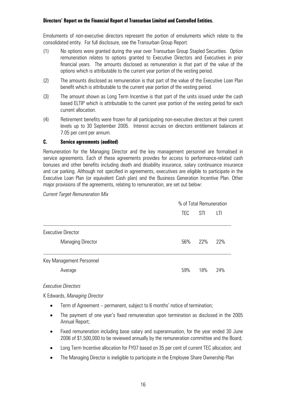Emoluments of non-executive directors represent the portion of emoluments which relate to the consolidated entity. For full disclosure, see the Transurban Group Report.

- (1) No options were granted during the year over Transurban Group Stapled Securities. Option remuneration relates to options granted to Executive Directors and Executives in prior financial years. The amounts disclosed as remuneration is that part of the value of the options which is attributable to the current year portion of the vesting period.
- (2) The amounts disclosed as remuneration is that part of the value of the Executive Loan Plan benefit which is attributable to the current year portion of the vesting period.
- (3) The amount shown as Long Term Incentive is that part of the units issued under the cash based ELTIP which is attributable to the current year portion of the vesting period for each current allocation.
- (4) Retirement benefits were frozen for all participating non-executive directors at their current levels up to 30 September 2005. Interest accrues on directors entitlement balances at 7.05 per cent per annum.

# **C. Service agreements (audited)**

Remuneration for the Managing Director and the key management personnel are formalised in service agreements. Each of these agreements provides for access to performance-related cash bonuses and other benefits including death and disability insurance, salary continuance insurance and car parking. Although not specified in agreements, executives are eligible to participate in the Executive Loan Plan (or equivalent Cash plan) and the Business Generation Incentive Plan. Other major provisions of the agreements, relating to remuneration, are set out below:

#### *Current Target Remuneration Mix*

|                           |     | % of Total Remuneration |     |
|---------------------------|-----|-------------------------|-----|
|                           | TEC | STI                     | LΤΙ |
|                           |     |                         |     |
| <b>Executive Director</b> |     |                         |     |
| <b>Managing Director</b>  | 56% | 22%                     | 22% |
| Key Management Personnel  |     |                         |     |
| Average                   | 59% | 18%                     | 24% |

# *Executive Directors*

K Edwards, *Managing Director*

- Term of Agreement permanent, subject to 6 months' notice of termination;
- The payment of one year's fixed remuneration upon termination as disclosed in the 2005 Annual Report;
- Fixed remuneration including base salary and superannuation, for the year ended 30 June 2006 of \$1,500,000 to be reviewed annually by the remuneration committee and the Board;
- Long Term Incentive allocation for FY07 based on 35 per cent of current TEC allocation; and
- The Managing Director is ineligible to participate in the Employee Share Ownership Plan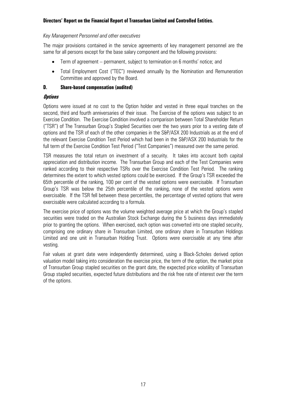# *Key Management Personnel and other executives*

The major provisions contained in the service agreements of key management personnel are the same for all persons except for the base salary component and the following provisions:

- Term of agreement permanent, subject to termination on 6 months' notice; and
- Total Employment Cost ("TEC") reviewed annually by the Nomination and Remuneration Committee and approved by the Board.

# **D. Share-based compensation (audited)**

# **Options**

Options were issued at no cost to the Option holder and vested in three equal tranches on the second, third and fourth anniversaries of their issue. The Exercise of the options was subject to an Exercise Condition. The Exercise Condition involved a comparison between Total Shareholder Return ("TSR") of The Transurban Group's Stapled Securities over the two years prior to a vesting date of options and the TSR of each of the other companies in the S&P/ASX 200 Industrials as at the end of the relevant Exercise Condition Test Period which had been in the S&P/ASX 200 Industrials for the full term of the Exercise Condition Test Period ("Test Companies") measured over the same period.

TSR measures the total return on investment of a security. It takes into account both capital appreciation and distribution income. The Transurban Group and each of the Test Companies were ranked according to their respective TSRs over the Exercise Condition Test Period. The ranking determines the extent to which vested options could be exercised. If the Group's TSR exceeded the 65th percentile of the ranking, 100 per cent of the vested options were exercisable. If Transurban Group's TSR was below the 25th percentile of the ranking, none of the vested options were exercisable. If the TSR fell between these percentiles, the percentage of vested options that were exercisable were calculated according to a formula.

The exercise price of options was the volume weighted average price at which the Group's stapled securities were traded on the Australian Stock Exchange during the 5 business days immediately prior to granting the options. When exercised, each option was converted into one stapled security, comprising one ordinary share in Transurban Limited, one ordinary share in Transurban Holdings Limited and one unit in Transurban Holding Trust. Options were exercisable at any time after vesting.

Fair values at grant date were independently determined, using a Black-Scholes derived option valuation model taking into consideration the exercise price, the term of the option, the market price of Transurban Group stapled securities on the grant date, the expected price volatility of Transurban Group stapled securities, expected future distributions and the risk free rate of interest over the term of the options.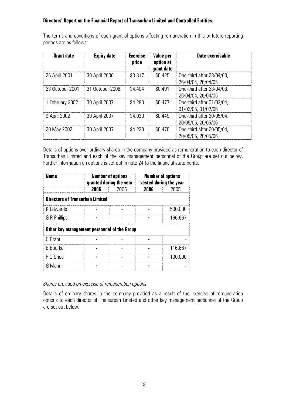The terms and conditions of each grant of options affecting remuneration in this or future reporting periods are as follows:

| <b>Grant date</b> | <b>Expiry date</b> | <b>Exercise</b><br>price | <b>Value per</b><br>option at<br>grant date | Date exercisable                                |  |  |  |
|-------------------|--------------------|--------------------------|---------------------------------------------|-------------------------------------------------|--|--|--|
| 26 April 2001     | 30 April 2006      | \$3.817                  | \$0.425                                     | One-third after 28/04/03,<br>26/04/04, 26/04/05 |  |  |  |
| 23 October 2001   | 31 October 2006    | \$4.404                  | \$0.491                                     | One-third after 28/04/03,<br>26/04/04, 26/04/05 |  |  |  |
| 1 February 2002   | 30 April 2007      | \$4.280                  | \$0.477                                     | One-third after 01/02/04,<br>01/02/05, 01/02/06 |  |  |  |
| 9 April 2002      | 30 April 2007      | \$4.030                  | \$0.449                                     | One-third after 20/05/04,<br>20/05/05, 20/05/06 |  |  |  |
| 20 May 2002       | 30 April 2007      | \$4.220                  | \$0.470                                     | One-third after 20/05/04,<br>20/05/05, 20/05/06 |  |  |  |

Details of options over ordinary shares in the company provided as remuneration to each director of Transurban Limited and each of the key management personnel of the Group are set out below. Further information on options is set out in note 24 to the financial statements.

| Name                                        | <b>Number of options</b><br>granted during the year |      |      | <b>Number of options</b><br>vested during the year |
|---------------------------------------------|-----------------------------------------------------|------|------|----------------------------------------------------|
|                                             | 2006                                                | 2005 | 2006 | 2005                                               |
| <b>Directors of Transurban Limited</b>      |                                                     |      |      |                                                    |
| K Edwards                                   |                                                     |      |      | 500,000                                            |
| G R Phillips                                |                                                     |      |      | 166,667                                            |
| Other key management personnel of the Group |                                                     |      |      |                                                    |
| C. Brant                                    |                                                     |      |      |                                                    |
| <b>B</b> Bourke                             |                                                     |      |      | 116,667                                            |
| P O'Shea                                    |                                                     |      |      | 100,000                                            |
| G Mann                                      |                                                     |      |      |                                                    |

# *Shares provided on exercise of remuneration options*

Details of ordinary shares in the company provided as a result of the exercise of remuneration options to each director of Transurban Limited and other key management personnel of the Group are set out below.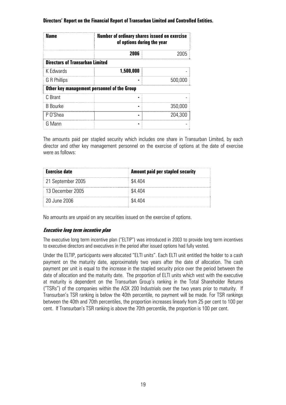| <b>Name</b>                            | Number of ordinary shares issued on exercise<br>of options during the year |         |  |  |  |
|----------------------------------------|----------------------------------------------------------------------------|---------|--|--|--|
|                                        | 2006                                                                       | 2005    |  |  |  |
| <b>Directors of Transurban Limited</b> |                                                                            |         |  |  |  |
| K Edwards                              | 1,500,000                                                                  |         |  |  |  |
| G R Phillips                           |                                                                            | 500,000 |  |  |  |
|                                        | Other key management personnel of the Group                                |         |  |  |  |
| C. Brant                               |                                                                            |         |  |  |  |
| <b>B</b> Bourke                        |                                                                            | 350,000 |  |  |  |
| P O'Shea                               |                                                                            | 204,300 |  |  |  |
| G Mann                                 |                                                                            |         |  |  |  |

The amounts paid per stapled security which includes one share in Transurban Limited, by each director and other key management personnel on the exercise of options at the date of exercise were as follows:

| <b>Exercise date</b> | <b>Amount paid per stapled security</b> |
|----------------------|-----------------------------------------|
| 21 September 2005    | \$4 404                                 |
| 13 December 2005     | S4 404                                  |
| 20 June 2006         | \$4 404                                 |

No amounts are unpaid on any securities issued on the exercise of options.

# **Executive long term incentive plan**

The executive long term incentive plan ("ELTIP") was introduced in 2003 to provide long term incentives to executive directors and executives in the period after issued options had fully vested.

Under the ELTIP, participants were allocated "ELTI units". Each ELTI unit entitled the holder to a cash payment on the maturity date, approximately two years after the date of allocation. The cash payment per unit is equal to the increase in the stapled security price over the period between the date of allocation and the maturity date. The proportion of ELTI units which vest with the executive at maturity is dependent on the Transurban Group's ranking in the Total Shareholder Returns ("TSRs") of the companies within the ASX 200 Industrials over the two years prior to maturity. If Transurban's TSR ranking is below the 40th percentile, no payment will be made. For TSR rankings between the 40th and 70th percentiles, the proportion increases linearly from 25 per cent to 100 per cent. If Transurban's TSR ranking is above the 70th percentile, the proportion is 100 per cent.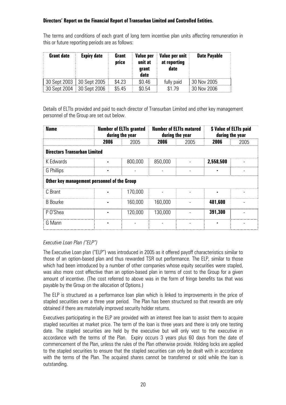The terms and conditions of each grant of long term incentive plan units affecting remuneration in this or future reporting periods are as follows:

| <b>Grant date</b> | <b>Expiry date</b> | Grant<br>price | Value per<br>unit at<br>grant<br>date | Value per unit<br>at reporting<br>date | <b>Date Payable</b> |
|-------------------|--------------------|----------------|---------------------------------------|----------------------------------------|---------------------|
| 30 Sept 2003      | 30 Sept 2005       | \$4.23         | \$0.46                                | fully paid                             | 30 Nov 2005         |
| 30 Sept 2004      | 30 Sept 2006       | \$5.45         | \$0.54                                | \$1.79                                 | 30 Nov 2006         |

Details of ELTIs provided and paid to each director of Transurban Limited and other key management personnel of the Group are set out below.

| <b>Name</b>                                 | <b>Number of ELTIs granted</b><br>during the year |         | <b>Number of ELTIs matured</b><br>during the year |      | \$ Value of ELTIs paid<br>during the year |      |  |
|---------------------------------------------|---------------------------------------------------|---------|---------------------------------------------------|------|-------------------------------------------|------|--|
|                                             | 2006                                              | 2005    | 2006                                              | 2005 | 2006                                      | 2005 |  |
| <b>Directors Transurban Limited</b>         |                                                   |         |                                                   |      |                                           |      |  |
| K Edwards                                   |                                                   | 800,000 | 850,000                                           |      | 2,558,500                                 |      |  |
| G Phillips                                  | ٠                                                 |         |                                                   |      |                                           |      |  |
| Other key management personnel of the Group |                                                   |         |                                                   |      |                                           |      |  |
| C Brant                                     | ٠                                                 | 170,000 |                                                   |      | ٠                                         |      |  |
| <b>B</b> Bourke                             | ٠                                                 | 160,000 | 160,000                                           |      | 481,600                                   |      |  |
| P O'Shea                                    |                                                   | 120,000 | 130,000                                           |      | 391,300                                   |      |  |
| G Mann                                      | $\blacksquare$                                    |         |                                                   |      | ٠                                         |      |  |

# *Executive Loan Plan ("ELP")*

The Executive Loan plan ("ELP") was introduced in 2005 as it offered payoff characteristics similar to those of an option-based plan and thus rewarded TSR out performance. The ELP, similar to those which had been introduced by a number of other companies whose equity securities were stapled, was also more cost effective than an option-based plan in terms of cost to the Group for a given amount of incentive. (The cost referred to above was in the form of fringe benefits tax that was payable by the Group on the allocation of Options.)

The ELP is structured as a performance loan plan which is linked to improvements in the price of stapled securities over a three year period. The Plan has been structured so that rewards are only obtained if there are materially improved security holder returns.

Executives participating in the ELP are provided with an interest free loan to assist them to acquire stapled securities at market price. The term of the loan is three years and there is only one testing date. The stapled securities are held by the executive but will only vest to the executive in accordance with the terms of the Plan. Expiry occurs 3 years plus 60 days from the date of commencement of the Plan, unless the rules of the Plan otherwise provide. Holding locks are applied to the stapled securities to ensure that the stapled securities can only be dealt with in accordance with the terms of the Plan. The acquired shares cannot be transferred or sold while the loan is outstanding.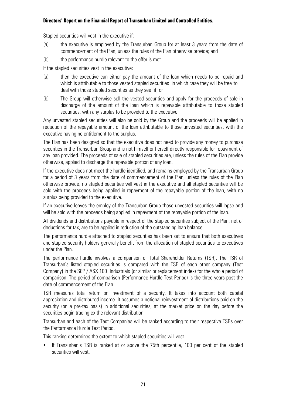Stapled securities will vest in the executive if:

- (a) the executive is employed by the Transurban Group for at least 3 years from the date of commencement of the Plan, unless the rules of the Plan otherwise provide; and
- (b) the performance hurdle relevant to the offer is met.

If the stapled securities vest in the executive:

- (a) then the executive can either pay the amount of the loan which needs to be repaid and which is attributable to those vested stapled securities in which case they will be free to deal with those stapled securities as they see fit; or
- (b) The Group will otherwise sell the vested securities and apply for the proceeds of sale in discharge of the amount of the loan which is repayable attributable to those stapled securities, with any surplus to be provided to the executive.

Any unvested stapled securities will also be sold by the Group and the proceeds will be applied in reduction of the repayable amount of the loan attributable to those unvested securities, with the executive having no entitlement to the surplus.

The Plan has been designed so that the executive does not need to provide any money to purchase securities in the Transurban Group and is not himself or herself directly responsible for repayment of any loan provided. The proceeds of sale of stapled securities are, unless the rules of the Plan provide otherwise, applied to discharge the repayable portion of any loan.

If the executive does not meet the hurdle identified, and remains employed by the Transurban Group for a period of 3 years from the date of commencement of the Plan, unless the rules of the Plan otherwise provide, no stapled securities will vest in the executive and all stapled securities will be sold with the proceeds being applied in repayment of the repayable portion of the loan, with no surplus being provided to the executive.

If an executive leaves the employ of the Transurban Group those unvested securities will lapse and will be sold with the proceeds being applied in repayment of the repayable portion of the loan.

All dividends and distributions payable in respect of the stapled securities subject of the Plan, net of deductions for tax, are to be applied in reduction of the outstanding loan balance.

The performance hurdle attached to stapled securities has been set to ensure that both executives and stapled security holders generally benefit from the allocation of stapled securities to executives under the Plan.

The performance hurdle involves a comparison of Total Shareholder Returns (TSR). The TSR of Transurban's listed stapled securities is compared with the TSR of each other company (Test Company) in the S&P / ASX 100 Industrials (or similar or replacement index) for the whole period of comparison. The period of comparison (Performance Hurdle Test Period) is the three years post the date of commencement of the Plan.

TSR measures total return on investment of a security. It takes into account both capital appreciation and distributed income. It assumes a notional reinvestment of distributions paid on the security (on a pre-tax basis) in additional securities, at the market price on the day before the securities begin trading ex the relevant distribution.

Transurban and each of the Test Companies will be ranked according to their respective TSRs over the Performance Hurdle Test Period.

This ranking determines the extent to which stapled securities will vest.

If Transurban's TSR is ranked at or above the 75th percentile, 100 per cent of the stapled securities will vest.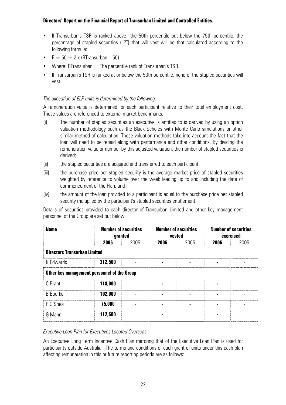- If Transurban's TSR is ranked above the 50th percentile but below the 75th percentile, the percentage of stapled securities ("P") that will vest will be that calculated according to the following formula:
- $P = 50 + 2 \times (RTransurban 50)$
- Where: RTransurban  $=$  The percentile rank of Transurban's TSR.
- If Transurban's TSR is ranked at or below the 50th percentile, none of the stapled securities will vest.

# *The allocation of ELP units is determined by the following:*

A remuneration value is determined for each participant relative to their total employment cost. These values are referenced to external market benchmarks.

- (i) The number of stapled securities an executive is entitled to is derived by using an option valuation methodology such as the Black Scholes with Monte Carlo simulations or other similar method of calculation. These valuation methods take into account the fact that the loan will need to be repaid along with performance and other conditions. By dividing the remuneration value or number by this adjusted valuation, the number of stapled securities is derived;
- (ii) the stapled securities are acquired and transferred to each participant;
- (iii) the purchase price per stapled security is the average market price of stapled securities weighted by reference to volume over the week leading up to and including the date of commencement of the Plan; and
- (iv) the amount of the loan provided to a participant is equal to the purchase price per stapled security multiplied by the participant's stapled securities entitlement.

Details of securities provided to each director of Transurban Limited and other key management personnel of the Group are set out below.

| <b>Number of securities</b><br><b>Name</b><br>granted |         |      | <b>Number of securities</b><br>vested |      | <b>Number of securities</b><br>exercised |      |
|-------------------------------------------------------|---------|------|---------------------------------------|------|------------------------------------------|------|
|                                                       | 2006    | 2005 | 2006                                  | 2005 | 2006                                     | 2005 |
| <b>Directors Transurban Limited</b>                   |         |      |                                       |      |                                          |      |
| K Edwards                                             | 312,500 |      | ۰                                     |      | ٠                                        |      |
| Other key management personnel of the Group           |         |      |                                       |      |                                          |      |
| C Brant                                               | 118,000 |      | ٠                                     |      | ٠                                        |      |
| <b>B</b> Bourke                                       | 102,000 |      | ٠                                     |      | ٠                                        |      |
| P O'Shea                                              | 75,000  |      | ۰                                     |      | ٠                                        |      |
| G Mann                                                | 112,500 |      | ۰                                     |      | ٠                                        |      |

# *Executive Loan Plan for Executives Located Overseas*

An Executive Long Term Incentive Cash Plan mirroring that of the Executive Loan Plan is used for participants outside Australia. The terms and conditions of each grant of units under this cash plan affecting remuneration in this or future reporting periods are as follows: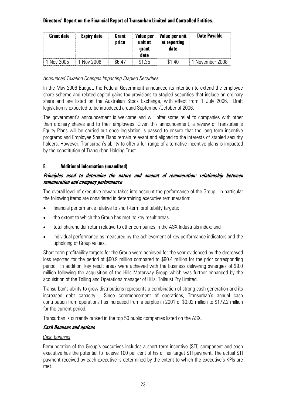| <b>Grant date</b> | <b>Expiry date</b> | Grant<br>price | <b>Value per</b><br>unit at<br>grant<br>date | Value per unit<br>at reporting<br>date | <b>Date Payable</b> |
|-------------------|--------------------|----------------|----------------------------------------------|----------------------------------------|---------------------|
| 1 Nov 2005        | 1 Nov 2008         | \$6.47         | \$1.35                                       | \$1.40                                 | 1 November 2008     |

# *Announced Taxation Changes Impacting Stapled Securities*

In the May 2006 Budget, the Federal Government announced its intention to extend the employee share scheme and related capital gains tax provisions to stapled securities that include an ordinary share and are listed on the Australian Stock Exchange, with effect from 1 July 2006. Draft legislation is expected to be introduced around September/October of 2006.

The government's announcement is welcome and will offer some relief to companies with other than ordinary shares and to their employees. Given this announcement, a review of Transurban's Equity Plans will be carried out once legislation is passed to ensure that the long term incentive programs and Employee Share Plans remain relevant and aligned to the interests of stapled security holders. However, Transurban's ability to offer a full range of alternative incentive plans is impacted by the constitution of Transurban Holding Trust.

# **E. Additional information (unaudited)**

# **Principles used to determine the nature and amount of remuneration: relationship between remuneration and company performance**

The overall level of executive reward takes into account the performance of the Group. In particular the following items are considered in determining executive remuneration:

- financial performance relative to short-term profitability targets;
- the extent to which the Group has met its key result areas
- total shareholder return relative to other companies in the ASX Industrials index; and
- individual performance as measured by the achievement of key performance indicators and the upholding of Group values.

Short term profitability targets for the Group were achieved for the year evidenced by the decreased loss reported for the period of \$60.9 million compared to \$90.4 million for the prior corresponding period. In addition, key result areas were achieved with the business delivering synergies of \$9.0 million following the acquisition of the Hills Motorway Group which was further enhanced by the acquisition of the Tolling and Operations manager of Hills, Tollaust Pty Limited.

Transurban's ability to grow distributions represents a combination of strong cash generation and its increased debt capacity. Since commencement of operations, Transurban's annual cash contribution from operations has increased from a surplus in 2001 of \$0.02 million to \$172.2 million for the current period.

Transurban is currently ranked in the top 50 public companies listed on the ASX.

# **Cash Bonuses and options**

#### *Cash bonuses*

Remuneration of the Group's executives includes a short term incentive (STI) component and each executive has the potential to receive 100 per cent of his or her target STI payment. The actual STI payment received by each executive is determined by the extent to which the executive's KPIs are met.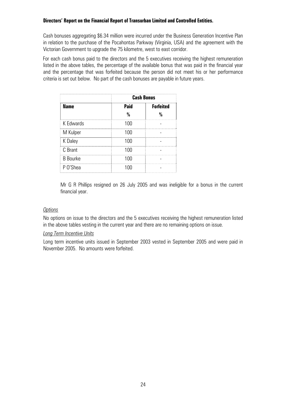Cash bonuses aggregating \$6.34 million were incurred under the Business Generation Incentive Plan in relation to the purchase of the Pocahontas Parkway (Virginia, USA) and the agreement with the Victorian Government to upgrade the 75 kilometre, west to east corridor.

For each cash bonus paid to the directors and the 5 executives receiving the highest remuneration listed in the above tables, the percentage of the available bonus that was paid in the financial year and the percentage that was forfeited because the person did not meet his or her performance criteria is set out below. No part of the cash bonuses are payable in future years.

|                 | <b>Cash Bonus</b> |                  |  |  |
|-----------------|-------------------|------------------|--|--|
| <b>Name</b>     | Paid              | <b>Forfeited</b> |  |  |
|                 | $\frac{0}{0}$     | ℆                |  |  |
| K Edwards       | 100               |                  |  |  |
| M Kulper        | 100               |                  |  |  |
| K Daley         | 100               |                  |  |  |
| C Brant         | 100               |                  |  |  |
| <b>B</b> Bourke | 100               |                  |  |  |
| P O'Shea        | 1በበ               |                  |  |  |

 Mr G R Phillips resigned on 26 July 2005 and was ineligible for a bonus in the current financial year.

# *Options*

No options on issue to the directors and the 5 executives receiving the highest remuneration listed in the above tables vesting in the current year and there are no remaining options on issue.

#### *Long Term Incentive Units*

Long term incentive units issued in September 2003 vested in September 2005 and were paid in November 2005. No amounts were forfeited.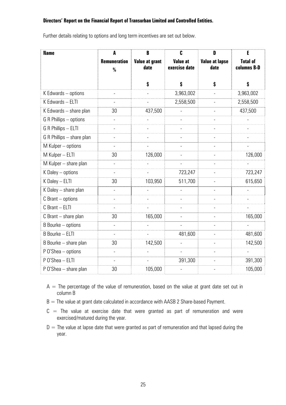Further details relating to options and long term incentives are set out below.

| <b>Name</b>               | A                                    | $\mathbf{B}$                  | $\overline{\mathbf{c}}$          | $\mathbf{D}$                  | E                              |
|---------------------------|--------------------------------------|-------------------------------|----------------------------------|-------------------------------|--------------------------------|
|                           | <b>Remuneration</b><br>$\frac{0}{0}$ | <b>Value at grant</b><br>date | <b>Value at</b><br>exercise date | <b>Value at lapse</b><br>date | <b>Total of</b><br>columns B-D |
|                           |                                      | \$                            | \$                               | \$                            | \$                             |
| K Edwards - options       | $\overline{a}$                       |                               | 3,963,002                        |                               | 3,963,002                      |
| K Edwards - ELTI          |                                      |                               | 2,558,500                        |                               | 2,558,500                      |
| K Edwards - share plan    | 30                                   | 437,500                       |                                  |                               | 437,500                        |
| G R Phillips - options    |                                      |                               |                                  |                               |                                |
| G R Phillips - ELTI       |                                      |                               |                                  |                               |                                |
| G R Phillips - share plan | $\overline{a}$                       |                               | $\overline{\phantom{m}}$         |                               |                                |
| M Kulper - options        | Ĭ.                                   |                               | $\blacksquare$                   |                               |                                |
| M Kulper - ELTI           | 30                                   | 126,000                       |                                  |                               | 126,000                        |
| M Kulper - share plan     | Ĭ.                                   |                               | $\blacksquare$                   |                               |                                |
| K Daley - options         |                                      |                               | 723,247                          |                               | 723,247                        |
| K Daley - ELTI            | 30                                   | 103,950                       | 511,700                          |                               | 615,650                        |
| K Daley - share plan      |                                      |                               |                                  |                               |                                |
| $C$ Brant $-$ options     |                                      |                               |                                  |                               |                                |
| C Brant - ELTI            |                                      |                               |                                  |                               |                                |
| C Brant - share plan      | 30                                   | 165,000                       | $\overline{a}$                   |                               | 165,000                        |
| <b>B</b> Bourke - options | $\overline{a}$                       |                               | $\overline{\phantom{a}}$         | ٠                             |                                |
| <b>B</b> Bourke - ELTI    | $\overline{a}$                       |                               | 481,600                          |                               | 481,600                        |
| B Bourke - share plan     | 30                                   | 142,500                       | $\frac{1}{2}$                    |                               | 142,500                        |
| P O'Shea - options        |                                      |                               |                                  |                               |                                |
| P O'Shea - ELTI           |                                      |                               | 391,300                          |                               | 391,300                        |
| P O'Shea - share plan     | $30\,$                               | 105,000                       | $\overline{\phantom{a}}$         |                               | 105,000                        |

- $A =$  The percentage of the value of remuneration, based on the value at grant date set out in column B
- $B =$  The value at grant date calculated in accordance with AASB 2 Share-based Payment.
- $C =$  The value at exercise date that were granted as part of remuneration and were exercised/matured during the year.
- $D =$  The value at lapse date that were granted as part of remuneration and that lapsed during the year.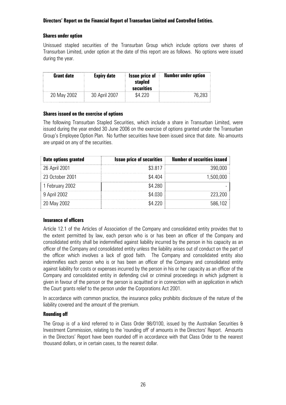#### **Shares under option**

Unissued stapled securities of the Transurban Group which include options over shares of Transurban Limited, under option at the date of this report are as follows. No options were issued during the year.

| <b>Grant date</b> | <b>Expiry date</b> | <b>Issue price of</b><br>stapled<br>securities | <b>Number under option</b> |
|-------------------|--------------------|------------------------------------------------|----------------------------|
| 20 May 2002       | 30 April 2007      | \$4.220                                        | 76,283                     |

#### **Shares issued on the exercise of options**

The following Transurban Stapled Securities, which include a share in Transurban Limited, were issued during the year ended 30 June 2006 on the exercise of options granted under the Transurban Group's Employee Option Plan. No further securities have been issued since that date. No amounts are unpaid on any of the securities.

| <b>Date options granted</b> | <b>Issue price of securities</b> | <b>Number of securities issued</b> |
|-----------------------------|----------------------------------|------------------------------------|
| 26 April 2001               | \$3 817                          | 390,000                            |
| 23 October 2001             | \$4.404                          | 1,500,000                          |
| 1 February 2002             | \$4.280                          |                                    |
| 9 April 2002                | \$4.030                          | 223,200                            |
| 20 May 2002                 | S4 22N                           | 586,102                            |

# **Insurance of officers**

Article 12.1 of the Articles of Association of the Company and consolidated entity provides that to the extent permitted by law, each person who is or has been an officer of the Company and consolidated entity shall be indemnified against liability incurred by the person in his capacity as an officer of the Company and consolidated entity unless the liability arises out of conduct on the part of the officer which involves a lack of good faith. The Company and consolidated entity also indemnifies each person who is or has been an officer of the Company and consolidated entity against liability for costs or expenses incurred by the person in his or her capacity as an officer of the Company and consolidated entity in defending civil or criminal proceedings in which judgment is given in favour of the person or the person is acquitted or in connection with an application in which the Court grants relief to the person under the Corporations Act 2001.

In accordance with common practice, the insurance policy prohibits disclosure of the nature of the liability covered and the amount of the premium.

#### **Rounding off**

The Group is of a kind referred to in Class Order 98/0100, issued by the Australian Securities & Investment Commission, relating to the 'rounding off' of amounts in the Directors' Report. Amounts in the Directors' Report have been rounded off in accordance with that Class Order to the nearest thousand dollars, or in certain cases, to the nearest dollar.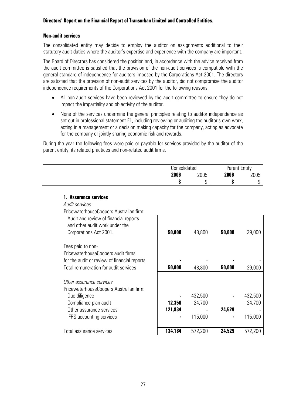#### **Non-audit services**

The consolidated entity may decide to employ the auditor on assignments additional to their statutory audit duties where the auditor's expertise and experience with the company are important.

The Board of Directors has considered the position and, in accordance with the advice received from the audit committee is satisfied that the provision of the non-audit services is compatible with the general standard of independence for auditors imposed by the Corporations Act 2001. The directors are satisfied that the provision of non-audit services by the auditor, did not compromise the auditor independence requirements of the Corporations Act 2001 for the following reasons:

- All non-audit services have been reviewed by the audit committee to ensure they do not impact the impartiality and objectivity of the auditor.
- None of the services undermine the general principles relating to auditor independence as set out in professional statement F1, including reviewing or auditing the auditor's own work, acting in a management or a decision making capacity for the company, acting as advocate for the company or jointly sharing economic risk and rewards.

During the year the following fees were paid or payable for services provided by the auditor of the parent entity, its related practices and non-related audit firms.

|                                              | Consolidated |         | <b>Parent Entity</b> |         |
|----------------------------------------------|--------------|---------|----------------------|---------|
|                                              | 2006         | 2005    | 2006                 | 2005    |
|                                              | \$           | \$      | \$                   | \$      |
|                                              |              |         |                      |         |
| 1. Assurance services                        |              |         |                      |         |
| Audit services                               |              |         |                      |         |
| PricewaterhouseCoopers Australian firm:      |              |         |                      |         |
| Audit and review of financial reports        |              |         |                      |         |
| and other audit work under the               |              |         |                      |         |
| Corporations Act 2001.                       | 50,000       | 48,800  | 50,000               | 29,000  |
|                                              |              |         |                      |         |
| Fees paid to non-                            |              |         |                      |         |
| PricewaterhouseCoopers audit firms           |              |         |                      |         |
| for the audit or review of financial reports |              |         |                      |         |
| Total remuneration for audit services        | 50,000       | 48,800  | 50,000               | 29,000  |
| Other assurance services                     |              |         |                      |         |
| PricewaterhouseCoopers Australian firm:      |              |         |                      |         |
| Due diligence                                |              | 432,500 |                      | 432,500 |
| Compliance plan audit                        | 12,350       | 24,700  |                      | 24,700  |
| Other assurance services                     | 121,834      |         | 24,529               |         |
|                                              |              | 115,000 |                      | 115,000 |
| IFRS accounting services                     |              |         |                      |         |
| Total assurance services                     | 134,184      | 572,200 | 24,529               | 572,200 |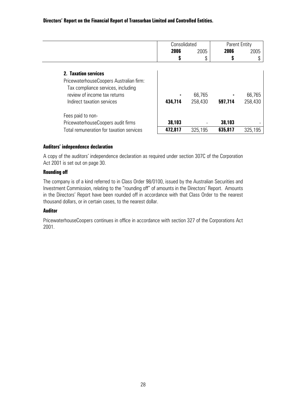|                                          | Consolidated |         | <b>Parent Entity</b> |         |
|------------------------------------------|--------------|---------|----------------------|---------|
|                                          | 2006         | 2005    | 2006                 | 2005    |
|                                          | Ş            | ጦ<br>D  |                      |         |
| 2. Taxation services                     |              |         |                      |         |
| PricewaterhouseCoopers Australian firm:  |              |         |                      |         |
| Tax compliance services, including       |              |         |                      |         |
| review of income tax returns             |              | 66,765  |                      | 66,765  |
| Indirect taxation services               | 434,714      | 258,430 | 597,714              | 258,430 |
| Fees paid to non-                        |              |         |                      |         |
| PricewaterhouseCoopers audit firms       | 38,103       |         | 38,103               |         |
| Total remuneration for taxation services | 472,817      | 325,195 | 635,817              | 325,195 |

# **Auditors' independence declaration**

A copy of the auditors' independence declaration as required under section 307C of the Corporation Act 2001 is set out on page 30.

#### **Rounding off**

The company is of a kind referred to in Class Order 98/0100, issued by the Australian Securities and Investment Commission, relating to the "rounding off" of amounts in the Directors' Report. Amounts in the Directors' Report have been rounded off in accordance with that Class Order to the nearest thousand dollars, or in certain cases, to the nearest dollar.

#### **Auditor**

PricewaterhouseCoopers continues in office in accordance with section 327 of the Corporations Act 2001.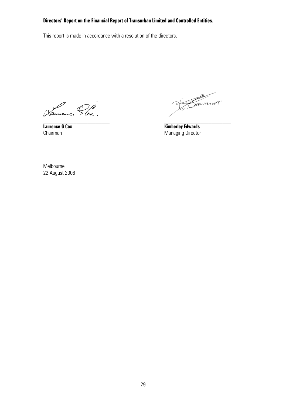This report is made in accordance with a resolution of the directors.

Xamence Pbx.

Havards

**Kimberley Edwards** Chairman **Managing Director** Chairman Managing Director

Melbourne 22 August 2006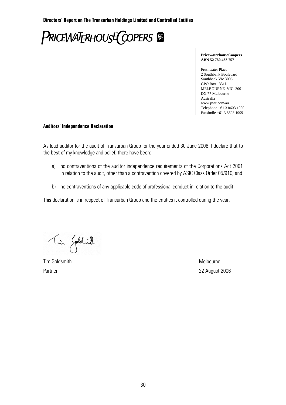**PRICEWATERHOUSE COPERS** 

**PricewaterhouseCoopers ABN 52 780 433 757** 

Freshwater Place 2 Southbank Boulevard Southbank Vic 3006 GPO Box 1331L MELBOURNE VIC 3001 DX 77 Melbourne Australia www.pwc.com/au Telephone +61 3 8603 1000 Facsimile +61 3 8603 1999

#### **Auditors' Independence Declaration**

As lead auditor for the audit of Transurban Group for the year ended 30 June 2006, I declare that to the best of my knowledge and belief, there have been:

- a) no contraventions of the auditor independence requirements of the Corporations Act 2001 in relation to the audit, other than a contravention covered by ASIC Class Order 05/910; and
- b) no contraventions of any applicable code of professional conduct in relation to the audit.

This declaration is in respect of Transurban Group and the entities it controlled during the year.

Tin Goldwill

Tim Goldsmith Melbourne

Partner 22 August 2006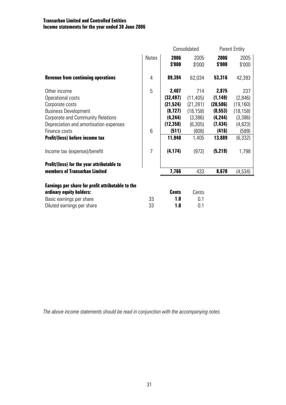# **Transurban Limited and Controlled Entities Income statements for the year ended 30 June 2006**

|                                                   |                | Consolidated   |                | <b>Parent Entity</b> |                |
|---------------------------------------------------|----------------|----------------|----------------|----------------------|----------------|
|                                                   | <b>Notes</b>   | 2006<br>\$'000 | 2005<br>\$'000 | 2006<br>\$'000       | 2005<br>\$'000 |
| <b>Revenue from continuing operations</b>         | 4              | 89,394         | 62,034         | 53,316               | 42,393         |
| Other income                                      | 5              | 2,407          | 714            | 2,875                | 237            |
| Operational costs                                 |                | (32, 497)      | (11, 405)      | (1, 149)             | (2,846)        |
| Corporate costs                                   |                | (21, 524)      | (21, 281)      | (20, 506)            | (19, 160)      |
| <b>Business Development</b>                       |                | (8, 727)       | (18, 158)      | (8, 553)             | (18, 158)      |
| <b>Corporate and Community Relations</b>          |                | (4, 244)       | (3,386)        | (4, 244)             | (3,386)        |
| Depreciation and amortisation expenses            |                | (12, 358)      | (6, 305)       | (7, 434)             | (4,823)        |
| Finance costs                                     | 6              | (511)          | (808)          | (416)                | (589)          |
| Profit/(loss) before income tax                   |                | 11,940         | 1,405          | 13,889               | (6, 332)       |
| Income tax (expense)/benefit                      | $\overline{7}$ | (4, 174)       | (972)          | (5,219)              | 1,798          |
| Profit/(loss) for the year attributable to        |                |                |                |                      |                |
| members of Transurban Limited                     |                | 7,766          | 433            | 8,670                | (4,534)        |
| Earnings per share for profit attributable to the |                |                |                |                      |                |
| ordinary equity holders:                          |                | <b>Cents</b>   | Cents          |                      |                |
| Basic earnings per share                          | 33             | 1.0            | 0.1            |                      |                |
| Diluted earnings per share                        | 33             | 1.0            | 0.1            |                      |                |

*The above income statements should be read in conjunction with the accompanying notes.*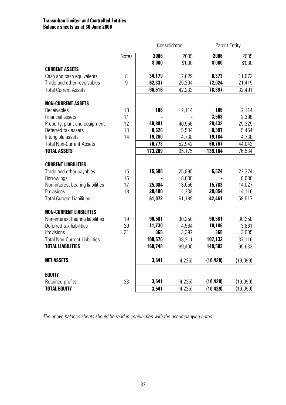|                                      |                |         | Consolidated |           | <b>Parent Entity</b> |
|--------------------------------------|----------------|---------|--------------|-----------|----------------------|
|                                      | <b>Notes</b>   | 2006    | 2005         | 2006      | 2005                 |
|                                      |                | \$'000  | \$'000       | \$'000    | \$'000               |
| <b>CURRENT ASSETS</b>                |                |         |              |           |                      |
| Cash and cash equivalents            | 8              | 34,179  | 17,029       | 6,373     | 11,072               |
| Trade and other receivables          | $\overline{9}$ | 62,337  | 25,204       | 72,024    | 21,419               |
| <b>Total Current Assets</b>          |                | 96,516  | 42,233       | 78,397    | 32,491               |
| <b>NON-CURRENT ASSETS</b>            |                |         |              |           |                      |
| Receivables                          | 10             | 186     | 2,114        | 186       | 2,114                |
| <b>Financial assets</b>              | 11             |         |              | 3,568     | 2,398                |
| Property, plant and equipment        | 12             | 48,801  | 40,556       | 29,432    | 29,329               |
| Deferred tax assets                  | 13             | 8,526   | 5,534        | 8,397     | 5,464                |
| Intangible assets                    | 14             | 19,260  | 4,738        | 19,184    | 4,738                |
| <b>Total Non-Current Assets</b>      |                | 76,773  | 52,942       | 60,767    | 44,043               |
| <b>TOTAL ASSETS</b>                  |                | 173,289 | 95,175       | 139,164   | 76,534               |
| <b>CURRENT LIABILITIES</b>           |                |         |              |           |                      |
| Trade and other payables             | 15             | 15,508  | 25,895       | 6,624     | 22,374               |
| <b>Borrowings</b>                    | 16             |         | 8,000        |           | 8,000                |
| Non-interest bearing liabilities     | 17             | 25,084  | 13,056       | 15,783    | 14,027               |
| Provisions                           | 18             | 20,480  | 14,238       | 20,054    | 14,116               |
| <b>Total Current Liabilities</b>     |                | 61,072  | 61,189       | 42,461    | 58,517               |
| <b>NON-CURRENT LIABILITIES</b>       |                |         |              |           |                      |
| Non-interest bearing liabilities     | 19             | 96,581  | 30,250       | 96,581    | 30,250               |
| Deferred tax liabilities             | 20             | 11,730  | 4,564        | 10,186    | 3,861                |
| Provisions                           | 21             | 365     | 3,397        | 365       | 3,005                |
| <b>Total Non-Current Liabilities</b> |                | 108,676 | 38,211       | 107,132   | 37,116               |
| <b>TOTAL LIABILITIES</b>             |                | 169,748 | 99,400       | 149,593   | 95,633               |
|                                      |                |         |              |           |                      |
| <b>NET ASSETS</b>                    |                | 3,541   | (4, 225)     | (10, 429) | (19,099)             |
| <b>EQUITY</b>                        |                |         |              |           |                      |
| Retained profits                     | 23             | 3,541   | (4, 225)     | (10, 429) | (19,099)             |
| <b>TOTAL EQUITY</b>                  |                | 3,541   | (4, 225)     | (10, 429) | (19,099)             |

*The above balance sheets should be read in conjunction with the accompanying notes.*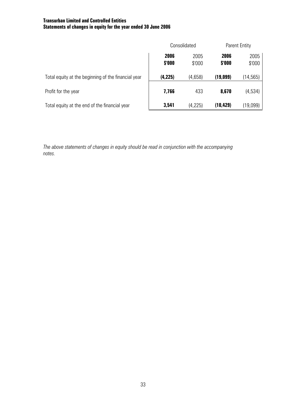# **Transurban Limited and Controlled Entities Statements of changes in equity for the year ended 30 June 2006**

|                                                     | Consolidated   |                | <b>Parent Entity</b> |                |
|-----------------------------------------------------|----------------|----------------|----------------------|----------------|
|                                                     | 2006<br>\$'000 | 2005<br>\$'000 | 2006<br>\$'000       | 2005<br>\$'000 |
| Total equity at the beginning of the financial year | (4,225)        | (4,658)        | (19,099)             | (14, 565)      |
| Profit for the year                                 | 7,766          | 433            | 8,670                | (4,534)        |
| Total equity at the end of the financial year       | 3,541          | (4, 225)       | (10, 429)            | (19,099)       |

*The above statements of changes in equity should be read in conjunction with the accompanying notes.*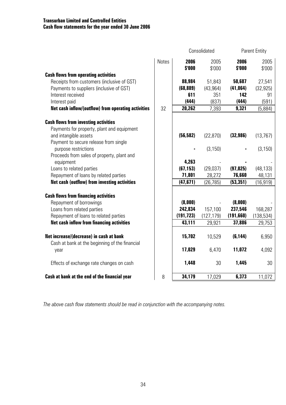# **Transurban Limited and Controlled Entities Cash flow statements for the year ended 30 June 2006**

|                                                                                              |              | Consolidated        |                     | <b>Parent Entity</b> |                     |
|----------------------------------------------------------------------------------------------|--------------|---------------------|---------------------|----------------------|---------------------|
|                                                                                              | <b>Notes</b> | 2006<br>\$'000      | 2005<br>\$'000      | 2006<br>\$'000       | 2005<br>\$'000      |
| <b>Cash flows from operating activities</b>                                                  |              |                     |                     |                      |                     |
| Receipts from customers (inclusive of GST)                                                   |              | 88,984              | 51,843              | 50,687               | 27,541              |
| Payments to suppliers (inclusive of GST)                                                     |              | (68, 889)           | (43, 964)           | (41, 064)            | (32, 925)           |
| Interest received                                                                            |              | 611                 | 351                 | 142                  | 91                  |
| Interest paid                                                                                |              | (444)               | (837)               | (444)                | (591)               |
| Net cash inflow/(outflow) from operating activities                                          | 32           | 20,262              | 7,393               | 9,321                | (5,884)             |
| <b>Cash flows from investing activities</b>                                                  |              |                     |                     |                      |                     |
| Payments for property, plant and equipment                                                   |              |                     |                     |                      |                     |
| and intangible assets                                                                        |              | (56, 582)           | (22, 870)           | (32, 986)            | (13, 767)           |
| Payment to secure release from single                                                        |              |                     |                     |                      |                     |
| purpose restrictions                                                                         |              |                     | (3, 150)            |                      | (3, 150)            |
| Proceeds from sales of property, plant and                                                   |              |                     |                     |                      |                     |
| equipment                                                                                    |              | 4,263               |                     |                      |                     |
| Loans to related parties                                                                     |              | (67, 153)           | (29,037)            | (97, 025)            | (48, 133)           |
| Repayment of loans by related parties<br><b>Net cash (outflow) from investing activities</b> |              | 71,801<br>(47, 671) | 28,272<br>(26, 785) | 76,660<br>(53, 351)  | 48,131<br>(16, 919) |
|                                                                                              |              |                     |                     |                      |                     |
| <b>Cash flows from financing activities</b>                                                  |              |                     |                     |                      |                     |
| Repayment of borrowings                                                                      |              | (8,000)             |                     | (8,000)              |                     |
| Loans from related parties                                                                   |              | 242,834             | 157,100             | 237,546              | 168,287             |
| Repayment of loans to related parties                                                        |              | (191, 723)          | (127, 179)          | (191, 660)           | (138, 534)          |
| <b>Net cash inflow from financing activities</b>                                             |              | 43,111              | 29,921              | 37,886               | 29,753              |
|                                                                                              |              |                     |                     |                      |                     |
| Net increase/(decrease) in cash at bank                                                      |              | 15,702              | 10,529              | (6, 144)             | 6,950               |
| Cash at bank at the beginning of the financial<br>year                                       |              | 17,029              | 6,470               | 11,072               | 4,092               |
|                                                                                              |              |                     |                     |                      |                     |
| Effects of exchange rate changes on cash                                                     |              | 1,448               | 30                  | 1,445                | 30                  |
|                                                                                              |              |                     |                     |                      |                     |
| Cash at bank at the end of the financial year                                                | 8            | 34,179              | 17,029              | 6,373                | 11,072              |

*The above cash flow statements should be read in conjunction with the accompanying notes.*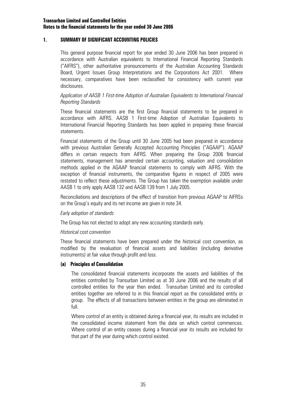## **1. SUMMARY OF SIGNIFICANT ACCOUNTING POLICIES**

This general purpose financial report for year ended 30 June 2006 has been prepared in accordance with Australian equivalents to International Financial Reporting Standards ("AIFRS"), other authoritative pronouncements of the Australian Accounting Standards Board, Urgent Issues Group Interpretations and the Corporations Act 2001. Where necessary, comparatives have been reclassified for consistency with current year disclosures.

## *Application of AASB 1 First-time Adoption of Australian Equivalents to International Financial Reporting Standards*

These financial statements are the first Group financial statements to be prepared in accordance with AIFRS. AASB 1 First-time Adoption of Australian Equivalents to International Financial Reporting Standards has been applied in preparing these financial statements.

Financial statements of the Group until 30 June 2005 had been prepared in accordance with previous Australian Generally Accepted Accounting Principles ("AGAAP"). AGAAP differs in certain respects from AIFRS. When preparing the Group 2006 financial statements, management has amended certain accounting, valuation and consolidation methods applied in the AGAAP financial statements to comply with AIFRS. With the exception of financial instruments, the comparative figures in respect of 2005 were restated to reflect these adjustments. The Group has taken the exemption available under AASB 1 to only apply AASB 132 and AASB 139 from 1 July 2005.

Reconciliations and descriptions of the effect of transition from previous AGAAP to AIFRSs on the Group's equity and its net income are given in note 34.

#### *Early adoption of standards*

The Group has not elected to adopt any new accounting standards early.

#### *Historical cost convention*

These financial statements have been prepared under the historical cost convention, as modified by the revaluation of financial assets and liabilities (including derivative instruments) at fair value through profit and loss.

## **(a) Principles of Consolidation**

The consolidated financial statements incorporate the assets and liabilities of the entities controlled by Transurban Limited as at 30 June 2006 and the results of all controlled entities for the year then ended. Transurban Limited and its controlled entities together are referred to in this financial report as the consolidated entity or group. The effects of all transactions between entities in the group are eliminated in full.

Where control of an entity is obtained during a financial year, its results are included in the consolidated income statement from the date on which control commences. Where control of an entity ceases during a financial year its results are included for that part of the year during which control existed.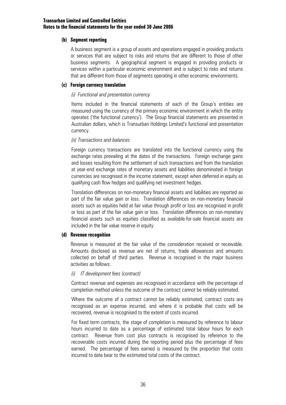## **(b) Segment reporting**

A business segment is a group of assets and operations engaged in providing products or services that are subject to risks and returns that are different to those of other business segments. A geographical segment is engaged in providing products or services within a particular economic environment and is subject to risks and returns that are different from those of segments operating in other economic environments.

### **(c) Foreign currency translation**

### *(i) Functional and presentation currency*

Items included in the financial statements of each of the Group's entities are measured using the currency of the primary economic environment in which the entity operates ('the functional currency'). The Group financial statements are presented in Australian dollars, which is Transurban Holdings Limited's functional and presentation currency.

#### *(ii) Transactions and balances*

Foreign currency transactions are translated into the functional currency using the exchange rates prevailing at the dates of the transactions. Foreign exchange gains and losses resulting from the settlement of such transactions and from the translation at year-end exchange rates of monetary assets and liabilities denominated in foreign currencies are recognised in the income statement, except when deferred in equity as qualifying cash flow hedges and qualifying net investment hedges.

Translation differences on non-monetary financial assets and liabilities are reported as part of the fair value gain or loss. Translation differences on non-monetary financial assets such as equities held at fair value through profit or loss are recognised in profit or loss as part of the fair value gain or loss. Translation differences on non-monetary financial assets such as equities classified as available-for-sale financial assets are included in the fair value reserve in equity.

#### **(d) Revenue recognition**

Revenue is measured at the fair value of the consideration received or receivable. Amounts disclosed as revenue are net of returns, trade allowances and amounts collected on behalf of third parties. Revenue is recognised in the major business activities as follows:

#### *(i) IT development fees (contract)*

Contract revenue and expenses are recognised in accordance with the percentage of completion method unless the outcome of the contract cannot be reliably estimated.

Where the outcome of a contract cannot be reliably estimated, contract costs are recognised as an expense incurred, and where it is probable that costs will be recovered, revenue is recognised to the extent of costs incurred.

For fixed term contracts, the stage of completion is measured by reference to labour hours incurred to date as a percentage of estimated total labour hours for each contract. Revenue from cost plus contracts is recognised by reference to the recoverable costs incurred during the reporting period plus the percentage of fees earned. The percentage of fees earned is measured by the proportion that costs incurred to date bear to the estimated total costs of the contract.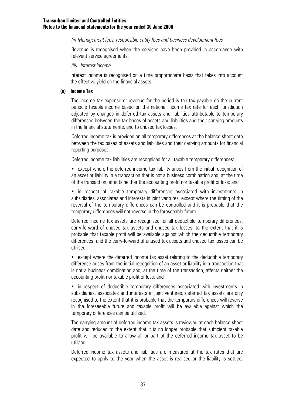## *(ii) Management fees, responsible entity fees and business development fees*

Revenue is recognised when the services have been provided in accordance with relevant service agreements.

#### *(iii) Interest income*

Interest income is recognised on a time proportionate basis that takes into account the effective yield on the financial assets.

## **(e) Income Tax**

The income tax expense or revenue for the period is the tax payable on the current period's taxable income based on the national income tax rate for each jurisdiction adjusted by changes in deferred tax assets and liabilities attributable to temporary differences between the tax bases of assets and liabilities and their carrying amounts in the financial statements, and to unused tax losses.

Deferred income tax is provided on all temporary differences at the balance sheet date between the tax bases of assets and liabilities and their carrying amounts for financial reporting purposes.

Deferred income tax liabilities are recognised for all taxable temporary differences:

 except where the deferred income tax liability arises from the initial recognition of an asset or liability in a transaction that is not a business combination and, at the time of the transaction, affects neither the accounting profit nor taxable profit or loss; and

 in respect of taxable temporary differences associated with investments in subsidiaries, associates and interests in joint ventures, except where the timing of the reversal of the temporary differences can be controlled and it is probable that the temporary differences will not reverse in the foreseeable future.

Deferred income tax assets are recognised for all deductible temporary differences, carry-forward of unused tax assets and unused tax losses, to the extent that it is probable that taxable profit will be available against which the deductible temporary differences, and the carry-forward of unused tax assets and unused tax losses can be utilised:

 except where the deferred income tax asset relating to the deductible temporary difference arises from the initial recognition of an asset or liability in a transaction that is not a business combination and, at the time of the transaction, affects neither the accounting profit nor taxable profit or loss; and

 in respect of deductible temporary differences associated with investments in subsidiaries, associates and interests in joint ventures, deferred tax assets are only recognised to the extent that it is probable that the temporary differences will reverse in the foreseeable future and taxable profit will be available against which the temporary differences can be utilised.

The carrying amount of deferred income tax assets is reviewed at each balance sheet date and reduced to the extent that it is no longer probable that sufficient taxable profit will be available to allow all or part of the deferred income tax asset to be utilised.

Deferred income tax assets and liabilities are measured at the tax rates that are expected to apply to the year when the asset is realised or the liability is settled,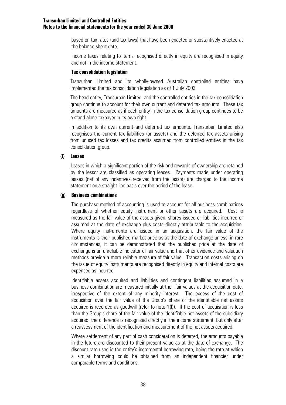based on tax rates (and tax laws) that have been enacted or substantively enacted at the balance sheet date.

Income taxes relating to items recognised directly in equity are recognised in equity and not in the income statement.

#### **Tax consolidation legislation**

Transurban Limited and its wholly-owned Australian controlled entities have implemented the tax consolidation legislation as of 1 July 2003.

The head entity, Transurban Limited, and the controlled entities in the tax consolidation group continue to account for their own current and deferred tax amounts. These tax amounts are measured as if each entity in the tax consolidation group continues to be a stand alone taxpayer in its own right.

In addition to its own current and deferred tax amounts, Transurban Limited also recognises the current tax liabilities (or assets) and the deferred tax assets arising from unused tax losses and tax credits assumed from controlled entities in the tax consolidation group.

## **(f) Leases**

Leases in which a significant portion of the risk and rewards of ownership are retained by the lessor are classified as operating leases. Payments made under operating leases (net of any incentives received from the lessor) are charged to the income statement on a straight line basis over the period of the lease.

## **(g) Business combinations**

 The purchase method of accounting is used to account for all business combinations regardless of whether equity instrument or other assets are acquired. Cost is measured as the fair value of the assets given, shares issued or liabilities incurred or assumed at the date of exchange plus costs directly attributable to the acquisition. Where equity instruments are issued in an acquisition, the fair value of the instruments is their published market price as at the date of exchange unless, in rare circumstances, it can be demonstrated that the published price at the date of exchange is an unreliable indicator of fair value and that other evidence and valuation methods provide a more reliable measure of fair value. Transaction costs arising on the issue of equity instruments are recognised directly in equity and internal costs are expensed as incurred.

 Identifiable assets acquired and liabilities and contingent liabilities assumed in a business combination are measured initially at their fair values at the acquisition date, irrespective of the extent of any minority interest. The excess of the cost of acquisition over the fair value of the Group's share of the identifiable net assets acquired is recorded as goodwill (refer to note 1(l)). If the cost of acquisition is less than the Group's share of the fair value of the identifiable net assets of the subsidiary acquired, the difference is recognised directly in the income statement, but only after a reassessment of the identification and measurement of the net assets acquired.

 Where settlement of any part of cash consideration is deferred, the amounts payable in the future are discounted to their present value as at the date of exchange. The discount rate used is the entity's incremental borrowing rate, being the rate at which a similar borrowing could be obtained from an independent financier under comparable terms and conditions.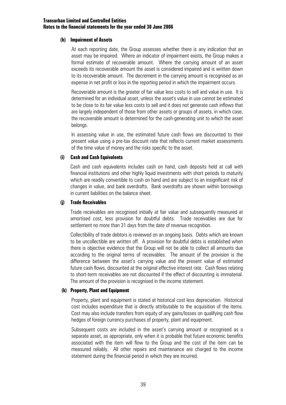### **(h) Impairment of Assets**

At each reporting date, the Group assesses whether there is any indication that an asset may be impaired. Where an indicator of impairment exists, the Group makes a formal estimate of recoverable amount. Where the carrying amount of an asset exceeds its recoverable amount the asset is considered impaired and is written down to its recoverable amount. The decrement in the carrying amount is recognised as an expense in net profit or loss in the reporting period in which the impairment occurs.

Recoverable amount is the greater of fair value less costs to sell and value in use. It is determined for an individual asset, unless the asset's value in use cannot be estimated to be close to its fair value less costs to sell and it does not generate cash inflows that are largely independent of those from other assets or groups of assets, in which case, the recoverable amount is determined for the cash-generating unit to which the asset belongs.

In assessing value in use, the estimated future cash flows are discounted to their present value using a pre-tax discount rate that reflects current market assessments of the time value of money and the risks specific to the asset.

## **(i) Cash and Cash Equivalents**

Cash and cash equivalents includes cash on hand, cash deposits held at call with financial institutions and other highly liquid investments with short periods to maturity which are readily convertible to cash on hand and are subject to an insignificant risk of changes in value, and bank overdrafts. Bank overdrafts are shown within borrowings in current liabilities on the balance sheet.

## **(j) Trade Receivables**

Trade receivables are recognised initially at fair value and subsequently measured at amortised cost, less provision for doubtful debts. Trade receivables are due for settlement no more than 31 days from the date of revenue recognition.

Collectibility of trade debtors is reviewed on an ongoing basis. Debts which are known to be uncollectible are written off. A provision for doubtful debts is established when there is objective evidence that the Group will not be able to collect all amounts due according to the original terms of receivables. The amount of the provision is the difference between the asset's carrying value and the present value of estimated future cash flows, discounted at the original effective interest rate. Cash flows relating to short-term receivables are not discounted if the effect of discounting is immaterial. The amount of the provision is recognised in the income statement.

## **(k) Property, Plant and Equipment**

Property, plant and equipment is stated at historical cost less depreciation. Historical cost includes expenditure that is directly attributable to the acquisition of the items. Cost may also include transfers from equity of any gains/losses on qualifying cash flow hedges of foreign currency purchases of property, plant and equipment.

Subsequent costs are included in the asset's carrying amount or recognised as a separate asset, as appropriate, only when it is probable that future economic benefits associated with the item will flow to the Group and the cost of the item can be measured reliably. All other repairs and maintenance are charged to the income statement during the financial period in which they are incurred.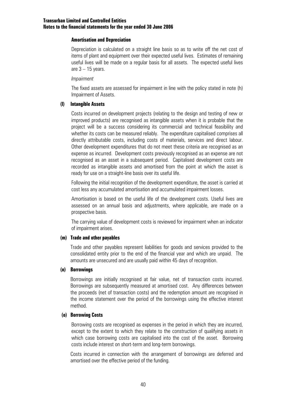#### **Amortisation and Depreciation**

Depreciation is calculated on a straight line basis so as to write off the net cost of items of plant and equipment over their expected useful lives. Estimates of remaining useful lives will be made on a regular basis for all assets. The expected useful lives are  $3 - 15$  vears.

#### *Impairment*

The fixed assets are assessed for impairment in line with the policy stated in note (h) Impairment of Assets.

## **(l) Intangible Assets**

Costs incurred on development projects (relating to the design and testing of new or improved products) are recognised as intangible assets when it is probable that the project will be a success considering its commercial and technical feasibility and whether its costs can be measured reliably. The expenditure capitalised comprises all directly attributable costs, including costs of materials, services and direct labour. Other development expenditures that do not meet these criteria are recognised as an expense as incurred. Development costs previously recognised as an expense are not recognised as an asset in a subsequent period. Capitalised development costs are recorded as intangible assets and amortised from the point at which the asset is ready for use on a straight-line basis over its useful life.

Following the initial recognition of the development expenditure, the asset is carried at cost less any accumulated amortisation and accumulated impairment losses.

Amortisation is based on the useful life of the development costs. Useful lives are assessed on an annual basis and adjustments, where applicable, are made on a prospective basis.

The carrying value of development costs is reviewed for impairment when an indicator of impairment arises.

## **(m) Trade and other payables**

Trade and other payables represent liabilities for goods and services provided to the consolidated entity prior to the end of the financial year and which are unpaid. The amounts are unsecured and are usually paid within 45 days of recognition.

## **(n) Borrowings**

Borrowings are initially recognised at fair value, net of transaction costs incurred. Borrowings are subsequently measured at amortised cost. Any differences between the proceeds (net of transaction costs) and the redemption amount are recognised in the income statement over the period of the borrowings using the effective interest method.

## **(o) Borrowing Costs**

Borrowing costs are recognised as expenses in the period in which they are incurred, except to the extent to which they relate to the construction of qualifying assets in which case borrowing costs are capitalised into the cost of the asset. Borrowing costs include interest on short-term and long-term borrowings.

 Costs incurred in connection with the arrangement of borrowings are deferred and amortised over the effective period of the funding.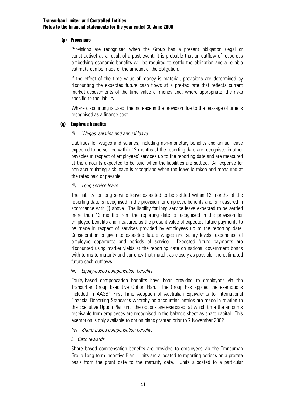## **(p) Provisions**

Provisions are recognised when the Group has a present obligation (legal or constructive) as a result of a past event, it is probable that an outflow of resources embodying economic benefits will be required to settle the obligation and a reliable estimate can be made of the amount of the obligation.

If the effect of the time value of money is material, provisions are determined by discounting the expected future cash flows at a pre-tax rate that reflects current market assessments of the time value of money and, where appropriate, the risks specific to the liability.

Where discounting is used, the increase in the provision due to the passage of time is recognised as a finance cost.

## **(q) Employee benefits**

## *(i) Wages, salaries and annual leave*

Liabilities for wages and salaries, including non-monetary benefits and annual leave expected to be settled within 12 months of the reporting date are recognised in other payables in respect of employees' services up to the reporting date and are measured at the amounts expected to be paid when the liabilities are settled. An expense for non-accumulating sick leave is recognised when the leave is taken and measured at the rates paid or payable.

## *(ii) Long service leave*

The liability for long service leave expected to be settled within 12 months of the reporting date is recognised in the provision for employee benefits and is measured in accordance with (i) above. The liability for long service leave expected to be settled more than 12 months from the reporting date is recognised in the provision for employee benefits and measured as the present value of expected future payments to be made in respect of services provided by employees up to the reporting date. Consideration is given to expected future wages and salary levels, experience of employee departures and periods of service. Expected future payments are discounted using market yields at the reporting date on national government bonds with terms to maturity and currency that match, as closely as possible, the estimated future cash outflows.

## *(iii) Equity-based compensation benefits*

Equity-based compensation benefits have been provided to employees via the Transurban Group Executive Option Plan. The Group has applied the exemptions included in AASB1 First Time Adoption of Australian Equivalents to International Financial Reporting Standards whereby no accounting entries are made in relation to the Executive Option Plan until the options are exercised, at which time the amounts receivable from employees are recognised in the balance sheet as share capital. This exemption is only available to option plans granted prior to 7 November 2002.

## *(iv) Share-based compensation benefits*

## *i. Cash rewards*

Share based compensation benefits are provided to employees via the Transurban Group Long-term Incentive Plan. Units are allocated to reporting periods on a prorata basis from the grant date to the maturity date. Units allocated to a particular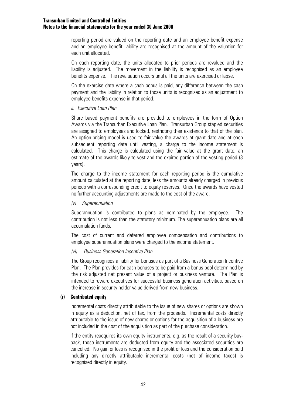reporting period are valued on the reporting date and an employee benefit expense and an employee benefit liability are recognised at the amount of the valuation for each unit allocated.

On each reporting date, the units allocated to prior periods are revalued and the liability is adjusted. The movement in the liability is recognised as an employee benefits expense. This revaluation occurs until all the units are exercised or lapse.

On the exercise date where a cash bonus is paid, any difference between the cash payment and the liability in relation to those units is recognised as an adjustment to employee benefits expense in that period.

## *ii. Executive Loan Plan*

Share based payment benefits are provided to employees in the form of Option Awards via the Transurban Executive Loan Plan. Transurban Group stapled securities are assigned to employees and locked, restricting their existence to that of the plan. An option-pricing model is used to fair value the awards at grant date and at each subsequent reporting date until vesting, a charge to the income statement is calculated. This charge is calculated using the fair value at the grant date, an estimate of the awards likely to vest and the expired portion of the vesting period (3 years).

The charge to the income statement for each reporting period is the cumulative amount calculated at the reporting date, less the amounts already charged in previous periods with a corresponding credit to equity reserves. Once the awards have vested no further accounting adjustments are made to the cost of the award.

## *(v) Superannuation*

Superannuation is contributed to plans as nominated by the employee. The contribution is not less than the statutory minimum. The superannuation plans are all accumulation funds.

The cost of current and deferred employee compensation and contributions to employee superannuation plans were charged to the income statement.

## *(vi) Business Generation Incentive Plan*

The Group recognises a liability for bonuses as part of a Business Generation Incentive Plan. The Plan provides for cash bonuses to be paid from a bonus pool determined by the risk adjusted net present value of a project or business venture. The Plan is intended to reward executives for successful business generation activities, based on the increase in security holder value derived from new business.

## **(r) Contributed equity**

Incremental costs directly attributable to the issue of new shares or options are shown in equity as a deduction, net of tax, from the proceeds. Incremental costs directly attributable to the issue of new shares or options for the acquisition of a business are not included in the cost of the acquisition as part of the purchase consideration.

If the entity reacquires its own equity instruments, e.g. as the result of a security buyback, those instruments are deducted from equity and the associated securities are cancelled. No gain or loss is recognised in the profit or loss and the consideration paid including any directly attributable incremental costs (net of income taxes) is recognised directly in equity.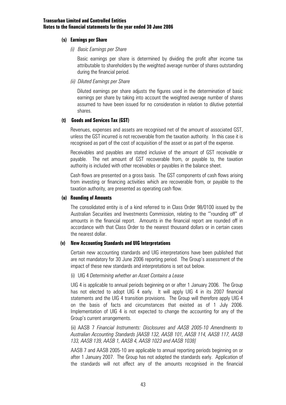## **(s) Earnings per Share**

#### *(i) Basic Earnings per Share*

 Basic earnings per share is determined by dividing the profit after income tax attributable to shareholders by the weighted average number of shares outstanding during the financial period.

*(ii) Diluted Earnings per Share* 

Diluted earnings per share adjusts the figures used in the determination of basic earnings per share by taking into account the weighted average number of shares assumed to have been issued for no consideration in relation to dilutive potential shares.

## **(t) Goods and Services Tax (GST)**

Revenues, expenses and assets are recognised net of the amount of associated GST, unless the GST incurred is not recoverable from the taxation authority. In this case it is recognised as part of the cost of acquisition of the asset or as part of the expense.

Receivables and payables are stated inclusive of the amount of GST receivable or payable. The net amount of GST recoverable from, or payable to, the taxation authority is included with other receivables or payables in the balance sheet.

Cash flows are presented on a gross basis. The GST components of cash flows arising from investing or financing activities which are recoverable from, or payable to the taxation authority, are presented as operating cash flow.

## **(u) Rounding of Amounts**

The consolidated entity is of a kind referred to in Class Order 98/0100 issued by the Australian Securities and Investments Commission, relating to the '"rounding off" of amounts in the financial report. Amounts in the financial report are rounded off in accordance with that Class Order to the nearest thousand dollars or in certain cases the nearest dollar.

## **(v) New Accounting Standards and UIG Interpretations**

Certain new accounting standards and UIG interpretations have been published that are not mandatory for 30 June 2006 reporting period. The Group's assessment of the impact of these new standards and interpretations is set out below.

#### (i) UIG 4 *Determining whether an Asset Contains a Lease*

 UIG 4 is applicable to annual periods beginning on or after 1 January 2006. The Group has not elected to adopt UIG 4 early. It will apply UIG 4 in its 2007 financial statements and the UIG 4 transition provisions. The Group will therefore apply UIG 4 on the basis of facts and circumstances that existed as of 1 July 2006. Implementation of UIG 4 is not expected to change the accounting for any of the Group's current arrangements.

 (ii) AASB 7 *Financial Instruments: Disclosures and AASB 2005-10 Amendments to Australian Accounting Standards [AASB 132, AASB 101, AASB 114, AASB 117, AASB 133, AASB 139, AASB 1, AASB 4, AASB 1023 and AASB 1038]* 

 AASB 7 and AASB 2005-10 are applicable to annual reporting periods beginning on or after 1 January 2007. The Group has not adopted the standards early. Application of the standards will not affect any of the amounts recognised in the financial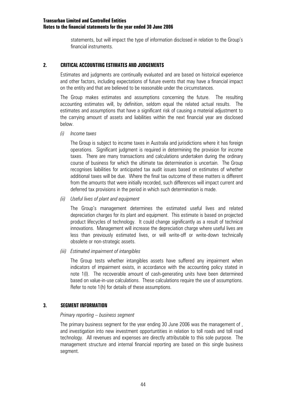statements, but will impact the type of information disclosed in relation to the Group's financial instruments.

## **2. CRITICAL ACCOUNTING ESTIMATES AND JUDGEMENTS**

 Estimates and judgments are continually evaluated and are based on historical experience and other factors, including expectations of future events that may have a financial impact on the entity and that are believed to be reasonable under the circumstances.

 The Group makes estimates and assumptions concerning the future. The resulting accounting estimates will, by definition, seldom equal the related actual results. The estimates and assumptions that have a significant risk of causing a material adjustment to the carrying amount of assets and liabilities within the next financial year are disclosed below.

*(i) Income taxes* 

 The Group is subject to income taxes in Australia and jurisdictions where it has foreign operations. Significant judgment is required in determining the provision for income taxes. There are many transactions and calculations undertaken during the ordinary course of business for which the ultimate tax determination is uncertain. The Group recognises liabilities for anticipated tax audit issues based on estimates of whether additional taxes will be due. Where the final tax outcome of these matters is different from the amounts that were initially recorded, such differences will impact current and deferred tax provisions in the period in which such determination is made.

*(ii) Useful lives of plant and equipment* 

The Group's management determines the estimated useful lives and related depreciation charges for its plant and equipment. This estimate is based on projected product lifecycles of technology. It could change significantly as a result of technical innovations. Management will increase the depreciation charge where useful lives are less than previously estimated lives, or will write-off or write-down technically obsolete or non-strategic assets.

## *(iii) Estimated impairment of intangibles*

The Group tests whether intangibles assets have suffered any impairment when indicators of impairment exists, in accordance with the accounting policy stated in note 1(l). The recoverable amount of cash-generating units have been determined based on value-in-use calculations. These calculations require the use of assumptions. Refer to note 1(h) for details of these assumptions.

## **3. SEGMENT INFORMATION**

#### *Primary reporting – business segment*

The primary business segment for the year ending 30 June 2006 was the management of , and investigation into new investment opportuntities in relation to toll roads and toll road technology. All revenues and expenses are directly attributable to this sole purpose. The management structure and internal financial reporting are based on this single business segment.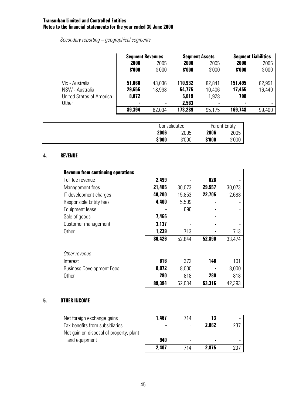*Secondary reporting – geographical segments* 

|                          | <b>Segment Revenues</b> |                          | <b>Segment Assets</b> |        | <b>Segment Liabilities</b> |        |
|--------------------------|-------------------------|--------------------------|-----------------------|--------|----------------------------|--------|
|                          | 2006                    | 2005                     | 2006                  | 2005   | 2006                       | 2005   |
|                          | \$'000                  | \$'000                   | \$000                 | \$'000 | \$'000                     | \$'000 |
| Vic - Australia          | 51,666                  | 43,036                   | 110,932               | 82,841 | 151,495                    | 82,951 |
| NSW - Australia          | 29,656                  | 18,998                   | 54,775                | 10,406 | 17,455                     | 16,449 |
| United States of America | 8,072                   | $\overline{\phantom{a}}$ | 5,019                 | 1,928  | 798                        |        |
| Other                    | ٠                       |                          | 2,563                 |        | ۰                          |        |
|                          | 89,394                  | 62,034                   | 173,289               | 95,175 | 169,748                    | 99,400 |

| Consolidated |        | <b>Parent Entity</b> |        |
|--------------|--------|----------------------|--------|
| 2006         | 2005   | 2006                 | 2005   |
| \$'000       | \$'000 | \$'000               | \$'000 |

## **4. REVENUE**

| <b>Revenue from continuing operations</b> |        |        |                |        |
|-------------------------------------------|--------|--------|----------------|--------|
| Toll fee revenue                          | 2,499  |        | 628            |        |
| Management fees                           | 21,485 | 30,073 | 29,557         | 30,073 |
| IT development charges                    | 40,200 | 15,853 | 22,705         | 2,688  |
| Responsible Entity fees                   | 4,400  | 5,509  | $\blacksquare$ |        |
| Equipment lease                           |        | 696    |                |        |
| Sale of goods                             | 7,466  |        | $\blacksquare$ |        |
| Customer management                       | 3,137  |        |                |        |
| <b>Other</b>                              | 1,239  | 713    |                | 713    |
|                                           | 80,426 | 52,844 | 52,890         | 33,474 |
| Other revenue                             |        |        |                |        |
| Interest                                  | 616    | 372    | 146            | 101    |
| <b>Business Development Fees</b>          | 8,072  | 8,000  |                | 8,000  |
| <b>Other</b>                              | 280    | 818    | <b>280</b>     | 818    |
|                                           | 89,394 | 62,034 | 53,316         | 42,393 |

# **5. OTHER INCOME**

| Net foreign exchange gains              | 1,467 | 714 | 13    |     |
|-----------------------------------------|-------|-----|-------|-----|
| Tax benefits from subsidiaries          | ٠     |     | 2,862 | 237 |
| Net gain on disposal of property, plant |       |     |       |     |
| and equipment                           | 940   |     | ٠     |     |
|                                         | 2,407 | 714 | 2.875 | クマフ |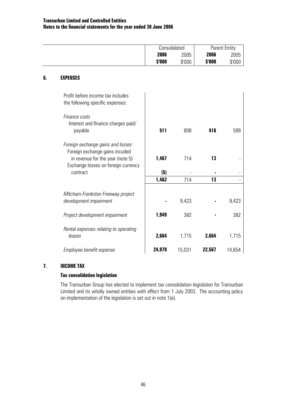| Consolidated |        | <b>Parent Entity</b> |        |
|--------------|--------|----------------------|--------|
| 2006         | 2005   | 2006                 | 2005   |
| \$'000       | \$'000 | \$'000               | \$'000 |

## **6. EXPENSES**

 Profit before income tax includes the following specific expenses: *Finance costs*  Interest and finance charges paid/ payable **511** 808 **416** 589 *Foreign exchange gains and losses*  Foreign exchange gains incuded in revenue for the year (note 5) **1,467** 714 **13** - Exchange losses on foreign currency contract **(5)** - **-** - **1,462** 714 **13** - *Mitcham-Frankston Freeway project development impairment* **-** 9,423 **-** 9,423 *Project development impairment* **1,949** 382 **-** 382 *Rental expenses relating to operating leases* **2,664** 1,715 **2,664** 1,715 *Employee benefit expense* **24,979** 15,031 **22,567** 14,654

## **7. INCOME TAX**

## **Tax consolidation legislation**

The Transurban Group has elected to implement tax consolidation legislation for Transurban Limited and its wholly owned entities with effect from 1 July 2003. The accounting policy on implementation of the legislation is set out in note 1(e).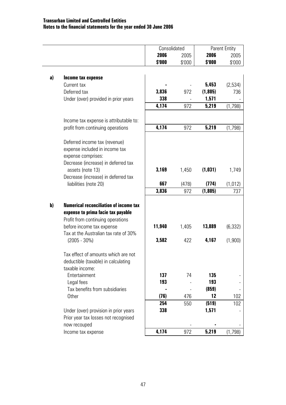|    |                                                                                                                                                                                                                   | Consolidated    |                | <b>Parent Entity</b> |                     |
|----|-------------------------------------------------------------------------------------------------------------------------------------------------------------------------------------------------------------------|-----------------|----------------|----------------------|---------------------|
|    |                                                                                                                                                                                                                   | 2006<br>\$'000  | 2005<br>\$'000 | 2006<br>\$'000       | 2005<br>\$'000      |
|    |                                                                                                                                                                                                                   |                 |                |                      |                     |
| a) | Income tax expense                                                                                                                                                                                                |                 |                |                      |                     |
|    | Current tax                                                                                                                                                                                                       |                 |                | 5,453                | (2,534)             |
|    | Deferred tax                                                                                                                                                                                                      | 3,836<br>338    | 972            | (1, 805)             | 736                 |
|    | Under (over) provided in prior years                                                                                                                                                                              | 4,174           | 972            | 1,571<br>5,219       | (1,798)             |
|    |                                                                                                                                                                                                                   |                 |                |                      |                     |
|    | Income tax expense is attributable to:                                                                                                                                                                            |                 |                |                      |                     |
|    | profit from continuing operations                                                                                                                                                                                 | 4,174           | 972            | 5,219                | (1,798)             |
|    | Deferred income tax (revenue)                                                                                                                                                                                     |                 |                |                      |                     |
|    | expense included in income tax                                                                                                                                                                                    |                 |                |                      |                     |
|    | expense comprises:                                                                                                                                                                                                |                 |                |                      |                     |
|    | Decrease (increase) in deferred tax                                                                                                                                                                               |                 |                |                      |                     |
|    | assets (note 13)                                                                                                                                                                                                  | 3,169           | 1,450          | (1, 031)             | 1,749               |
|    | Decrease (increase) in deferred tax<br>liabilities (note 20)                                                                                                                                                      | 667             | (478)          | (774)                | (1, 012)            |
|    |                                                                                                                                                                                                                   | 3,836           | 972            | (1, 805)             | 737                 |
|    | <b>Numerical reconciliation of income tax</b><br>expense to prima facie tax payable<br>Profit from continuing operations<br>before income tax expense<br>Tax at the Australian tax rate of 30%<br>$(2005 - 30\%)$ | 11,940<br>3,582 | 1,405<br>422   | 13,889<br>4,167      | (6, 332)<br>(1,900) |
|    | Tax effect of amounts which are not<br>deductible (taxable) in calculating<br>taxable income:                                                                                                                     |                 |                |                      |                     |
|    | Entertainment                                                                                                                                                                                                     | 137             | 74             | 135                  |                     |
|    | Legal fees                                                                                                                                                                                                        | 193             |                | 193                  |                     |
|    | Tax benefits from subsidiaries                                                                                                                                                                                    |                 |                | (859)                |                     |
|    | Other                                                                                                                                                                                                             | (76)            | 476            | 12                   | 102                 |
|    |                                                                                                                                                                                                                   | 254             | 550            | (519)                | 102                 |
|    | Under (over) provision in prior years                                                                                                                                                                             | 338             |                | 1,571                |                     |
|    | Prior year tax losses not recognised                                                                                                                                                                              |                 |                |                      |                     |
|    | now recouped                                                                                                                                                                                                      | 4,174           |                | 5,219                |                     |
|    | Income tax expense                                                                                                                                                                                                |                 | 972            |                      | (1,798)             |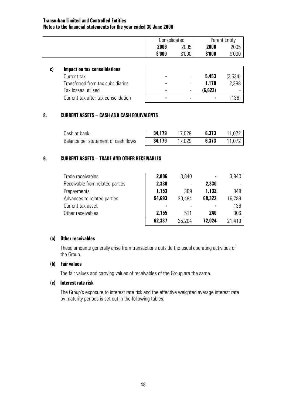|    |                                     | Consolidated |        |          | <b>Parent Entity</b> |
|----|-------------------------------------|--------------|--------|----------|----------------------|
|    |                                     | 2006         | 2005   | 2006     | 2005                 |
|    |                                     | \$'000       | \$'000 | \$'000   | \$'000               |
|    |                                     |              |        |          |                      |
| C) | <b>Impact on tax consolidations</b> |              |        |          |                      |
|    | Current tax                         |              |        | 5,453    | (2,534)              |
|    | Transferred from tax subsidiaries   |              |        | 1,170    | 2,398                |
|    | Tax losses utilised                 |              |        | (6, 623) |                      |
|    | Current tax after tax consolidation |              |        |          | 136                  |

## **8. CURRENT ASSETS – CASH AND CASH EQUIVALENTS**

| Cash at bank                        | 34,179 | 17.029 | 6,373 | 11.072 |
|-------------------------------------|--------|--------|-------|--------|
| Balance per statement of cash flows | 34,179 | 17.029 | 6,373 | 11.072 |

## **9. CURRENT ASSETS – TRADE AND OTHER RECEIVABLES**

| Trade receivables               | 2,006  | 3,840  | ۰      | 3,840  |
|---------------------------------|--------|--------|--------|--------|
| Receivable from related parties | 2,330  |        | 2,330  |        |
| Prepayments                     | 1,153  | 369    | 1,132  | 348    |
| Advances to related parties     | 54,693 | 20,484 | 68,322 | 16,789 |
| Current tax asset               | ٠      |        | ۰      | 136    |
| Other receivables               | 2.155  | 511    | 240    | 306    |
|                                 | 62,337 | 25,204 | 72,024 | 21.419 |

## **(a) Other receivables**

 These amounts generally arise from transactions outside the usual operating activities of the Group.

### **(b) Fair values**

The fair values and carrying values of receivables of the Group are the same.

### **(c) Interest rate risk**

 The Group's exposure to interest rate risk and the effective weighted average interest rate by maturity periods is set out in the following tables: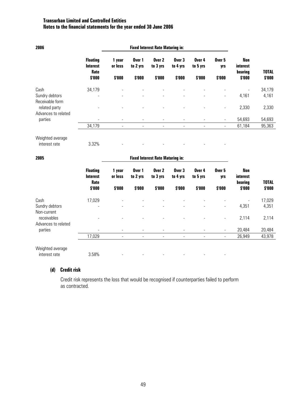| 2006                                              |                                            |                          |                          | <b>Fixed Interest Rate Maturing in:</b> |                               |                          |                          |                                          |                 |
|---------------------------------------------------|--------------------------------------------|--------------------------|--------------------------|-----------------------------------------|-------------------------------|--------------------------|--------------------------|------------------------------------------|-----------------|
|                                                   | <b>Floating</b><br><b>Interest</b><br>Rate | 1 year<br>or less        | Over 1<br>to 2 yrs       | Over <sub>2</sub><br>to 3 yrs           | Over <sub>3</sub><br>to 4 yrs | Over 4<br>to 5 yrs       | Over 5<br>yrs            | <b>Non</b><br><i>interest</i><br>bearing | <b>TOTAL</b>    |
|                                                   | \$'000                                     | \$'000                   | \$'000                   | \$'000                                  | \$'000                        | \$'000                   | \$'000                   | \$'000                                   | \$'000          |
| Cash<br>Sundry debtors<br>Receivable form         | 34,179                                     |                          |                          |                                         |                               |                          | $\overline{\phantom{a}}$ | 4,161                                    | 34,179<br>4,161 |
| related party<br>Advances to related              |                                            |                          |                          |                                         |                               |                          | $\overline{\phantom{a}}$ | 2,330                                    | 2,330           |
| parties                                           |                                            | $\overline{\phantom{a}}$ | $\overline{\phantom{a}}$ | $\overline{\phantom{a}}$                |                               | $\overline{\phantom{a}}$ | $\overline{\phantom{a}}$ | 54,693                                   | 54,693          |
|                                                   | 34,179                                     |                          | $\overline{a}$           |                                         |                               | $\Box$                   |                          | 61,184                                   | 95,363          |
| Weighted average<br>interest rate                 | 3.32%                                      |                          |                          |                                         |                               |                          |                          |                                          |                 |
| 2005                                              |                                            |                          |                          | <b>Fixed Interest Rate Maturing in:</b> |                               |                          |                          |                                          |                 |
|                                                   | <b>Floating</b><br><b>Interest</b><br>Rate | 1 year<br>or less        | Over 1<br>to 2 yrs       | Over <sub>2</sub><br>to 3 yrs           | Over 3<br>to 4 yrs            | Over 4<br>to 5 yrs       | Over 5<br>yrs            | <b>Non</b><br><i>interest</i><br>bearing | <b>TOTAL</b>    |
|                                                   | \$'000                                     | \$'000                   | \$'000                   | \$'000                                  | \$'000                        | \$'000                   | \$'000                   | \$'000                                   | \$'000          |
| Cash<br>Sundry debtors                            | 17,029                                     |                          |                          |                                         |                               |                          | $\overline{\phantom{a}}$ | $\overline{\phantom{a}}$<br>4,351        | 17,029<br>4,351 |
| Non-current<br>receivables<br>Advances to related |                                            |                          |                          |                                         |                               |                          |                          | 2,114                                    | 2,114           |
| parties                                           |                                            |                          |                          | $\overline{\phantom{a}}$                |                               |                          |                          | 20,484                                   | 20,484          |
|                                                   | 17,029                                     | $\overline{\phantom{a}}$ | $\overline{a}$           | $\overline{a}$                          | $\overline{\phantom{a}}$      | $\overline{a}$           |                          | 26,949                                   | 43,978          |
| Weighted average<br>interest rate                 | 3.58%                                      |                          |                          |                                         |                               |                          |                          |                                          |                 |

# **(d) Credit risk**

 Credit risk represents the loss that would be recognised if counterparties failed to perform as contracted.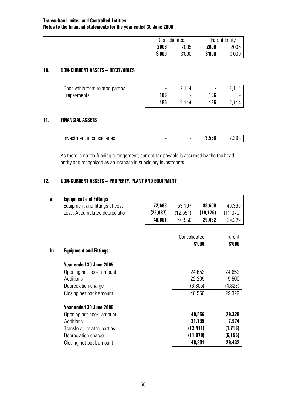| Consolidated |        | <b>Parent Entity</b> |        |
|--------------|--------|----------------------|--------|
| 2006         | 2005   | 2006                 | 2005   |
| \$'000       | \$'000 | \$'000               | \$'000 |

## **10. NON-CURRENT ASSETS – RECEIVABLES**

| Receivable from related parties | ٠   | 2.114          | ٠   | 2.114   |
|---------------------------------|-----|----------------|-----|---------|
| Prepayments                     | 186 | $\overline{a}$ | 186 | -       |
|                                 | 186 | 2 1 1 4        | 186 | 2 1 1 4 |

## **11. FINANCIAL ASSETS**

| Investment in subsidiaries |  |  | 3,568 | $^{\circ}$ ,398 |
|----------------------------|--|--|-------|-----------------|
|----------------------------|--|--|-------|-----------------|

 As there is no tax funding arrangement, current tax payable is assumed by the tax head entity and recognised as an increase in subsidiary investments.

## **12. NON-CURRENT ASSETS – PROPERTY, PLANT AND EQUIPMENT**

| a) | <b>Equipment and Fittings</b>  |          |              |           |          |
|----|--------------------------------|----------|--------------|-----------|----------|
|    | Equipment and fittings at cost | 72,688   | 53,107       | 48,608    | 40,399   |
|    | Less: Accumulated depreciation | (23,887) | (12,551)     | (19, 176) | (11,070) |
|    |                                | 48,801   | 40,556       | 29,432    | 29,329   |
|    |                                |          |              |           |          |
|    |                                |          | Consolidated |           | Parent   |
|    |                                |          |              | \$'000    | \$'000   |
| b) | <b>Equipment and Fittings</b>  |          |              |           |          |
|    | Year ended 30 June 2005        |          |              |           |          |
|    | Opening net book amount        |          |              | 24,652    | 24,652   |
|    | Additions                      |          |              | 22,209    | 9,500    |
|    | Depreciation charge            |          |              | (6, 305)  | (4,823)  |
|    | Closing net book amount        |          |              | 40,556    | 29,329   |
|    | Year ended 30 June 2006        |          |              |           |          |
|    | Opening net book amount        |          |              | 40,556    | 29,329   |
|    | Additions                      |          |              | 31,735    | 7,974    |
|    | Transfers - related parties    |          |              | (12, 411) | (1,716)  |
|    | Depreciation charge            |          |              | (11, 079) | (6, 155) |
|    | Closing net book amount        |          |              | 48,801    | 29,432   |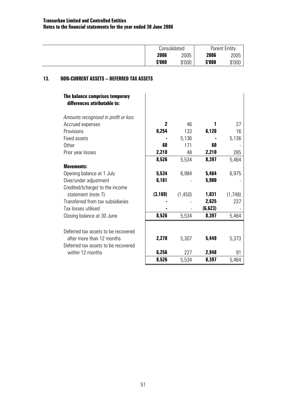| Consolidated |        | <b>Parent Entity</b> |        |
|--------------|--------|----------------------|--------|
| 2006         | 2005   | 2006                 | 2005   |
| \$'000       | \$'000 | \$'000               | \$'000 |

# **13. NON-CURRENT ASSETS – DEFERRED TAX ASSETS**

| The balance comprises temporary<br>differences attributable to: |          |         |          |         |
|-----------------------------------------------------------------|----------|---------|----------|---------|
| Amounts recognised in profit or loss                            |          |         |          |         |
| Accrued expenses                                                | 2        | 46      |          |         |
| Provisions                                                      | 6,254    | 133     | 6,126    |         |
| Fixed assets                                                    |          | 5,136   |          | 5,136   |
| Other                                                           | 60       | 171     | 60       |         |
| Prior year losses                                               | 2,210    | 48      | 2,210    | 285     |
|                                                                 | 8,526    | 5,534   | 8,397    | 5,464   |
| <b>Movements:</b>                                               |          |         |          |         |
| Opening balance at 1 July                                       | 5,534    | 6,984   | 5,464    | 6,975   |
| Over/under adjustment                                           | 6,161    |         | 5,900    |         |
| Credited/(charge) to the income                                 |          |         |          |         |
| statement (note 7)                                              | (3, 169) | (1,450) | 1,031    | (1,748) |
| Transferred from tax subsidiaries                               |          |         | 2,625    | 237     |
| Tax losses utilised                                             |          |         | (6, 623) |         |
| Closing balance at 30 June                                      | 8,526    | 5,534   | 8,397    | 5,464   |
|                                                                 |          |         |          |         |
| Deferred tax assets to be recovered                             |          |         |          |         |
| after more than 12 months                                       | 2,270    | 5,307   | 5,449    | 5,373   |
| Deferred tax assets to be recovered<br>within 12 months         | 6,256    | 227     | 2,948    |         |
|                                                                 | 8,526    | 5,534   | 8,397    | 5,464   |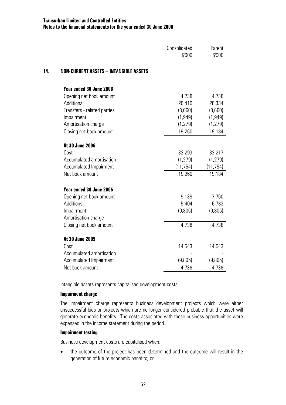|     |                                               | Consolidated<br>\$'000 | Parent<br>\$'000 |
|-----|-----------------------------------------------|------------------------|------------------|
| 14. | <b>NON-CURRENT ASSETS - INTANGIBLE ASSETS</b> |                        |                  |
|     | Year ended 30 June 2006                       |                        |                  |
|     | Opening net book amount                       | 4,738                  | 4,738            |
|     | <b>Additions</b>                              | 26,410                 | 26,334           |
|     | Transfers - related parties                   | (8,660)                | (8,660)          |
|     | Impairment                                    | (1, 949)               | (1, 949)         |
|     | Amortisation charge                           | (1, 279)               | (1, 279)         |
|     | Closing net book amount                       | 19,260                 | 19,184           |
|     | At 30 June 2006                               |                        |                  |
|     | Cost                                          | 32,293                 | 32,217           |
|     | Accumulated amortisation                      | (1, 279)               | (1, 279)         |
|     | Accumulated Impairment                        | (11, 754)              | (11, 754)        |
|     | Net book amount                               | 19,260                 | 19,184           |
|     |                                               |                        |                  |
|     | Year ended 30 June 2005                       |                        |                  |
|     | Opening net book amount<br><b>Additions</b>   | 9,139                  | 7,760            |
|     |                                               | 5,404                  | 6,783            |
|     | Impairment<br>Amortisation charge             | (9,805)                | (9,805)          |
|     |                                               | 4,738                  | 4,738            |
|     | Closing net book amount                       |                        |                  |
|     | At 30 June 2005                               |                        |                  |
|     | Cost                                          | 14,543                 | 14,543           |
|     | Accumulated amortisation                      |                        |                  |
|     | Accumulated Impairment                        | (9,805)                | (9,805)          |
|     | Net book amount                               | 4,738                  | 4,738            |

Intangible assets represents capitalised development costs.

#### **Impairment charge**

The impairment charge represents business development projects which were either unsuccessful bids or projects which are no longer considered probable that the asset will generate economic benefits. The costs associated with these business opportunities were expensed in the income statement during the period.

#### **Impairment testing**

Business development costs are capitalised when:

• the outcome of the project has been determined and the outcome will result in the generation of future economic benefits; or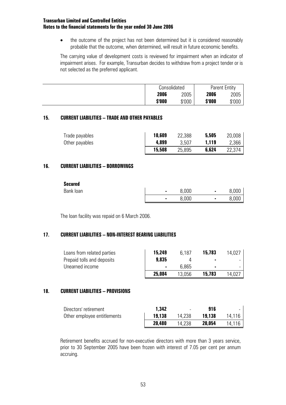• the outcome of the project has not been determined but it is considered reasonably probable that the outcome, when determined, will result in future economic benefits.

The carrying value of development costs is reviewed for impairment when an indicator of impairment arises. For example, Transurban decides to withdraw from a project tender or is not selected as the preferred applicant.

| Consolidated |        | <b>Parent Entity</b> |        |
|--------------|--------|----------------------|--------|
| 2006         | 2005   | 2006                 | 2005   |
| \$'000       | \$'000 | \$'000               | \$'000 |

## **15. CURRENT LIABILITIES – TRADE AND OTHER PAYABLES**

| Trade payables | 10,609 | 22.388 | 5,505 | 20,008 |
|----------------|--------|--------|-------|--------|
| Other payables | 4,899  | 3.507  | 1,119 | 2,366  |
|                | 15,508 | 25,895 | 6,624 | 22,374 |

## **16. CURRENT LIABILITIES – BORROWINGS**

| <b>Secured</b> |                |       |                |       |
|----------------|----------------|-------|----------------|-------|
| Bank loan      | ٠              | 8,000 | ٠              | 8,000 |
|                | $\blacksquare$ | 8,000 | $\blacksquare$ | 8,000 |

The loan facility was repaid on 6 March 2006.

## **17. CURRENT LIABILITIES – NON-INTEREST BEARING LIABILITIES**

| Loans from related parties | 15,249 | 6.187  | 15,783 | 14.027 |
|----------------------------|--------|--------|--------|--------|
| Prepaid tolls and deposits | 9,835  |        |        |        |
| Unearned income            | ۰      | 6.865  |        |        |
|                            | 25,084 | 13.056 | 15,783 | 14.027 |

#### **18. CURRENT LIABILITIES – PROVISIONS**

| Directors' retirement       | 1,342  | $\sim$ | 91 R   |        |
|-----------------------------|--------|--------|--------|--------|
| Other employee entitlements | 19,138 | 14.238 | 19,138 | 14.116 |
|                             | 20,480 | 14.238 | 20,054 | 14.116 |

Retirement benefits accrued for non-executive directors with more than 3 years service, prior to 30 September 2005 have been frozen with interest of 7.05 per cent per annum accruing.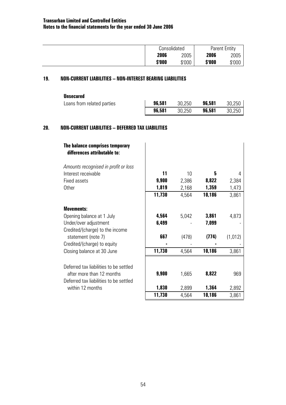| Consolidated |        |        | <b>Parent Entity</b> |
|--------------|--------|--------|----------------------|
| 2006         | 2005   | 2006   | 2005                 |
| \$'000       | \$'000 | \$'000 | \$'000               |

# **19. NON-CURRENT LIABILITIES – NON-INTEREST BEARING LIABILITIES**

| <b>Unsecured</b>           |        |        |        |        |
|----------------------------|--------|--------|--------|--------|
| Loans from related parties | 96,581 | 30.250 | 96,581 | 30,250 |
|                            | 96,581 | 30.250 | 96,581 | 30,250 |

## **20. NON-CURRENT LIABILITIES – DEFERRED TAX LIABILITIES**

| The balance comprises temporary<br>differences attributable to: |        |       |        |          |
|-----------------------------------------------------------------|--------|-------|--------|----------|
| Amounts recognised in profit or loss                            |        |       |        |          |
| Interest receivable                                             | 11     | 10    | 5      | 4        |
| Fixed assets                                                    | 9,900  | 2,386 | 8,822  | 2,384    |
| <b>Other</b>                                                    | 1,819  | 2,168 | 1,359  | 1,473    |
|                                                                 | 11,730 | 4,564 | 10,186 | 3,861    |
| <b>Movements:</b>                                               |        |       |        |          |
| Opening balance at 1 July                                       | 4,564  | 5,042 | 3,861  | 4,873    |
| Under/over adjustment                                           | 6,499  |       | 7,099  |          |
| Credited/(charge) to the income                                 |        |       |        |          |
| statement (note 7)                                              | 667    | (478) | (774)  | (1, 012) |
| Credited/(charge) to equity                                     |        |       |        |          |
| Closing balance at 30 June                                      | 11,730 | 4,564 | 10,186 | 3,861    |
| Deferred tax liabilities to be settled                          |        |       |        |          |
| after more than 12 months                                       | 9,900  | 1,665 | 8,822  | 969      |
| Deferred tax liabilities to be settled                          |        |       |        |          |
| within 12 months                                                | 1,830  | 2,899 | 1,364  | 2,892    |
|                                                                 | 11,730 | 4,564 | 10,186 | 3,861    |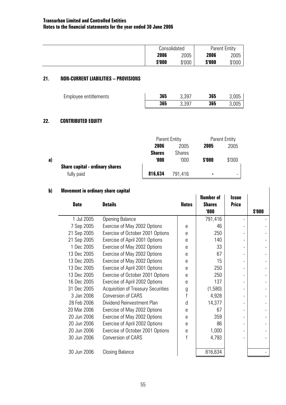| Consolidated |        | <b>Parent Entity</b> |        |
|--------------|--------|----------------------|--------|
| 2006         | 2005   | 2006                 | 2005   |
| \$'000       | \$'000 | \$'000               | \$'000 |

# **21. NON-CURRENT LIABILITIES – PROVISIONS**

| Employee entitlements | 365 | ,39    | 365 | ,005  |
|-----------------------|-----|--------|-----|-------|
|                       | 365 | $.39-$ | 365 | 3,005 |

## **22. CONTRIBUTED EQUITY**

|                                        | <b>Parent Entity</b> |               | <b>Parent Entity</b> |        |
|----------------------------------------|----------------------|---------------|----------------------|--------|
|                                        | 2006                 | 2005          | 2005                 | 2005   |
|                                        | <b>Shares</b>        | <b>Shares</b> |                      |        |
| a)                                     | <b>'000</b>          | 000           | \$'000               | \$'000 |
| <b>Share capital - ordinary shares</b> |                      |               |                      |        |
| fully paid                             | 816,634              | 791.416       | ۰                    |        |

## **b) Movement in ordinary share capital**

| <b>Date</b> | <b>Details</b>                            | <b>Notes</b> | <b>Number of</b><br><b>Shares</b> | <b>Issue</b><br><b>Price</b> |        |
|-------------|-------------------------------------------|--------------|-----------------------------------|------------------------------|--------|
|             |                                           |              | <b>'000</b>                       |                              | \$'000 |
| 1 Jul 2005  | <b>Opening Balance</b>                    |              | 791,416                           | $\qquad \qquad \blacksquare$ |        |
| 7 Sep 2005  | Exercise of May 2002 Options              | e            | 46                                |                              |        |
| 21 Sep 2005 | Exercise of October 2001 Options          | $\theta$     | 250                               |                              |        |
| 21 Sep 2005 | Exercise of April 2001 Options            | e            | 140                               |                              |        |
| 1 Dec 2005  | Exercise of May 2002 Options              | e            | 33                                |                              |        |
| 13 Dec 2005 | Exercise of May 2002 Options              | e            | 67                                |                              |        |
| 13 Dec 2005 | Exercise of May 2002 Options              | e            | 15                                |                              |        |
| 13 Dec 2005 | Exercise of April 2001 Options            | e            | 250                               |                              |        |
| 13 Dec 2005 | Exercise of October 2001 Options          | e            | 250                               |                              |        |
| 16 Dec 2005 | Exercise of April 2002 Options            | e            | 137                               |                              |        |
| 31 Dec 2005 | <b>Acquisition of Treasury Securities</b> | g            | (1,580)                           |                              |        |
| 3 Jan 2006  | <b>Conversion of CARS</b>                 | $\mathsf{f}$ | 4,928                             |                              |        |
| 28 Feb 2006 | Dividend Reinvestment Plan                | d            | 14,377                            |                              |        |
| 20 Mar 2006 | Exercise of May 2002 Options              | e            | 67                                |                              |        |
| 20 Jun 2006 | Exercise of May 2002 Options              | e            | 359                               |                              |        |
| 20 Jun 2006 | Exercise of April 2002 Options            | e            | 86                                |                              |        |
| 20 Jun 2006 | Exercise of October 2001 Options          | e            | 1,000                             |                              |        |
| 30 Jun 2006 | <b>Conversion of CARS</b>                 | f            | 4,793                             |                              |        |
|             |                                           |              |                                   |                              |        |
| 30 Jun 2006 | <b>Closing Balance</b>                    |              | 816,634                           |                              |        |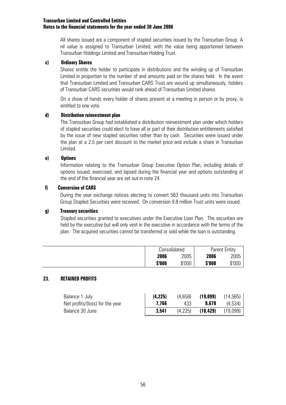All shares issued are a component of stapled securities issued by the Transurban Group. A nil value is assigned to Transurban Limited, with the value being apportioned between Transurban Holdings Limited and Transurban Holding Trust.

### **c) Ordinary Shares**

Shares entitle the holder to participate in distributions and the winding up of Transurban Limited in proportion to the number of and amounts paid on the shares held. In the event that Transurban Limited and Transurban CARS Trust are wound up simultaneously, holders of Transurban CARS securities would rank ahead of Transurban Limited shares.

On a show of hands every holder of shares present at a meeting in person or by proxy, is entitled to one vote.

#### **d) Distribution reinvestment plan**

The Transurban Group had established a distribution reinvestment plan under which holders of stapled securities could elect to have all or part of their distribution entitlements satisfied by the issue of new stapled securities rather than by cash. Securities were issued under the plan at a 2.5 per cent discount to the market price and include a share in Transurban Limited.

#### **e) Options**

Information relating to the Transurban Group Executive Option Plan, including details of options issued, exercised, and lapsed during the financial year and options outstanding at the end of the financial year are set out in note 24.

#### **f) Conversion of CARS**

During the year exchange notices electing to convert 563 thousand units into Transurban Group Stapled Securities were received. On conversion 9.8 million Trust units were issued.

#### **g) Treasury securities**

Stapled securities granted to executives under the Executive Loan Plan. The securities are held by the executive but will only vest in the executive in accordance with the terms of the plan. The acquired securities cannot be transferred or sold while the loan is outstanding.

| Consolidated |        | <b>Parent Entity</b> |        |
|--------------|--------|----------------------|--------|
| 2006         | 2005   | 2006                 | 2005   |
| \$'000       | \$'000 | \$'000               | \$'000 |

## **23. RETAINED PROFITS**

| Balance 1 July                  | (4,225) | (4.658) | (19, 099) | (14, 565) |
|---------------------------------|---------|---------|-----------|-----------|
| Net profits/(loss) for the year | 7.766   | 433     | 8.670     | (4.534)   |
| - Balance 30 June               | 3,541   | (4.225) | (10, 429) | (19,099)  |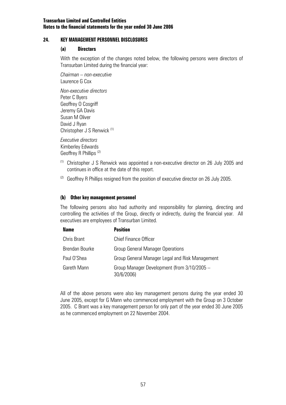## **24. KEY MANAGEMENT PERSONNEL DISCLOSURES**

## **(a) Directors**

With the exception of the changes noted below, the following persons were directors of Transurban Limited during the financial year:

 *Chairman – non-executive*  Laurence G Cox

 *Non-executive directors*  Peter C Byers Geoffrey O Cosariff Jeremy GA Davis Susan M Oliver David J Ryan Christopher J S Renwick (1)

 *Executive directors*  Kimberley Edwards Geoffrey R Phillips<sup>(2)</sup>

- (1) Christopher J S Renwick was appointed a non-executive director on 26 July 2005 and continues in office at the date of this report.
- $(2)$  Geoffrey R Phillips resigned from the position of executive director on 26 July 2005.

#### **(b) Other key management personnel**

The following persons also had authority and responsibility for planning, directing and controlling the activities of the Group, directly or indirectly, during the financial year. All executives are employees of Transurban Limited.

| Name           | <b>Position</b>                                           |
|----------------|-----------------------------------------------------------|
| Chris Brant    | <b>Chief Finance Officer</b>                              |
| Brendan Bourke | <b>Group General Manager Operations</b>                   |
| Paul O'Shea    | Group General Manager Legal and Risk Management           |
| Gareth Mann    | Group Manager Development (from 3/10/2005 -<br>30/6/2006) |

All of the above persons were also key management persons during the year ended 30 June 2005, except for G Mann who commenced employment with the Group on 3 October 2005. C Brant was a key management person for only part of the year ended 30 June 2005 as he commenced employment on 22 November 2004.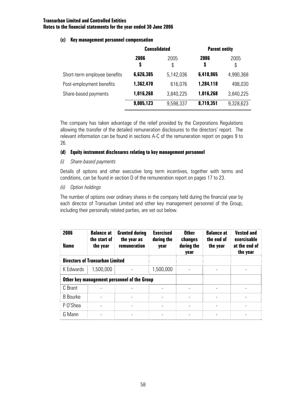## **(c) Key management personnel compensation**

|                              | <b>Consolidated</b> |            | <b>Parent entity</b> |            |
|------------------------------|---------------------|------------|----------------------|------------|
|                              | 2006<br>S           | 2005<br>\$ | 2006<br>S            | 2005<br>\$ |
| Short-term employee benefits | 6,626,385           | 5,142,036  | 6,418,965            | 4,990,368  |
| Post-employment benefits     | 1,362,470           | 616,076    | 1,284,118            | 498,030    |
| Share-based payments         | 1,016,268           | 3,840,225  | 1,016,268            | 3,840,225  |
|                              | 9,005,123           | 9,598,337  | 8,719,351            | 9,328,623  |

The company has taken advantage of the relief provided by the Corporations Regulations allowing the transfer of the detailed remuneration disclosures to the directors' report. The relevant information can be found in sections A-C of the remuneration report on pages 9 to 26.

## **(d) Equity instrument disclosures relating to key management personnel**

## *(i) Share-based payments*

Details of options and other executive long term incentives, together with terms and conditions, can be found in section D of the remuneration report on pages 17 to 23.

## *(ii) Option holdings*

The number of options over ordinary shares in the company held during the financial year by each director of Transurban Limited and other key management personnel of the Group, including their personally related parties, are set out below.

| 2006<br><b>Name</b>                         | <b>Balance at</b><br>the start of<br>the year | <b>Granted during</b><br>the year as<br>remuneration | <b>Exercised</b><br>during the<br>year | Other<br>changes<br>during the<br>year | <b>Balance at</b><br>the end of<br>the year | <b>Vested and</b><br>exercisable<br>at the end of<br>the year |
|---------------------------------------------|-----------------------------------------------|------------------------------------------------------|----------------------------------------|----------------------------------------|---------------------------------------------|---------------------------------------------------------------|
|                                             | <b>Directors of Transurban Limited</b>        |                                                      |                                        |                                        |                                             |                                                               |
| K Edwards                                   | 1,500,000                                     |                                                      | 1,500,000                              |                                        |                                             |                                                               |
| Other key management personnel of the Group |                                               |                                                      |                                        |                                        |                                             |                                                               |
| C Brant                                     |                                               |                                                      |                                        |                                        |                                             |                                                               |
| <b>B</b> Bourke                             |                                               |                                                      |                                        |                                        |                                             |                                                               |
| P O'Shea                                    |                                               |                                                      |                                        |                                        |                                             |                                                               |
| G Mann                                      |                                               |                                                      |                                        |                                        |                                             |                                                               |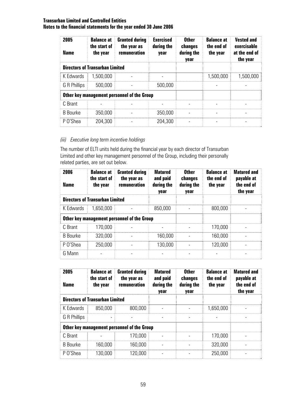| 2005<br>Name    | <b>Balance at</b><br>the start of<br>the year | <b>Granted during</b><br>the year as<br>remuneration | <b>Exercised</b><br>during the<br>year | <b>Other</b><br>changes<br>during the<br>year | <b>Balance at</b><br>the end of<br>the year | <b>Vested and</b><br>exercisable<br>at the end of<br>the year |
|-----------------|-----------------------------------------------|------------------------------------------------------|----------------------------------------|-----------------------------------------------|---------------------------------------------|---------------------------------------------------------------|
|                 | <b>Directors of Transurban Limited</b>        |                                                      |                                        |                                               |                                             |                                                               |
| K Edwards       | 1,500,000                                     |                                                      |                                        |                                               | 1,500,000                                   | 1,500,000                                                     |
| G R Phillips    | 500,000                                       |                                                      | 500,000                                |                                               |                                             |                                                               |
|                 |                                               | Other key management personnel of the Group          |                                        |                                               |                                             |                                                               |
| C Brant         |                                               |                                                      |                                        |                                               |                                             |                                                               |
| <b>B</b> Bourke | 350,000                                       |                                                      | 350,000                                |                                               |                                             |                                                               |
| P O'Shea        | 204,300                                       |                                                      | 204,300                                |                                               |                                             |                                                               |

# *(iii) Executive long term incentive holdings*

The number of ELTI units held during the financial year by each director of Transurban Limited and other key management personnel of the Group, including their personally related parties, are set out below.

| 2006<br>Name                                | <b>Balance at</b><br>the start of<br>the year | <b>Granted during</b><br>the year as<br>remuneration | Matured<br>and paid<br>during the<br>year | Other<br>changes<br>during the<br>year | <b>Balance at</b><br>the end of<br>the year | <b>Matured and</b><br>payable at<br>the end of<br>the year |
|---------------------------------------------|-----------------------------------------------|------------------------------------------------------|-------------------------------------------|----------------------------------------|---------------------------------------------|------------------------------------------------------------|
| <b>Directors of Transurban Limited</b>      |                                               |                                                      |                                           |                                        |                                             |                                                            |
| K Edwards                                   | 1,650,000                                     |                                                      | 850,000                                   |                                        | 800,000                                     |                                                            |
| Other key management personnel of the Group |                                               |                                                      |                                           |                                        |                                             |                                                            |
| C Brant                                     | 170,000                                       |                                                      |                                           |                                        | 170,000                                     |                                                            |
| <b>B</b> Bourke                             | 320,000                                       |                                                      | 160,000                                   |                                        | 160,000                                     |                                                            |
| P O'Shea                                    | 250,000                                       |                                                      | 130,000                                   |                                        | 120,000                                     |                                                            |
| G Mann                                      |                                               |                                                      |                                           |                                        |                                             |                                                            |

| 2005<br>Name                           | <b>Balance at</b><br>the start of<br>the year | <b>Granted during</b><br>the year as<br>remuneration | Matured<br>and paid<br>during the<br>year | <b>Other</b><br>changes<br>during the<br>year | <b>Balance at</b><br>the end of<br>the year | <b>Matured and</b><br>payable at<br>the end of<br>the year |
|----------------------------------------|-----------------------------------------------|------------------------------------------------------|-------------------------------------------|-----------------------------------------------|---------------------------------------------|------------------------------------------------------------|
| <b>Directors of Transurban Limited</b> |                                               |                                                      |                                           |                                               |                                             |                                                            |
| K Edwards                              | 850,000                                       | 800,000                                              |                                           |                                               | 1,650,000                                   |                                                            |
| G R Phillips                           | -                                             |                                                      |                                           |                                               |                                             |                                                            |
|                                        |                                               | Other key management personnel of the Group          |                                           |                                               |                                             |                                                            |
| C Brant                                |                                               | 170,000                                              |                                           |                                               | 170,000                                     |                                                            |
| <b>B</b> Bourke                        | 160,000                                       | 160,000                                              |                                           |                                               | 320,000                                     |                                                            |
| P O'Shea                               | 130,000                                       | 120,000                                              |                                           |                                               | 250,000                                     |                                                            |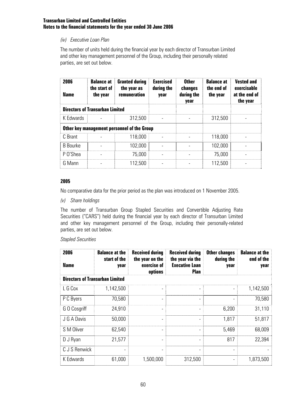## *(iv) Executive Loan Plan*

The number of units held during the financial year by each director of Transurban Limited and other key management personnel of the Group, including their personally related parties, are set out below.

| 2006<br>Name    | <b>Balance at</b><br>the start of<br>the year | <b>Granted during</b><br>the year as<br>remuneration | <b>Exercised</b><br>during the<br>year | <b>Other</b><br>changes<br>during the<br>year | <b>Balance at</b><br>the end of<br>the year | <b>Vested and</b><br>exercisable<br>at the end of<br>the year |
|-----------------|-----------------------------------------------|------------------------------------------------------|----------------------------------------|-----------------------------------------------|---------------------------------------------|---------------------------------------------------------------|
|                 | <b>Directors of Transurban Limited</b>        |                                                      |                                        |                                               |                                             |                                                               |
| K Edwards       |                                               | 312,500                                              |                                        |                                               | 312,500                                     |                                                               |
|                 |                                               | Other key management personnel of the Group          |                                        |                                               |                                             |                                                               |
| C Brant         |                                               | 118,000                                              |                                        |                                               | 118,000                                     |                                                               |
| <b>B</b> Bourke |                                               | 102,000                                              |                                        |                                               | 102,000                                     |                                                               |
| P O'Shea        |                                               | 75,000                                               |                                        |                                               | 75,000                                      |                                                               |
| G Mann          |                                               | 112,500                                              |                                        |                                               | 112,500                                     |                                                               |

## **2005**

No comparative data for the prior period as the plan was introduced on 1 November 2005.

## *(v) Share holdings*

The number of Transurban Group Stapled Securities and Convertible Adjusting Rate Securities ("CARS") held during the financial year by each director of Transurban Limited and other key management personnel of the Group, including their personally-related parties, are set out below.

## *Stapled Securities*

| 2006<br>Name                           | <b>Balance at the</b><br>start of the<br>year | <b>Received during</b><br>the year on the<br>exercise of<br>options | <b>Received during</b><br>the year via the<br><b>Executive Loan</b><br><b>Plan</b> | <b>Other changes</b><br>during the<br>year | <b>Balance at the</b><br>end of the<br>year |
|----------------------------------------|-----------------------------------------------|---------------------------------------------------------------------|------------------------------------------------------------------------------------|--------------------------------------------|---------------------------------------------|
| <b>Directors of Transurban Limited</b> |                                               |                                                                     |                                                                                    |                                            |                                             |
| L G Cox                                | 1,142,500                                     | -                                                                   |                                                                                    |                                            | 1,142,500                                   |
| P C Byers                              | 70,580                                        | $\qquad \qquad \blacksquare$                                        |                                                                                    |                                            | 70,580                                      |
| G O Cosgriff                           | 24,910                                        | -                                                                   |                                                                                    | 6,200                                      | 31,110                                      |
| J G A Davis                            | 50,000                                        | -                                                                   |                                                                                    | 1,817                                      | 51,817                                      |
| S M Oliver                             | 62,540                                        | -                                                                   |                                                                                    | 5,469                                      | 68,009                                      |
| D J Ryan                               | 21,577                                        | -                                                                   |                                                                                    | 817                                        | 22,394                                      |
| C J S Renwick                          |                                               | -                                                                   |                                                                                    |                                            |                                             |
| K Edwards                              | 61,000                                        | 1,500,000                                                           | 312,500                                                                            |                                            | 1,873,500                                   |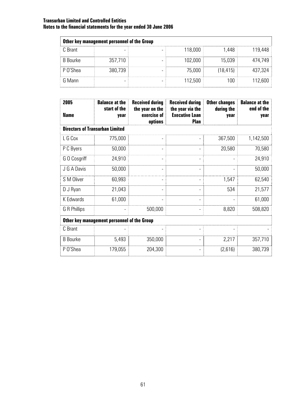| Other key management personnel of the Group |         |  |         |           |         |  |  |
|---------------------------------------------|---------|--|---------|-----------|---------|--|--|
| C Brant                                     |         |  | 118,000 | 1,448     | 119,448 |  |  |
| <b>B</b> Bourke                             | 357,710 |  | 102,000 | 15,039    | 474,749 |  |  |
| P O'Shea                                    | 380,739 |  | 75,000  | (18, 415) | 437,324 |  |  |
| G Mann                                      |         |  | 112,500 | 100       | 112,600 |  |  |

| 2005<br><b>Name</b>                    | <b>Balance at the</b><br>start of the<br>year | <b>Received during</b><br>the year on the<br>exercise of<br>options | <b>Received during</b><br>the year via the<br><b>Executive Loan</b><br><b>Plan</b> | <b>Other changes</b><br>during the<br>year | <b>Balance at the</b><br>end of the<br>year |
|----------------------------------------|-----------------------------------------------|---------------------------------------------------------------------|------------------------------------------------------------------------------------|--------------------------------------------|---------------------------------------------|
| <b>Directors of Transurban Limited</b> |                                               |                                                                     |                                                                                    |                                            |                                             |
| L G Cox                                | 775,000                                       |                                                                     |                                                                                    | 367,500                                    | 1,142,500                                   |
| P C Byers                              | 50,000                                        |                                                                     |                                                                                    | 20,580                                     | 70,580                                      |
| G O Cosgriff                           | 24,910                                        |                                                                     |                                                                                    |                                            | 24,910                                      |
| J G A Davis                            | 50,000                                        | -                                                                   |                                                                                    |                                            | 50,000                                      |
| S M Oliver                             | 60,993                                        |                                                                     |                                                                                    | 1,547                                      | 62,540                                      |
| D J Ryan                               | 21,043                                        |                                                                     |                                                                                    | 534                                        | 21,577                                      |
| K Edwards                              | 61,000                                        |                                                                     |                                                                                    |                                            | 61,000                                      |
| G R Phillips                           |                                               | 500,000                                                             |                                                                                    | 8,820                                      | 508,820                                     |
|                                        | Other key management personnel of the Group   |                                                                     |                                                                                    |                                            |                                             |
| C Brant                                |                                               |                                                                     |                                                                                    |                                            |                                             |
| <b>B</b> Bourke                        | 5,493                                         | 350,000                                                             |                                                                                    | 2,217                                      | 357,710                                     |
| P O'Shea                               | 179,055                                       | 204,300                                                             |                                                                                    | (2,616)                                    | 380,739                                     |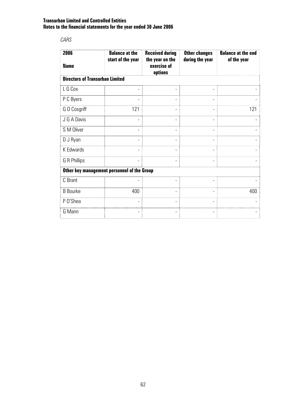*CARS* 

| 2006                                        | <b>Balance at the</b><br>start of the year | <b>Received during</b><br>the year on the | <b>Other changes</b><br>during the year | <b>Balance at the end</b><br>of the year |
|---------------------------------------------|--------------------------------------------|-------------------------------------------|-----------------------------------------|------------------------------------------|
| <b>Name</b>                                 |                                            | exercise of<br>options                    |                                         |                                          |
| <b>Directors of Transurban Limited</b>      |                                            |                                           |                                         |                                          |
| L G Cox                                     | $\overline{\phantom{0}}$                   | $\qquad \qquad \blacksquare$              | $\qquad \qquad \blacksquare$            |                                          |
| P C Byers                                   |                                            |                                           |                                         |                                          |
| GO Cosgriff                                 | 121                                        |                                           |                                         | 121                                      |
| J G A Davis                                 |                                            |                                           |                                         |                                          |
| S M Oliver                                  |                                            |                                           |                                         |                                          |
| D J Ryan                                    |                                            |                                           |                                         |                                          |
| K Edwards                                   |                                            |                                           |                                         |                                          |
| <b>G R Phillips</b>                         | ٠                                          | -                                         |                                         |                                          |
| Other key management personnel of the Group |                                            |                                           |                                         |                                          |
| C Brant                                     |                                            |                                           |                                         |                                          |
| <b>B</b> Bourke                             | 400                                        |                                           |                                         | 400                                      |
| P O'Shea                                    |                                            |                                           |                                         |                                          |
| G Mann                                      |                                            |                                           |                                         |                                          |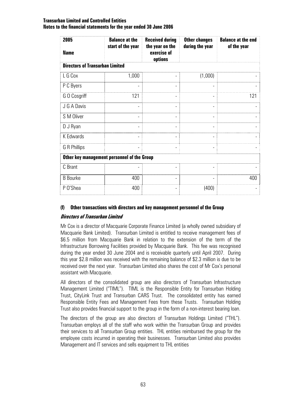| 2005<br><b>Name</b>                    | <b>Balance at the</b><br>start of the year  | <b>Received during</b><br>the year on the<br>exercise of<br>options | <b>Other changes</b><br>during the year | <b>Balance at the end</b><br>of the year |
|----------------------------------------|---------------------------------------------|---------------------------------------------------------------------|-----------------------------------------|------------------------------------------|
| <b>Directors of Transurban Limited</b> |                                             |                                                                     |                                         |                                          |
| L G Cox                                | 1,000                                       |                                                                     | (1,000)                                 |                                          |
| P C Byers                              |                                             |                                                                     |                                         |                                          |
| G O Cosgriff                           | 121                                         | $\blacksquare$                                                      | $\qquad \qquad \blacksquare$            | 121                                      |
| J G A Davis                            |                                             |                                                                     |                                         |                                          |
| S M Oliver                             |                                             |                                                                     |                                         |                                          |
| D J Ryan                               |                                             |                                                                     |                                         |                                          |
| K Edwards                              |                                             | $\blacksquare$                                                      | $\qquad \qquad \blacksquare$            |                                          |
| G R Phillips                           |                                             | $\blacksquare$                                                      | $\qquad \qquad \blacksquare$            |                                          |
|                                        | Other key management personnel of the Group |                                                                     |                                         |                                          |
| C Brant                                |                                             |                                                                     |                                         |                                          |
| <b>B</b> Bourke                        | 400                                         | $\blacksquare$                                                      |                                         | 400                                      |
| P O'Shea                               | 400                                         |                                                                     | (400)                                   |                                          |

## **(f) Other transactions with directors and key management personnel of the Group**

## **Directors of Transurban Limited**

Mr Cox is a director of Macquarie Corporate Finance Limited (a wholly owned subsidiary of Macquarie Bank Limited). Transurban Limited is entitled to receive management fees of \$6.5 million from Macquarie Bank in relation to the extension of the term of the Infrastructure Borrowing Facilities provided by Macquarie Bank. This fee was recognised during the year ended 30 June 2004 and is receivable quarterly until April 2007. During this year \$2.8 million was received with the remaining balance of \$2.3 million is due to be received over the next year. Transurban Limited also shares the cost of Mr Cox's personal assistant with Macquarie.

All directors of the consolidated group are also directors of Transurban Infrastructure Management Limited ("TIML"). TIML is the Responsible Entity for Transurban Holding Trust, CityLink Trust and Transurban CARS Trust. The consolidated entity has earned Responsible Entity Fees and Management Fees from these Trusts. Transurban Holding Trust also provides financial support to the group in the form of a non-interest bearing loan.

The directors of the group are also directors of Transurban Holdings Limited ("THL"). Transurban employs all of the staff who work within the Transurban Group and provides their services to all Transurban Group entities. THL entities reimbursed the group for the employee costs incurred in operating their businesses. Transurban Limited also provides Management and IT services and sells equipment to THL entities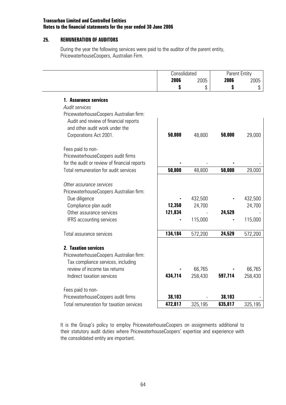## **25. REMUNERATION OF AUDITORS**

During the year the following services were paid to the auditor of the parent entity, PricewaterhouseCoopers, Australian Firm.

|                                              | Consolidated |         |         | <b>Parent Entity</b> |
|----------------------------------------------|--------------|---------|---------|----------------------|
|                                              | 2006         | 2005    | 2006    | 2005                 |
|                                              | \$           | \$      | \$      | \$                   |
| 1. Assurance services                        |              |         |         |                      |
| <b>Audit services</b>                        |              |         |         |                      |
| PricewaterhouseCoopers Australian firm:      |              |         |         |                      |
| Audit and review of financial reports        |              |         |         |                      |
| and other audit work under the               |              |         |         |                      |
| Corporations Act 2001.                       | 50,000       | 48,800  | 50,000  | 29,000               |
| Fees paid to non-                            |              |         |         |                      |
| PricewaterhouseCoopers audit firms           |              |         |         |                      |
| for the audit or review of financial reports |              |         |         |                      |
| Total remuneration for audit services        | 50,000       | 48,800  | 50,000  | 29,000               |
| Other assurance services                     |              |         |         |                      |
| PricewaterhouseCoopers Australian firm:      |              |         |         |                      |
| Due diligence                                |              | 432,500 |         | 432,500              |
| Compliance plan audit                        | 12,350       | 24,700  |         | 24,700               |
| Other assurance services                     | 121,834      |         | 24,529  |                      |
| IFRS accounting services                     |              | 115,000 |         | 115,000              |
| Total assurance services                     | 134,184      | 572,200 | 24,529  | 572,200              |
|                                              |              |         |         |                      |
| 2. Taxation services                         |              |         |         |                      |
| PricewaterhouseCoopers Australian firm:      |              |         |         |                      |
| Tax compliance services, including           |              |         |         |                      |
| review of income tax returns                 |              | 66,765  |         | 66,765               |
| Indirect taxation services                   | 434,714      | 258,430 | 597,714 | 258,430              |
| Fees paid to non-                            |              |         |         |                      |
| PricewaterhouseCoopers audit firms           | 38,103       |         | 38,103  |                      |
| Total remuneration for taxation services     | 472,817      | 325,195 | 635,817 | 325,195              |

It is the Group's policy to employ PricewaterhouseCoopers on assignments additional to their statutory audit duties where PricewaterhouseCoopers' expertise and experience with the consolidated entity are important.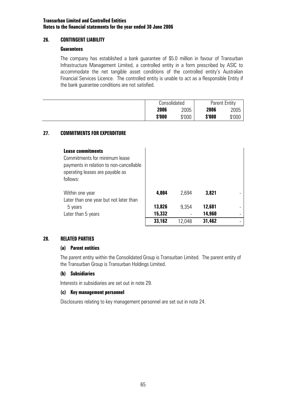## **26. CONTINGENT LIABILITY**

#### **Guarantees**

The company has established a bank guarantee of \$5.0 million in favour of Transurban Infrastructure Management Limited, a controlled entity in a form prescribed by ASIC to accommodate the net tangible asset conditions of the controlled entity's Australian Financial Services Licence. The controlled entity is unable to act as a Responsible Entity if the bank guarantee conditions are not satisfied.

| Consolidated |        | <b>Parent Entity</b> |        |
|--------------|--------|----------------------|--------|
| 2006         | 2005   | 2006                 | 2005   |
| \$'000       | \$'000 | \$'000               | \$'000 |

## **27. COMMITMENTS FOR EXPENDITURE**

| Lease commitments<br>Commitments for minimum lease<br>payments in relation to non-cancellable<br>operating leases are payable as<br>follows: |        |        |        |  |
|----------------------------------------------------------------------------------------------------------------------------------------------|--------|--------|--------|--|
| Within one year                                                                                                                              | 4,004  | 2,694  | 3,821  |  |
| Later than one year but not later than                                                                                                       |        |        |        |  |
| 5 years                                                                                                                                      | 13,826 | 9.354  | 12,681 |  |
| Later than 5 years                                                                                                                           | 15,332 |        | 14,960 |  |
|                                                                                                                                              | 33,162 | 12,048 | 31,462 |  |

## **28. RELATED PARTIES**

## **(a) Parent entities**

The parent entity within the Consolidated Group is Transurban Limited. The parent entity of the Transurban Group is Transurban Holdings Limited.

## **(b) Subsidiaries**

Interests in subsidiaries are set out in note 29.

## **(c) Key management personnel**

Disclosures relating to key management personnel are set out in note 24.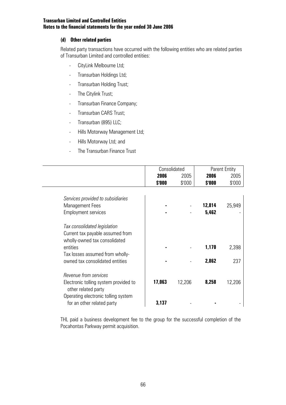## **(d) Other related parties**

Related party transactions have occurred with the following entities who are related parties of Transurban Limited and controlled entities:

- CityLink Melbourne Ltd;
- Transurban Holdings Ltd;
- Transurban Holding Trust;
- The Citylink Trust;
- Transurban Finance Company;
- Transurban CARS Trust;
- Transurban (895) LLC;
- Hills Motorway Management Ltd;
- Hills Motorway Ltd; and

- The Transurban Finance Trust

|                                                              | Consolidated |        |        | <b>Parent Entity</b> |
|--------------------------------------------------------------|--------------|--------|--------|----------------------|
|                                                              | 2006         | 2005   | 2006   | 2005                 |
|                                                              | \$'000       | \$'000 | \$'000 | \$'000               |
|                                                              |              |        |        |                      |
| Services provided to subsidiaries                            |              |        |        |                      |
| <b>Management Fees</b>                                       |              |        | 12,814 | 25,949               |
| <b>Employment services</b>                                   |              |        | 5,462  |                      |
|                                                              |              |        |        |                      |
| Tax consolidated legislation                                 |              |        |        |                      |
| Current tax payable assumed from                             |              |        |        |                      |
| wholly-owned tax consolidated                                |              |        |        |                      |
| entities                                                     |              |        | 1,170  | 2,398                |
| Tax losses assumed from wholly-                              |              |        |        |                      |
| owned tax consolidated entities                              |              |        | 2,862  | 237                  |
|                                                              |              |        |        |                      |
| Revenue from services                                        |              |        |        |                      |
| Electronic tolling system provided to<br>other related party | 17,063       | 12,206 | 8,258  | 12,206               |
| Operating electronic tolling system                          |              |        |        |                      |
| for an other related party                                   | 3,137        |        |        |                      |

THL paid a business development fee to the group for the successful completion of the Pocahontas Parkway permit acquisition.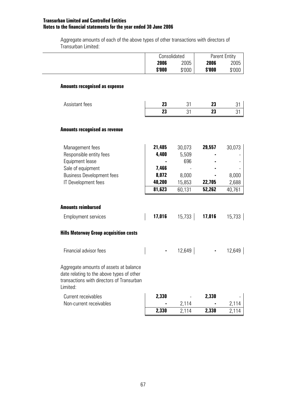Aggregate amounts of each of the above types of other transactions with directors of Transurban Limited:

|                                                                                                                                              | Consolidated   |                |                | <b>Parent Entity</b> |
|----------------------------------------------------------------------------------------------------------------------------------------------|----------------|----------------|----------------|----------------------|
|                                                                                                                                              | 2006<br>\$'000 | 2005<br>\$'000 | 2006<br>\$'000 | 2005<br>\$'000       |
| <b>Amounts recognised as expense</b>                                                                                                         |                |                |                |                      |
| Assistant fees                                                                                                                               | 23             | 31             | 23             | 31                   |
|                                                                                                                                              | 23             | 31             | 23             | 31                   |
| <b>Amounts recognised as revenue</b>                                                                                                         |                |                |                |                      |
| Management fees                                                                                                                              | 21,485         | 30,073         | 29,557         | 30,073               |
| Responsible entity fees                                                                                                                      | 4,400          | 5,509          |                |                      |
| Equipment lease                                                                                                                              |                | 696            |                |                      |
| Sale of equipment                                                                                                                            | 7,466<br>8,072 | 8,000          |                |                      |
| <b>Business Development fees</b><br>IT Development fees                                                                                      | 40,200         | 15,853         | 22,705         | 8,000<br>2,688       |
|                                                                                                                                              | 81,623         | 60,131         | 52,262         | 40,761               |
| <b>Amounts reimbursed</b>                                                                                                                    |                |                |                |                      |
| <b>Employment services</b>                                                                                                                   | 17,016         | 15,733         | 17,016         | 15,733               |
| <b>Hills Motorway Group acquisition costs</b>                                                                                                |                |                |                |                      |
| Financial advisor fees                                                                                                                       |                | 12,649         |                | 12,649               |
| Aggregate amounts of assets at balance<br>date relating to the above types of other<br>transactions with directors of Transurban<br>Limited: |                |                |                |                      |
| Current receivables                                                                                                                          | 2,330          |                | 2,330          |                      |
| Non-current receivables                                                                                                                      |                | 2,114          |                | 2,114                |
|                                                                                                                                              | 2,330          | 2,114          | 2,330          | 2,114                |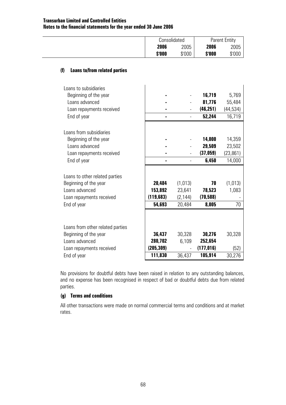| Consolidated |        | <b>Parent Entity</b> |        |
|--------------|--------|----------------------|--------|
| 2006         | 2005   | 2006                 | 2005   |
| \$'000       | \$'000 | \$'000               | \$'000 |

## **(f) Loans to/from related parties**

| Loans to subsidiaries<br>Beginning of the year          |            |          | 16,719     | 5,769     |
|---------------------------------------------------------|------------|----------|------------|-----------|
| Loans advanced                                          |            |          | 81,776     | 55,484    |
| Loan repayments received                                |            |          | (46, 251)  | (44, 534) |
| End of year                                             |            |          | 52,244     | 16,719    |
| Loans from subsidiaries                                 |            |          |            |           |
| Beginning of the year                                   |            |          | 14,000     | 14,359    |
| Loans advanced                                          |            |          | 29,509     | 23,502    |
| Loan repayments received                                |            |          | (37, 059)  | (23, 861) |
| End of year                                             |            |          | 6,450      | 14,000    |
| Loans to other related parties<br>Beginning of the year | 20,484     | (1, 013) | 70         | (1, 013)  |
| Loans advanced                                          | 153,892    | 23,641   | 78,523     | 1,083     |
| Loan repayments received                                | (119, 683) | (2, 144) | (70, 588)  |           |
| End of year                                             | 54,693     | 20,484   | 8,005      | 70        |
| Loans from other related parties                        |            |          |            |           |
| Beginning of the year                                   | 36,437     | 30,328   | 30,276     | 30,328    |
| Loans advanced                                          | 280,702    | 6,109    | 252,654    |           |
| Loan repayments received                                | (205,309)  |          | (177, 016) | (52)      |
| End of year                                             | 111,830    | 36,437   | 105,914    | 30,276    |

 No provisions for doubtful debts have been raised in relation to any outstanding balances, and no expense has been recognised in respect of bad or doubtful debts due from related parties.

## **(g) Terms and conditions**

All other transactions were made on normal commercial terms and conditions and at market rates.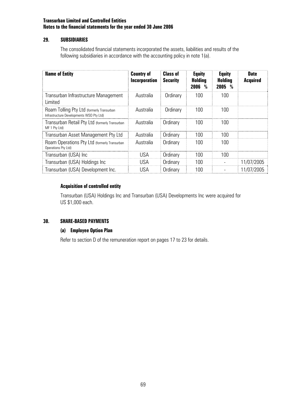## **29. SUBSIDIARIES**

The consolidated financial statements incorporated the assets, liabilities and results of the following subsidiaries in accordance with the accounting policy in note 1(a).

| <b>Name of Entity</b>                                                                 | <b>Country of</b><br><b>Incorporation</b> | <b>Class of</b><br><b>Security</b> | <b>Equity</b><br><b>Holding</b><br>2006<br>₩ | <b>Equity</b><br><b>Holding</b><br>2005<br>$\frac{m}{n}$ | <b>Date</b><br><b>Acquired</b> |
|---------------------------------------------------------------------------------------|-------------------------------------------|------------------------------------|----------------------------------------------|----------------------------------------------------------|--------------------------------|
| Transurban Infrastructure Management<br>Limited                                       | Australia                                 | Ordinary                           | 100                                          | 100                                                      |                                |
| Roam Tolling Pty Ltd (formerly Transurban<br>Infrastructure Developments WSO Pty Ltd) | Australia                                 | Ordinary                           | 100                                          | 100                                                      |                                |
| Transurban Retail Pty Ltd (formerly Transurban<br>MF 1 Ptv Ltd)                       | Australia                                 | Ordinary                           | 100                                          | 100                                                      |                                |
| Transurban Asset Management Pty Ltd                                                   | Australia                                 | Ordinary                           | 100                                          | 100                                                      |                                |
| Roam Operations Pty Ltd (formerly Transurban<br>Operations Pty Ltd)                   | Australia                                 | Ordinary                           | 100                                          | 100                                                      |                                |
| Transurban (USA) Inc                                                                  | USA                                       | Ordinary                           | 100                                          | 100                                                      |                                |
| Transurban (USA) Holdings Inc                                                         | <b>USA</b>                                | Ordinary                           | 100                                          |                                                          | 11/07/2005                     |
| Transurban (USA) Development Inc.                                                     | USA                                       | Ordinary                           | 100                                          |                                                          | 11/07/2005                     |

## **Acquisition of controlled entity**

 Transurban (USA) Holdings Inc and Transurban (USA) Developments Inc were acquired for US \$1,000 each.

## **30. SHARE-BASED PAYMENTS**

## **(a) Employee Option Plan**

Refer to section D of the remuneration report on pages 17 to 23 for details.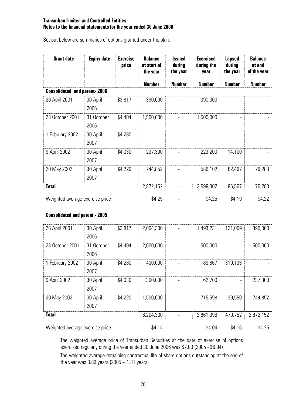Set out below are summaries of options granted under the plan.

| <b>Grant date</b>                   | <b>Expiry date</b> | <b>Exercise</b><br>price | <b>Balance</b><br>at start of<br>the year | <b>Issued</b><br>during<br>the year | <b>Exercised</b><br>during the<br>year | <b>Lapsed</b><br>during<br>the year | <b>Balance</b><br>at end<br>of the year |
|-------------------------------------|--------------------|--------------------------|-------------------------------------------|-------------------------------------|----------------------------------------|-------------------------------------|-----------------------------------------|
|                                     |                    |                          | <b>Number</b>                             | <b>Number</b>                       | Number                                 | <b>Number</b>                       | Number                                  |
| <b>Consolidated and parent-2006</b> |                    |                          |                                           |                                     |                                        |                                     |                                         |
| 26 April 2001                       | 30 April<br>2006   | \$3.817                  | 390,000                                   |                                     | 390,000                                |                                     |                                         |
| 23 October 2001                     | 31 October<br>2006 | \$4.404                  | 1,500,000                                 |                                     | 1,500,000                              |                                     |                                         |
| 1 February 2002                     | 30 April<br>2007   | \$4.280                  |                                           |                                     |                                        |                                     |                                         |
| 9 April 2002                        | 30 April<br>2007   | \$4.030                  | 237,300                                   |                                     | 223,200                                | 14,100                              |                                         |
| 20 May 2002                         | 30 April<br>2007   | \$4.220                  | 744,852                                   |                                     | 586,102                                | 82,467                              | 76,283                                  |
| <b>Total</b>                        |                    |                          | 2,872,152                                 |                                     | 2,699,302                              | 96,567                              | 76,283                                  |
| Weighted average exercise price     |                    |                          | \$4.25                                    |                                     | \$4.25                                 | \$4.19                              | \$4.22                                  |

## **Consolidated and parent - 2005**

| 26 April 2001                   | 30 April   | \$3.817 | 2,004,300 | 1,493,231 | 121,069                      | 390,000   |
|---------------------------------|------------|---------|-----------|-----------|------------------------------|-----------|
|                                 | 2006       |         |           |           |                              |           |
| 23 October 2001                 | 31 October | \$4.404 | 2,000,000 | 500,000   | $\qquad \qquad \blacksquare$ | 1,500,000 |
|                                 | 2006       |         |           |           |                              |           |
| 1 February 2002                 | 30 April   | \$4.280 | 400,000   | 89,867    | 310,133                      |           |
|                                 | 2007       |         |           |           |                              |           |
| 9 April 2002                    | 30 April   | \$4.030 | 300,000   | 62,700    | $\overline{\phantom{a}}$     | 237,300   |
|                                 | 2007       |         |           |           |                              |           |
| 20 May 2002                     | 30 April   | \$4.220 | 1,500,000 | 715,598   | 39,550                       | 744,852   |
|                                 | 2007       |         |           |           |                              |           |
| <b>Total</b>                    |            |         | 6,204,300 | 2,861,396 | 470,752                      | 2,872,152 |
| Weighted average exercise price |            |         | \$4.14    | \$4.04    | \$4.16                       | \$4.25    |

The weighted average price of Transurban Securities at the date of exercise of options exercised regularly during the year ended 30 June 2006 was \$7.00 (2005 - \$6.94)

The weighted average remaining contractual life of share options outstanding at the end of the year was  $0.83$  years  $(2005 - 1.31$  years)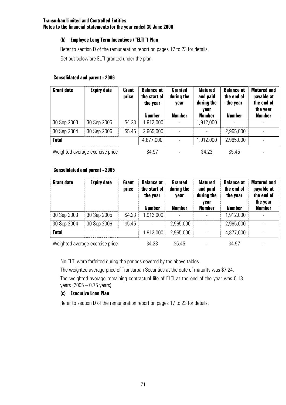# **(b) Employee Long Term Incentives ("ELTI") Plan**

Refer to section D of the remuneration report on pages 17 to 23 for details.

Set out below are ELTI granted under the plan.

#### **Consolidated and parent - 2006**

| <b>Grant date</b>               | <b>Expiry date</b> | Grant<br>price | <b>Balance at</b><br>the start of<br>the year | <b>Granted</b><br>during the<br>year | <b>Matured</b><br>and paid<br>during the<br>year | <b>Balance at</b><br>the end of<br>the year | <b>Matured and</b><br>payable at<br>the end of<br>the year |
|---------------------------------|--------------------|----------------|-----------------------------------------------|--------------------------------------|--------------------------------------------------|---------------------------------------------|------------------------------------------------------------|
|                                 |                    |                | Number                                        | <b>Number</b>                        | <b>Number</b>                                    | <b>Number</b>                               | <b>Number</b>                                              |
| 30 Sep 2003                     | 30 Sep 2005        | \$4.23         | 1,912,000                                     | $\overline{\phantom{a}}$             | 1,912,000                                        |                                             |                                                            |
| 30 Sep 2004                     | 30 Sep 2006        | \$5.45         | 2,965,000                                     | $\overline{\phantom{0}}$             |                                                  | 2,965,000                                   |                                                            |
| <b>Total</b>                    |                    |                | 4,877,000                                     | $\overline{\phantom{a}}$             | 1,912,000                                        | 2,965,000                                   |                                                            |
| Weighted average exercise price |                    |                | \$4.97                                        |                                      | \$4.23                                           | \$5.45                                      |                                                            |

#### **Consolidated and parent - 2005**

| <b>Grant date</b> | <b>Expiry date</b>              | Grant<br>price | <b>Balance at</b><br>the start of<br>the year<br>Number | <b>Granted</b><br>during the<br>year<br><b>Number</b> | <b>Matured</b><br>and paid<br>during the<br>year<br><b>Number</b> | <b>Balance at</b><br>the end of<br>the year<br>Number | <b>Matured and</b><br>payable at<br>the end of<br>the year<br><b>Number</b> |
|-------------------|---------------------------------|----------------|---------------------------------------------------------|-------------------------------------------------------|-------------------------------------------------------------------|-------------------------------------------------------|-----------------------------------------------------------------------------|
| 30 Sep 2003       | 30 Sep 2005                     | \$4.23         | 1,912,000                                               |                                                       |                                                                   | 1,912,000                                             | $\blacksquare$                                                              |
| 30 Sep 2004       | 30 Sep 2006                     | \$5.45         |                                                         | 2,965,000                                             |                                                                   | 2,965,000                                             |                                                                             |
| <b>Total</b>      |                                 |                | 1,912,000                                               | 2,965,000                                             |                                                                   | 4,877,000                                             |                                                                             |
|                   | Weighted average exercise price |                | \$4.23                                                  | \$5.45                                                |                                                                   | \$4.97                                                |                                                                             |

No ELTI were forfeited during the periods covered by the above tables.

The weighted average price of Transurban Securities at the date of maturity was \$7.24.

The weighted average remaining contractual life of ELTI at the end of the year was 0.18 years (2005 – 0.75 years)

# **(c) Executive Loan Plan**

Refer to section D of the remuneration report on pages 17 to 23 for details.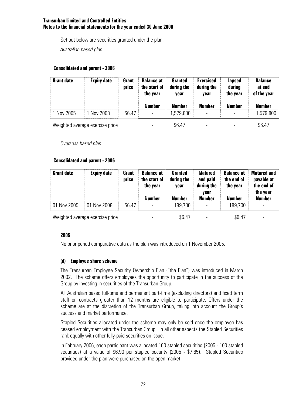Set out below are securities granted under the plan.

*Australian based plan* 

#### **Consolidated and parent - 2006**

| <b>Grant date</b> | <b>Expiry date</b>              | Grant<br>price | <b>Balance at</b><br>the start of<br>the year | <b>Granted</b><br>during the<br>vear | <b>Exercised</b><br>during the<br>vear | Lapsed<br>during<br>the year | <b>Balance</b><br>at end<br>of the year |
|-------------------|---------------------------------|----------------|-----------------------------------------------|--------------------------------------|----------------------------------------|------------------------------|-----------------------------------------|
|                   |                                 |                | <b>Number</b>                                 | Number                               | <b>Number</b>                          | <b>Number</b>                | <b>Number</b>                           |
| 1 Nov 2005        | Nov 2008                        | \$6.47         | $\overline{\phantom{a}}$                      | 1,579,800                            |                                        |                              | 1,579,800                               |
|                   | Weighted average exercise price |                |                                               | \$6.47                               |                                        |                              | \$6.47                                  |

 *Overseas based plan* 

# **Consolidated and parent - 2006**

| <b>Grant date</b> | <b>Expiry date</b>              | Grant<br>price | <b>Balance at</b><br>the start of<br>the year<br><b>Number</b> | Granted<br>during the<br>vear<br><b>Number</b> | <b>Matured</b><br>and paid<br>during the<br>year<br><b>Number</b> | <b>Balance at</b><br>the end of<br>the year<br>Number | Matured and<br>payable at<br>the end of<br>the year<br><b>Number</b> |
|-------------------|---------------------------------|----------------|----------------------------------------------------------------|------------------------------------------------|-------------------------------------------------------------------|-------------------------------------------------------|----------------------------------------------------------------------|
| 01 Nov 2005       | 01 Nov 2008                     | \$6.47         | $\overline{\phantom{a}}$                                       | 189,700                                        |                                                                   | 189,700                                               |                                                                      |
|                   | Weighted average exercise price |                |                                                                | \$6.47                                         |                                                                   | \$6.47                                                | $\overline{\phantom{a}}$                                             |

# **2005**

No prior period comparative data as the plan was introduced on 1 November 2005.

# **(d) Employee share scheme**

The Transurban Employee Security Ownership Plan ("the Plan") was introduced in March 2002. The scheme offers employees the opportunity to participate in the success of the Group by investing in securities of the Transurban Group.

All Australian based full-time and permanent part-time (excluding directors) and fixed term staff on contracts greater than 12 months are eligible to participate. Offers under the scheme are at the discretion of the Transurban Group, taking into account the Group's success and market performance.

Stapled Securities allocated under the scheme may only be sold once the employee has ceased employment with the Transurban Group. In all other aspects the Stapled Securities rank equally with other fully-paid securities on issue.

 In February 2006, each participant was allocated 100 stapled securities (2005 - 100 stapled securities) at a value of \$6.90 per stapled security (2005 - \$7.65). Stapled Securities provided under the plan were purchased on the open market.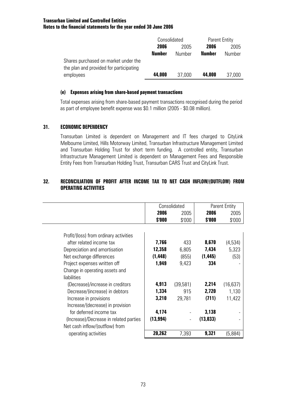|                                         | Consolidated |        | <b>Parent Entity</b> |        |  |
|-----------------------------------------|--------------|--------|----------------------|--------|--|
|                                         | 2006<br>2005 |        | 2006                 | 2005   |  |
|                                         | Number       | Number | Number               | Number |  |
| Shares purchased on market under the    |              |        |                      |        |  |
| the plan and provided for participating |              |        |                      |        |  |
| employees                               | 44,000       | 37,000 | 44,000               | 37,000 |  |

#### **(e) Expenses arising from share-based payment transactions**

Total expenses arising from share-based payment transactions recognised during the period as part of employee benefit expense was \$0.1 million (2005 - \$0.08 million).

#### **31. ECONOMIC DEPENDENCY**

Transurban Limited is dependent on Management and IT fees charged to CityLink Melbourne Limited, Hills Motorway Limited, Transurban Infrastructure Management Limited and Transurban Holding Trust for short term funding. A controlled entity, Transurban Infrastructure Management Limited is dependent on Management Fees and Responsible Entity Fees from Transurban Holding Trust, Transurban CARS Trust and CityLink Trust.

#### **32. RECONCILIATION OF PROFIT AFTER INCOME TAX TO NET CASH INFLOW/(OUTFLOW) FROM OPERATING ACTIVITIES**

|                                        |           | Consolidated |           | <b>Parent Entity</b> |
|----------------------------------------|-----------|--------------|-----------|----------------------|
|                                        | 2006      | 2005         | 2006      | 2005                 |
|                                        | \$'000    | \$'000       | \$'000    | \$'000               |
|                                        |           |              |           |                      |
| Profit/(loss) from ordinary activities |           |              |           |                      |
| after related income tax               | 7,766     | 433          | 8,670     | (4,534)              |
| Depreciation and amortisation          | 12,358    | 6,805        | 7,434     | 5,323                |
| Net exchange differences               | (1, 448)  | (855)        | (1, 445)  | (53)                 |
| Project expenses written off           | 1,949     | 9,423        | 334       |                      |
| Change in operating assets and         |           |              |           |                      |
| liabilities                            |           |              |           |                      |
| (Decrease)/increase in creditors       | 4,913     | (39,581)     | 2,214     | (16, 637)            |
| Decrease/(increase) in debtors         | 1,334     | 915          | 2,720     | 1,130                |
| Increase in provisions                 | 3,210     | 29,781       | (711)     | 11,422               |
| Increase/(decrease) in provision       |           |              |           |                      |
| for deferred income tax                | 4,174     |              | 3,138     |                      |
| (Increase)/Decrease in related parties | (13, 994) |              | (13, 033) |                      |
| Net cash inflow/(outflow) from         |           |              |           |                      |
| operating activities                   | 20,262    | 7,393        | 9,321     | (5,884)              |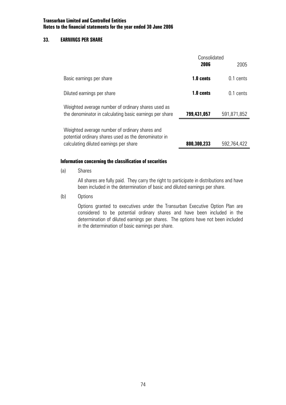#### **33. EARNINGS PER SHARE**

|                                                                                                                                                  | Consolidated<br>2006 | 2005        |
|--------------------------------------------------------------------------------------------------------------------------------------------------|----------------------|-------------|
| Basic earnings per share                                                                                                                         | 1.0 cents            | $0.1$ cents |
| Diluted earnings per share                                                                                                                       | 1.0 cents            | $0.1$ cents |
| Weighted average number of ordinary shares used as<br>the denominator in calculating basic earnings per share                                    | 799,431,057          | 591,871,852 |
| Weighted average number of ordinary shares and<br>potential ordinary shares used as the denominator in<br>calculating diluted earnings per share | 800,300,233          | 592,764,422 |

#### **Information concerning the classification of securities**

(a) Shares

All shares are fully paid. They carry the right to participate in distributions and have been included in the determination of basic and diluted earnings per share.

(b) Options

Options granted to executives under the Transurban Executive Option Plan are considered to be potential ordinary shares and have been included in the determination of diluted earnings per shares. The options have not been included in the determination of basic earnings per share.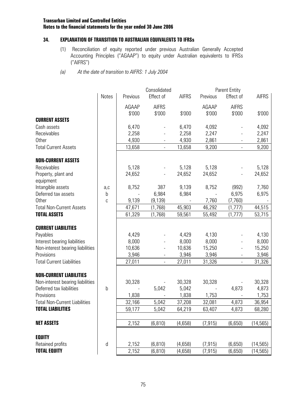#### **34. EXPLANATION OF TRANSITION TO AUSTRALIAN EQUIVALENTS TO IFRSs**

- (1) Reconciliation of equity reported under previous Australian Generally Accepted Accounting Principles ("AGAAP") to equity under Australian equivalents to IFRSs ("AIFRS")
- *(a) At the date of transition to AIFRS: 1 July 2004*

|                                         |              |                | Consolidated                      |              |          | <b>Parent Entity</b>     |              |
|-----------------------------------------|--------------|----------------|-----------------------------------|--------------|----------|--------------------------|--------------|
|                                         | <b>Notes</b> | Previous       | Effect of                         | <b>AIFRS</b> | Previous | Effect of                | <b>AIFRS</b> |
|                                         |              | AGAAP          | <b>AIFRS</b>                      |              | AGAAP    | <b>AIFRS</b>             |              |
|                                         |              | \$'000         | \$'000                            | \$'000       | \$'000   | \$'000                   | \$'000       |
| <b>CURRENT ASSETS</b>                   |              |                |                                   |              |          |                          |              |
| Cash assets                             |              | 6,470          |                                   | 6,470        | 4,092    |                          | 4,092        |
| Receivables                             |              | 2,258          |                                   | 2,258        | 2,247    |                          | 2,247        |
| <b>Other</b>                            |              | 4,930          | $\overline{\phantom{a}}$          | 4,930        | 2,861    |                          | 2,861        |
| <b>Total Current Assets</b>             |              | 13,658         |                                   | 13,658       | 9,200    |                          | 9,200        |
| <b>NON-CURRENT ASSETS</b>               |              |                |                                   |              |          |                          |              |
| Receivables                             |              | 5,128          |                                   | 5,128        | 5,128    |                          | 5,128        |
| Property, plant and                     |              | 24,652         |                                   | 24,652       | 24,652   |                          | 24,652       |
| equipment                               |              |                |                                   |              |          |                          |              |
| Intangible assets                       | a,c          | 8,752          | 387                               | 9,139        | 8,752    | (992)                    | 7,760        |
| Deferred tax assets                     | $\mathsf b$  |                | 6,984                             | 6,984        |          | 6,975                    | 6,975        |
| Other                                   | C            | 9,139          | (9, 139)                          |              | 7,760    | (7,760)                  |              |
| <b>Total Non-Current Assets</b>         |              | 47,671         | (1,768)                           | 45,903       | 46,292   | (1, 777)                 | 44,515       |
| <b>TOTAL ASSETS</b>                     |              | 61,329         | (1,768)                           | 59,561       | 55,492   | (1, 777)                 | 53,715       |
| <b>CURRENT LIABILITIES</b>              |              |                |                                   |              |          |                          |              |
| Payables                                |              | 4,429          |                                   | 4,429        | 4,130    |                          | 4,130        |
| Interest bearing liabilities            |              | 8,000          |                                   | 8,000        | 8,000    |                          | 8,000        |
| Non-interest bearing liabilities        |              | 10,636         |                                   | 10,636       | 15,250   |                          | 15,250       |
| Provisions                              |              | 3,946          |                                   | 3,946        | 3,946    |                          | 3,946        |
| <b>Total Current Liabilities</b>        |              | 27,011         | $\blacksquare$                    | 27,011       | 31,326   | $\overline{\phantom{a}}$ | 31,326       |
| <b>NON-CURRENT LIABILITIES</b>          |              |                |                                   |              |          |                          |              |
| Non-interest bearing liabilities        |              | 30,328         |                                   | 30,328       | 30,328   |                          | 30,328       |
| Deferred tax liabilities                | $\mathsf b$  |                | $\overline{\phantom{a}}$<br>5,042 | 5,042        |          | 4,873                    | 4,873        |
| Provisions                              |              | 1,838          |                                   | 1,838        | 1,753    |                          | 1,753        |
| <b>Total Non-Current Liabilities</b>    |              | 32,166         | 5,042                             | 37,208       | 32,081   | 4,873                    | 36,954       |
| <b>TOTAL LIABILITIES</b>                |              | 59,177         | 5,042                             | 64,219       | 63,407   | 4,873                    | 68,280       |
|                                         |              |                |                                   |              |          |                          |              |
| <b>NET ASSETS</b>                       |              | 2,152          | (6, 810)                          | (4,658)      | (7, 915) | (6,650)                  | (14, 565)    |
|                                         |              |                |                                   |              |          |                          |              |
| <b>EQUITY</b>                           | d            |                |                                   |              |          |                          |              |
| Retained profits<br><b>TOTAL EQUITY</b> |              | 2,152<br>2,152 | (6, 810)<br>(6, 810)              | (4,658)      | (7, 915) | (6,650)<br>(6,650)       | (14, 565)    |
|                                         |              |                |                                   | (4,658)      | (7, 915) |                          | (14, 565)    |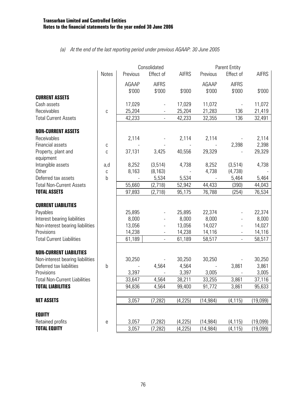*(a) At the end of the last reporting period under previous AGAAP: 30 June 2005* 

|                                      | Consolidated |          |                          | <b>Parent Entity</b>     |           |                          |                     |  |
|--------------------------------------|--------------|----------|--------------------------|--------------------------|-----------|--------------------------|---------------------|--|
|                                      | Notes        | Previous | Effect of                | <b>AIFRS</b>             | Previous  | Effect of                | <b>AIFRS</b>        |  |
|                                      |              | AGAAP    | <b>AIFRS</b>             |                          | AGAAP     | <b>AIFRS</b>             |                     |  |
|                                      |              | \$'000   | \$'000                   | \$'000                   | \$'000    | \$'000                   | \$'000              |  |
| <b>CURRENT ASSETS</b>                |              |          |                          |                          |           |                          |                     |  |
| Cash assets                          |              | 17,029   | $\overline{\phantom{a}}$ | 17,029                   | 11,072    | $\overline{\phantom{a}}$ | 11,072              |  |
| Receivables                          | $\mathsf C$  | 25,204   |                          | 25,204                   | 21,283    | 136                      | 21,419              |  |
| <b>Total Current Assets</b>          |              | 42,233   |                          | 42,233                   | 32,355    | 136                      | 32,491              |  |
| <b>NON-CURRENT ASSETS</b>            |              |          |                          |                          |           |                          |                     |  |
| Receivables                          |              | 2,114    |                          | 2,114                    | 2,114     |                          | 2,114               |  |
| <b>Financial assets</b>              | C            |          |                          |                          |           | 2,398                    | 2,398               |  |
| Property, plant and                  | C            | 37,131   | 3,425                    | 40,556                   | 29,329    |                          | 29,329              |  |
| equipment                            |              |          |                          |                          |           |                          |                     |  |
| Intangible assets                    | a,d          | 8,252    | (3, 514)                 | 4,738                    | 8,252     | (3, 514)                 | 4,738               |  |
| <b>Other</b>                         | $\mathsf C$  | 8,163    | (8, 163)                 | $\overline{\phantom{a}}$ | 4,738     | (4,738)                  |                     |  |
| Deferred tax assets                  | b            |          | 5,534                    | 5,534                    |           | 5,464                    | 5,464               |  |
| <b>Total Non-Current Assets</b>      |              | 55,660   | (2,718)                  | 52,942                   | 44,433    | (390)                    | 44,043              |  |
| <b>TOTAL ASSETS</b>                  |              | 97,893   | (2,718)                  | 95,175                   | 76,788    | (254)                    | 76,534              |  |
| <b>CURRENT LIABILITIES</b>           |              |          |                          |                          |           |                          |                     |  |
| Payables                             |              | 25,895   |                          | 25,895                   | 22,374    |                          | 22,374              |  |
| Interest bearing liabilities         |              | 8,000    | $\overline{\phantom{a}}$ | 8,000                    | 8,000     |                          | 8,000               |  |
| Non-interest bearing liabilities     |              | 13,056   | $\blacksquare$           | 13,056                   | 14,027    | $\frac{1}{2}$            | 14,027              |  |
| Provisions                           |              | 14,238   |                          | 14,238                   | 14,116    | $\overline{\phantom{a}}$ | 14,116              |  |
| <b>Total Current Liabilities</b>     |              | 61,189   |                          | 61,189                   | 58,517    |                          | 58,517              |  |
| <b>NON-CURRENT LIABILITIES</b>       |              |          |                          |                          |           |                          |                     |  |
| Non-interest bearing liabilities     |              | 30,250   |                          | 30,250                   | 30,250    |                          | 30,250              |  |
| Deferred tax liabilities             | $\mathsf b$  |          | 4,564                    | 4,564                    |           | 3,861                    | 3,861               |  |
| Provisions                           |              | 3,397    |                          | 3,397                    | 3,005     |                          | 3,005               |  |
| <b>Total Non-Current Liabilities</b> |              | 33,647   | 4,564                    | 38,211                   | 33,255    | 3,861                    | $\overline{37,116}$ |  |
| <b>TOTAL LIABILITIES</b>             |              | 94,836   | 4,564                    | 99,400                   | 91,772    | 3,861                    | 95,633              |  |
|                                      |              |          |                          |                          |           |                          |                     |  |
| <b>NET ASSETS</b>                    |              | 3,057    | (7, 282)                 | (4, 225)                 | (14, 984) | (4, 115)                 | (19,099)            |  |
| <b>EQUITY</b>                        |              |          |                          |                          |           |                          |                     |  |
| Retained profits                     | е            | 3,057    | (7, 282)                 | (4, 225)                 | (14, 984) | (4, 115)                 | (19,099)            |  |
| <b>TOTAL EQUITY</b>                  |              | 3,057    | (7, 282)                 | (4, 225)                 | (14, 984) | (4, 115)                 | (19,099)            |  |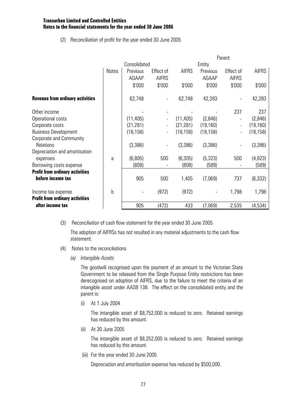(2) Reconciliation of profit for the year ended 30 June 2005

|                                         |             |              |              |              |           | Parent       |              |
|-----------------------------------------|-------------|--------------|--------------|--------------|-----------|--------------|--------------|
|                                         |             | Consolidated |              |              | Entity    |              |              |
|                                         | Notes       | Previous     | Effect of    | <b>AIFRS</b> | Previous  | Effect of    | <b>AIFRS</b> |
|                                         |             | AGAAP        | <b>AIFRS</b> |              | AGAAP     | <b>AIFRS</b> |              |
|                                         |             | \$'000       | \$'000       | \$'000       | \$'000    | \$'000       | \$'000       |
| <b>Revenue from ordinary activities</b> |             | 62,748       |              | 62,748       | 42,393    |              | 42,393       |
| Other income                            |             |              |              |              |           | 237          | 237          |
| Operational costs                       |             | (11, 405)    |              | (11, 405)    | (2,846)   |              | (2,846)      |
| Corporate costs                         |             | (21, 281)    |              | (21, 281)    | (19, 160) |              | (19, 160)    |
| <b>Business Development</b>             |             | (18, 158)    |              | (18, 158)    | (18, 158) |              | (18, 158)    |
| Corporate and Community                 |             |              |              |              |           |              |              |
| Relations                               |             | (3,386)      |              | (3,386)      | (3,386)   |              | (3,386)      |
| Depreciation and amortisation           |             |              |              |              |           |              |              |
| expenses                                | a           | (6, 805)     | 500          | (6, 305)     | (5, 323)  | 500          | (4, 823)     |
| Borrowing costs expense                 |             | (808)        |              | (808)        | (589)     |              | (589)        |
| <b>Profit from ordinary activities</b>  |             |              |              |              |           |              |              |
| before income tax                       |             | 905          | 500          | 1,405        | (7,069)   | 737          | (6, 332)     |
| Income tax expense                      | $\mathsf b$ |              | (972)        | (972)        |           | 1,798        | 1,798        |
| <b>Profit from ordinary activities</b>  |             |              |              |              |           |              |              |
| after income tax                        |             | 905          | (472)        | 433          | (7,069)   | 2,535        | (4, 534)     |

(3) Reconciliation of cash flow statement for the year ended 30 June 2005

The adoption of AIFRSs has not resulted in any material adjustments to the cash flow statement.

- (4) Notes to the reconciliations
	- *(a) Intangible Assets*

 The goodwill recognised upon the payment of an amount to the Victorian State Government to be released from the Single Purpose Entity restrictions has been derecognised on adoption of AIFRS, due to the failure to meet the criteria of an intangible asset under AASB 138. The effect on the consolidated entity and the parent is:

(i) At 1 July 2004

 The intangible asset of \$8,752,000 is reduced to zero. Retained earnings has reduced by this amount.

(ii) At 30 June 2005

 The intangible asset of \$8,252,000 is reduced to zero. Retained earnings has reduced by this amount.

(iii) For the year ended 30 June 2005

Depreciation and amortisation expense has reduced by \$500,000.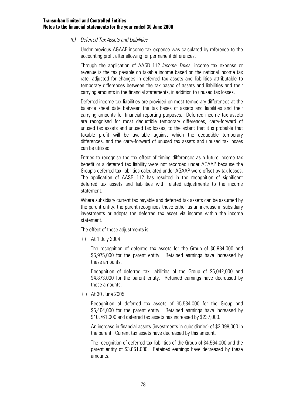#### *(b) Deferred Tax Assets and Liabilities*

 Under previous AGAAP income tax expense was calculated by reference to the accounting profit after allowing for permanent differences.

 Through the application of AASB 112 *Income Taxes*, income tax expense or revenue is the tax payable on taxable income based on the national income tax rate, adjusted for changes in deferred tax assets and liabilities attributable to temporary differences between the tax bases of assets and liabilities and their carrying amounts in the financial statements, in addition to unused tax losses.

 Deferred income tax liabilities are provided on most temporary differences at the balance sheet date between the tax bases of assets and liabilities and their carrying amounts for financial reporting purposes. Deferred income tax assets are recognised for most deductible temporary differences, carry-forward of unused tax assets and unused tax losses, to the extent that it is probable that taxable profit will be available against which the deductible temporary differences, and the carry-forward of unused tax assets and unused tax losses can be utilised.

 Entries to recognise the tax effect of timing differences as a future income tax benefit or a deferred tax liability were not recorded under AGAAP because the Group's deferred tax liabilities calculated under AGAAP were offset by tax losses. The application of AASB 112 has resulted in the recognition of significant deferred tax assets and liabilities with related adjustments to the income statement.

 Where subsidiary current tax payable and deferred tax assets can be assumed by the parent entity, the parent recognises these either as an increase in subsidiary investments or adopts the deferred tax asset via income within the income statement.

The effect of these adjustments is:

(i) At 1 July 2004

 The recognition of deferred tax assets for the Group of \$6,984,000 and \$6,975,000 for the parent entity. Retained earnings have increased by these amounts.

 Recognition of deferred tax liabilities of the Group of \$5,042,000 and \$4,873,000 for the parent entity. Retained earnings have decreased by these amounts.

(ii) At 30 June 2005

 Recognition of deferred tax assets of \$5,534,000 for the Group and \$5,464,000 for the parent entity. Retained earnings have increased by \$10,761,000 and deferred tax assets has increased by \$237,000.

 An increase in financial assets (investments in subsidiaries) of \$2,398,000 in the parent. Current tax assets have decreased by this amount.

 The recognition of deferred tax liabilities of the Group of \$4,564,000 and the parent entity of \$3,861,000. Retained earnings have decreased by these amounts.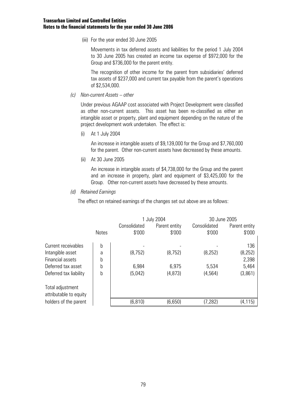(iii) For the year ended 30 June 2005

Movements in tax deferred assets and liabilities for the period 1 July 2004 to 30 June 2005 has created an income tax expense of \$972,000 for the Group and \$736,000 for the parent entity.

The recognition of other income for the parent from subsidiaries' deferred tax assets of \$237,000 and current tax payable from the parent's operations of \$2,534,000.

*(c) Non-current Assets – other* 

 Under previous AGAAP cost associated with Project Development were classified as other non-current assets. This asset has been re-classified as either an intangible asset or property, plant and equipment depending on the nature of the project development work undertaken. The effect is:

(i) At 1 July 2004

 An increase in intangible assets of \$9,139,000 for the Group and \$7,760,000 for the parent. Other non-current assets have decreased by these amounts.

(ii) At 30 June 2005

 An increase in intangible assets of \$4,738,000 for the Group and the parent and an increase in property, plant and equipment of \$3,425,000 for the Group. Other non-current assets have decreased by these amounts.

*(d) Retained Earnings* 

The effect on retained earnings of the changes set out above are as follows:

|                                            |              |              | 1 July 2004   |              | 30 June 2005  |
|--------------------------------------------|--------------|--------------|---------------|--------------|---------------|
|                                            |              | Consolidated | Parent entity | Consolidated | Parent entity |
|                                            | <b>Notes</b> | \$'000       | \$'000        | \$'000       | \$'000        |
| Current receivables                        | b            |              |               |              | 136           |
| Intangible asset                           | a            | (8, 752)     | (8, 752)      | (8, 252)     | (8, 252)      |
| <b>Financial assets</b>                    | b            |              |               |              | 2,398         |
| Deferred tax asset                         | b            | 6,984        | 6,975         | 5,534        | 5,464         |
| Deferred tax liability                     | b            | (5,042)      | (4, 873)      | (4, 564)     | (3,861)       |
| Total adjustment<br>attributable to equity |              |              |               |              |               |
| holders of the parent                      |              | (6, 810)     | (6,650)       | (7, 282)     | (4, 115)      |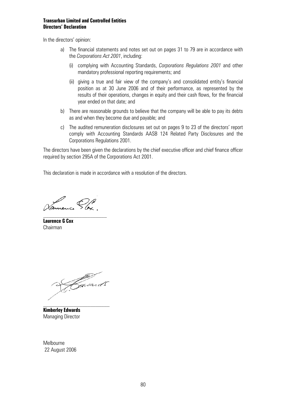#### **Transurban Limited and Controlled Entities Directors' Declaration**

In the directors' opinion:

- a) The financial statements and notes set out on pages 31 to 79 are in accordance with the *Corporations Act 2001*, including:
	- (i) complying with Accounting Standards, *Corporations Regulations 2001* and other mandatory professional reporting requirements; and
	- (ii) giving a true and fair view of the company's and consolidated entity's financial position as at 30 June 2006 and of their performance, as represented by the results of their operations, changes in equity and their cash flows, for the financial year ended on that date; and
- b) There are reasonable grounds to believe that the company will be able to pay its debts as and when they become due and payable; and
- c) The audited remuneration disclosures set out on pages 9 to 23 of the directors' report comply with Accounting Standards AASB 124 Related Party Disclosures and the Corporations Regulations 2001.

The directors have been given the declarations by the chief executive officer and chief finance officer required by section 295A of the Corporations Act 2001.

This declaration is made in accordance with a resolution of the directors.

Vanence Pbx

**Laurence G Cox**  Chairman

Kavard s

**Kimberley Edwards**  Managing Director

Melbourne 22 August 2006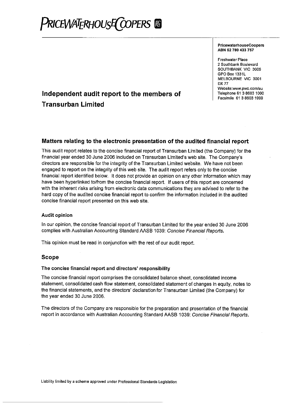# PRICEWATERHOUSE COPERS ®

#### PricewaterhouseCoopers ABN 52 780 433 757

**Freshwater Place** 2 Southbank Boulevard SOUTHBANK VIC 3006 GPO Box 1331L MELBOURNE VIC 3001 **DX77** Website:www.pwc.com/au Telephone 61 3 8603 1000 Facsimile 61 3 8603 1999

# Independent audit report to the members of **Transurban Limited**

# Matters relating to the electronic presentation of the audited financial report

This audit report relates to the concise financial report of Transurban Limited (the Company) for the financial year ended 30 June 2006 included on Transurban Limited's web site. The Company's directors are responsible for the integrity of the Transurban Limited website. We have not been engaged to report on the integrity of this web site. The audit report refers only to the concise financial report identified below. It does not provide an opinion on any other information which may have been hyperlinked to/from the concise financial report. If users of this report are concerned with the inherent risks arising from electronic data communications they are advised to refer to the hard copy of the audited concise financial report to confirm the information included in the audited concise financial report presented on this web site.

#### **Audit opinion**

In our opinion, the concise financial report of Transurban Limited for the year ended 30 June 2006 complies with Australian Accounting Standard AASB 1039: Concise Financial Reports.

This opinion must be read in conjunction with the rest of our audit report.

#### **Scope**

#### The concise financial report and directors' responsibility

The concise financial report comprises the consolidated balance sheet, consolidated income statement, consolidated cash flow statement, consolidated statement of changes in equity, notes to the financial statements, and the directors' declaration for Transurban Limited (the Company) for the year ended 30 June 2006.

The directors of the Company are responsible for the preparation and presentation of the financial report in accordance with Australian Accounting Standard AASB 1039: Concise Financial Reports.